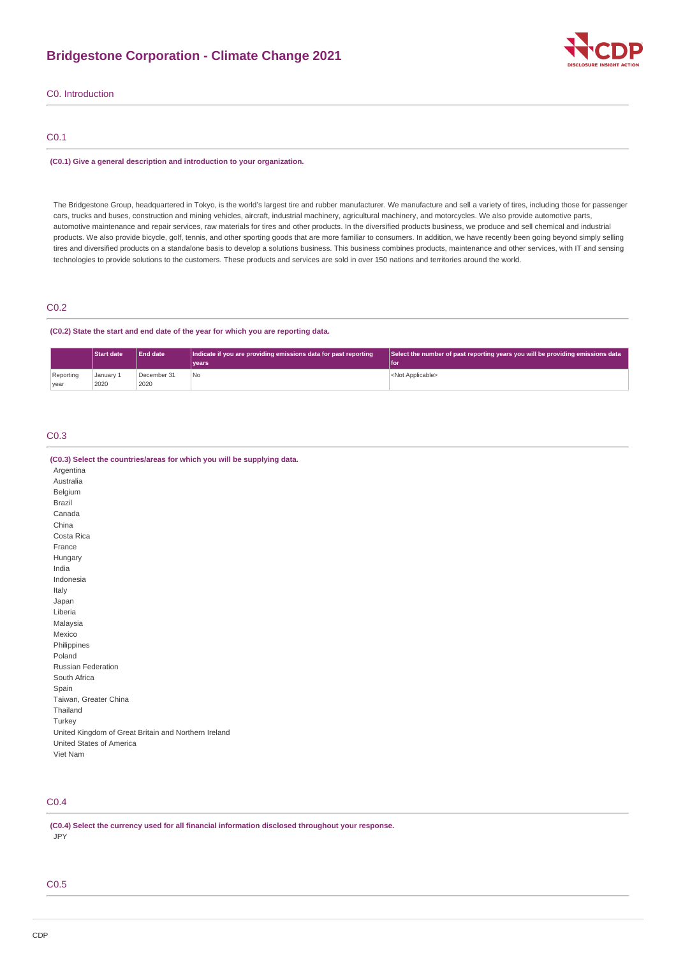# **Bridgestone Corporation - Climate Change 2021**



C0. Introduction

# C0.1

#### **(C0.1) Give a general description and introduction to your organization.**

The Bridgestone Group, headquartered in Tokyo, is the world's largest tire and rubber manufacturer. We manufacture and sell a variety of tires, including those for passenger cars, trucks and buses, construction and mining vehicles, aircraft, industrial machinery, agricultural machinery, and motorcycles. We also provide automotive parts, automotive maintenance and repair services, raw materials for tires and other products. In the diversified products business, we produce and sell chemical and industrial products. We also provide bicycle, golf, tennis, and other sporting goods that are more familiar to consumers. In addition, we have recently been going beyond simply selling tires and diversified products on a standalone basis to develop a solutions business. This business combines products, maintenance and other services, with IT and sensing technologies to provide solutions to the customers. These products and services are sold in over 150 nations and territories around the world.

# C0.2

### **(C0.2) State the start and end date of the year for which you are reporting data.**

|           | <b>Start date</b> | <b>End date</b> | Indicate if you are providing emissions data for past reporting | Select the number of past reporting years you will be providing emissions data |
|-----------|-------------------|-----------------|-----------------------------------------------------------------|--------------------------------------------------------------------------------|
|           |                   |                 | <b>vears</b>                                                    | l foi                                                                          |
| Reporting | January 1         | December 31     | No                                                              | <not applicable=""></not>                                                      |
| year      | 2020              | 2020            |                                                                 |                                                                                |

# C0.3

| (C0.3) Select the countries/areas for which you will be supplying data. |
|-------------------------------------------------------------------------|
| Argentina                                                               |
| Australia                                                               |
| Belgium                                                                 |
| Brazil                                                                  |
| Canada                                                                  |
| China                                                                   |
| Costa Rica                                                              |
| France                                                                  |
| Hungary                                                                 |
| India                                                                   |
| Indonesia                                                               |
| Italy                                                                   |
| Japan                                                                   |
| Liberia                                                                 |
| Malaysia                                                                |
| Mexico                                                                  |
| Philippines                                                             |
| Poland                                                                  |
| Russian Federation                                                      |
| South Africa                                                            |
| Spain                                                                   |
| Taiwan, Greater China                                                   |
| Thailand                                                                |
| Turkey                                                                  |
| United Kingdom of Great Britain and Northern Ireland                    |
| United States of America                                                |
| Viet Nam                                                                |
|                                                                         |

# C0.4

**(C0.4) Select the currency used for all financial information disclosed throughout your response.** JPY

# C0.5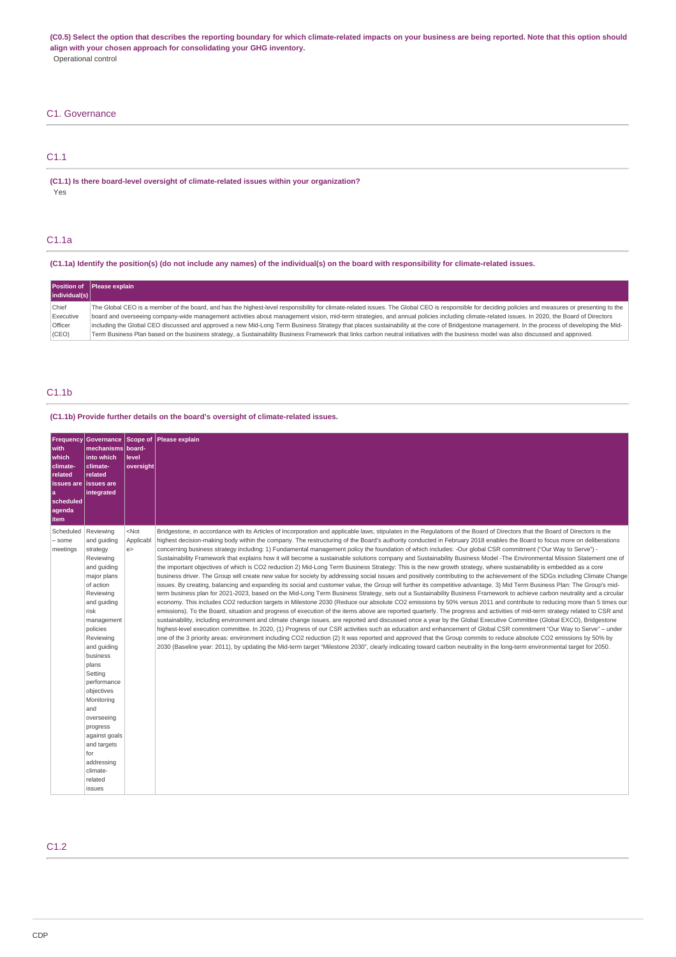**(C0.5) Select the option that describes the reporting boundary for which climate-related impacts on your business are being reported. Note that this option should align with your chosen approach for consolidating your GHG inventory.** Operational control

### C1. Governance

C1.1

**(C1.1) Is there board-level oversight of climate-related issues within your organization?** Yes

### C1.1a

**(C1.1a) Identify the position(s) (do not include any names) of the individual(s) on the board with responsibility for climate-related issues.**

| individual(s)  | Position of Please explain                                                                                                                                                                          |
|----------------|-----------------------------------------------------------------------------------------------------------------------------------------------------------------------------------------------------|
|                |                                                                                                                                                                                                     |
| Chief          | The Global CEO is a member of the board, and has the highest-level responsibility for climate-related issues. The Global CEO is responsible for deciding policies and measures or presenting to the |
| Executive      | board and overseeing company-wide management activities about management vision, mid-term strategies, and annual policies including climate-related issues. In 2020, the Board of Directors         |
| <b>Officer</b> | including the Global CEO discussed and approved a new Mid-Long Term Business Strategy that places sustainability at the core of Bridgestone management. In the process of developing the Mid-       |
| (CEO)          | Term Business Plan based on the business strategy, a Sustainability Business Framework that links carbon neutral initiatives with the business model was also discussed and approved.               |

# C1.1b

### **(C1.1b) Provide further details on the board's oversight of climate-related issues.**

| Frequency<br>with<br>which<br>climate-<br>related<br><b>issues</b> are<br>۱a<br>scheduled<br>agenda<br>item | Governance Scope of<br>mechanisms board-<br>into which<br>climate-<br>related<br>issues are<br>integrated                                                                                                                                                                                                                                                                                | llevel<br>oversight       | Please explain                                                                                                                                                                                                                                                                                                                                                                                                                                                                                                                                                                                                                                                                                                                                                                                                                                                                                                                                                                                                                                                                                                                                                                                                                                                                                                                                                                                                                                                                                                                                                                                                                                                                                                                                                                                                                                                                                                                                                                                                                                                                                                                                                                                                                                                                                                                                                                                                                                                                  |
|-------------------------------------------------------------------------------------------------------------|------------------------------------------------------------------------------------------------------------------------------------------------------------------------------------------------------------------------------------------------------------------------------------------------------------------------------------------------------------------------------------------|---------------------------|---------------------------------------------------------------------------------------------------------------------------------------------------------------------------------------------------------------------------------------------------------------------------------------------------------------------------------------------------------------------------------------------------------------------------------------------------------------------------------------------------------------------------------------------------------------------------------------------------------------------------------------------------------------------------------------------------------------------------------------------------------------------------------------------------------------------------------------------------------------------------------------------------------------------------------------------------------------------------------------------------------------------------------------------------------------------------------------------------------------------------------------------------------------------------------------------------------------------------------------------------------------------------------------------------------------------------------------------------------------------------------------------------------------------------------------------------------------------------------------------------------------------------------------------------------------------------------------------------------------------------------------------------------------------------------------------------------------------------------------------------------------------------------------------------------------------------------------------------------------------------------------------------------------------------------------------------------------------------------------------------------------------------------------------------------------------------------------------------------------------------------------------------------------------------------------------------------------------------------------------------------------------------------------------------------------------------------------------------------------------------------------------------------------------------------------------------------------------------------|
| Scheduled<br>- some<br>meetings                                                                             | Reviewing<br>and quiding<br>strategy<br>Reviewing<br>and guiding<br>major plans<br>of action<br>Reviewing<br>and guiding<br>risk<br>management<br>policies<br>Reviewing<br>and quiding<br>business<br>plans<br>Setting<br>performance<br>objectives<br>Monitoring<br>and<br>overseeing<br>progress<br>against goals<br>and targets<br>for<br>addressing<br>climate-<br>related<br>issues | $<$ Not<br>Applicabl<br>e | Bridgestone, in accordance with its Articles of Incorporation and applicable laws, stipulates in the Regulations of the Board of Directors that the Board of Directors is the<br>highest decision-making body within the company. The restructuring of the Board's authority conducted in February 2018 enables the Board to focus more on deliberations<br>concerning business strategy including: 1) Fundamental management policy the foundation of which includes: -Our global CSR commitment ("Our Way to Serve") -<br>Sustainability Framework that explains how it will become a sustainable solutions company and Sustainability Business Model -The Environmental Mission Statement one of<br>the important objectives of which is CO2 reduction 2) Mid-Long Term Business Strategy: This is the new growth strategy, where sustainability is embedded as a core<br>business driver. The Group will create new value for society by addressing social issues and positively contributing to the achievement of the SDGs including Climate Change<br>issues. By creating, balancing and expanding its social and customer value, the Group will further its competitive advantage. 3) Mid Term Business Plan: The Group's mid-<br>term business plan for 2021-2023, based on the Mid-Long Term Business Strategy, sets out a Sustainability Business Framework to achieve carbon neutrality and a circular<br>economy. This includes CO2 reduction targets in Milestone 2030 (Reduce our absolute CO2 emissions by 50% versus 2011 and contribute to reducing more than 5 times our<br>emissions). To the Board, situation and progress of execution of the items above are reported quarterly. The progress and activities of mid-term strategy related to CSR and<br>sustainability, including environment and climate change issues, are reported and discussed once a year by the Global Executive Committee (Global EXCO), Bridgestone<br>highest-level execution committee. In 2020, (1) Progress of our CSR activities such as education and enhancement of Global CSR commitment "Our Way to Serve" - under<br>one of the 3 priority areas: environment including CO2 reduction (2) It was reported and approved that the Group commits to reduce absolute CO2 emissions by 50% by<br>2030 (Baseline year: 2011), by updating the Mid-term target "Milestone 2030", clearly indicating toward carbon neutrality in the long-term environmental target for 2050. |

# C1.2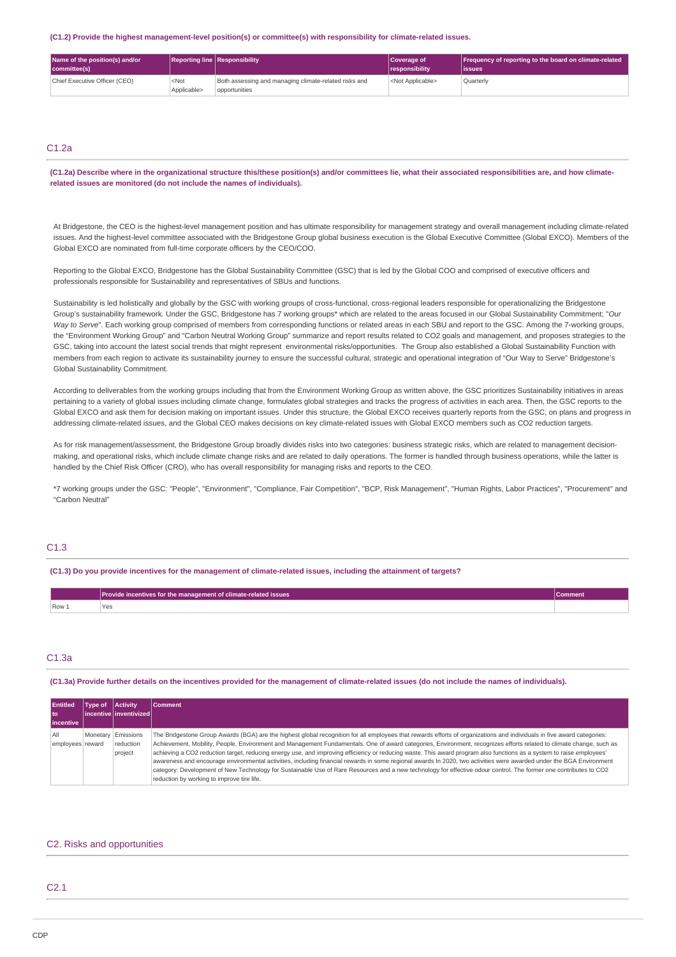#### **(C1.2) Provide the highest management-level position(s) or committee(s) with responsibility for climate-related issues.**

| Name of the position(s) and/or<br>committee(s) |                        | <b>Reporting line Responsibility</b>                                   | Coverage of<br><i><u><b>I</b></u></i> responsibility | Frequency of reporting to the board on climate-related<br>lissues |
|------------------------------------------------|------------------------|------------------------------------------------------------------------|------------------------------------------------------|-------------------------------------------------------------------|
| Chief Executive Officer (CEO)                  | $<$ Not<br>Applicable> | Both assessing and managing climate-related risks and<br>opportunities | <not applicable=""></not>                            | Ouarterly                                                         |

# $C1.2a$

**(C1.2a) Describe where in the organizational structure this/these position(s) and/or committees lie, what their associated responsibilities are, and how climaterelated issues are monitored (do not include the names of individuals).**

At Bridgestone, the CEO is the highest-level management position and has ultimate responsibility for management strategy and overall management including climate-related issues. And the highest-level committee associated with the Bridgestone Group global business execution is the Global Executive Committee (Global EXCO). Members of the Global EXCO are nominated from full-time corporate officers by the CEO/COO.

Reporting to the Global EXCO, Bridgestone has the Global Sustainability Committee (GSC) that is led by the Global COO and comprised of executive officers and professionals responsible for Sustainability and representatives of SBUs and functions.

Sustainability is led holistically and globally by the GSC with working groups of cross-functional, cross-regional leaders responsible for operationalizing the Bridgestone Group's sustainability framework. Under the GSC, Bridgestone has 7 working groups\* which are related to the areas focused in our Global Sustainability Commitment; "*Our* Way to Serve". Each working group comprised of members from corresponding functions or related areas in each SBU and report to the GSC. Among the 7-working groups, the "Environment Working Group" and "Carbon Neutral Working Group" summarize and report results related to CO2 goals and management, and proposes strategies to the GSC, taking into account the latest social trends that might represent environmental risks/opportunities. The Group also established a Global Sustainability Function with members from each region to activate its sustainability journey to ensure the successful cultural, strategic and operational integration of "Our Way to Serve" Bridgestone's Global Sustainability Commitment.

According to deliverables from the working groups including that from the Environment Working Group as written above, the GSC prioritizes Sustainability initiatives in areas pertaining to a variety of global issues including climate change, formulates global strategies and tracks the progress of activities in each area. Then, the GSC reports to the Global EXCO and ask them for decision making on important issues. Under this structure, the Global EXCO receives quarterly reports from the GSC, on plans and progress in addressing climate-related issues, and the Global CEO makes decisions on key climate-related issues with Global EXCO members such as CO2 reduction targets.

As for risk management/assessment, the Bridgestone Group broadly divides risks into two categories: business strategic risks, which are related to management decisionmaking, and operational risks, which include climate change risks and are related to daily operations. The former is handled through business operations, while the latter is handled by the Chief Risk Officer (CRO), who has overall responsibility for managing risks and reports to the CEO.

\*7 working groups under the GSC: "People", "Environment", "Compliance, Fair Competition", "BCP, Risk Management", "Human Rights, Labor Practices", "Procurement" and "Carbon Neutral"

# $C1.3$

**(C1.3) Do you provide incentives for the management of climate-related issues, including the attainment of targets?**

|         | <b>Provide incentives for the management of climate-related issues</b> | Comment |
|---------|------------------------------------------------------------------------|---------|
| $Row_1$ | .ez                                                                    |         |

# C1.3a

**(C1.3a) Provide further details on the incentives provided for the management of climate-related issues (do not include the names of individuals).**

| <b>Entitled</b><br>l to | Type of | <b>Activity</b><br>l incentive l inventivized l | <b>Comment</b>                                                                                                                                                                                                                                                                                                                                                                                                                                                                                                                                                                                                                                                                                                                                                                                                                                                                                                    |
|-------------------------|---------|-------------------------------------------------|-------------------------------------------------------------------------------------------------------------------------------------------------------------------------------------------------------------------------------------------------------------------------------------------------------------------------------------------------------------------------------------------------------------------------------------------------------------------------------------------------------------------------------------------------------------------------------------------------------------------------------------------------------------------------------------------------------------------------------------------------------------------------------------------------------------------------------------------------------------------------------------------------------------------|
| incentive               |         |                                                 |                                                                                                                                                                                                                                                                                                                                                                                                                                                                                                                                                                                                                                                                                                                                                                                                                                                                                                                   |
| All<br>employees reward |         | Monetary Emissions<br>reduction<br>project      | The Bridgestone Group Awards (BGA) are the highest global recognition for all employees that rewards efforts of organizations and individuals in five award categories:<br>Achievement, Mobility, People, Environment and Management Fundamentals. One of award categories, Environment, recognizes efforts related to climate change, such as<br>achieving a CO2 reduction target, reducing energy use, and improving efficiency or reducing waste. This award program also functions as a system to raise employees'<br>awareness and encourage environmental activities, including financial rewards in some regional awards In 2020, two activities were awarded under the BGA Environment<br>category: Development of New Technology for Sustainable Use of Rare Resources and a new technology for effective odour control. The former one contributes to CO2<br>reduction by working to improve tire life. |

### C2. Risks and opportunities

# $C<sub>2</sub>1$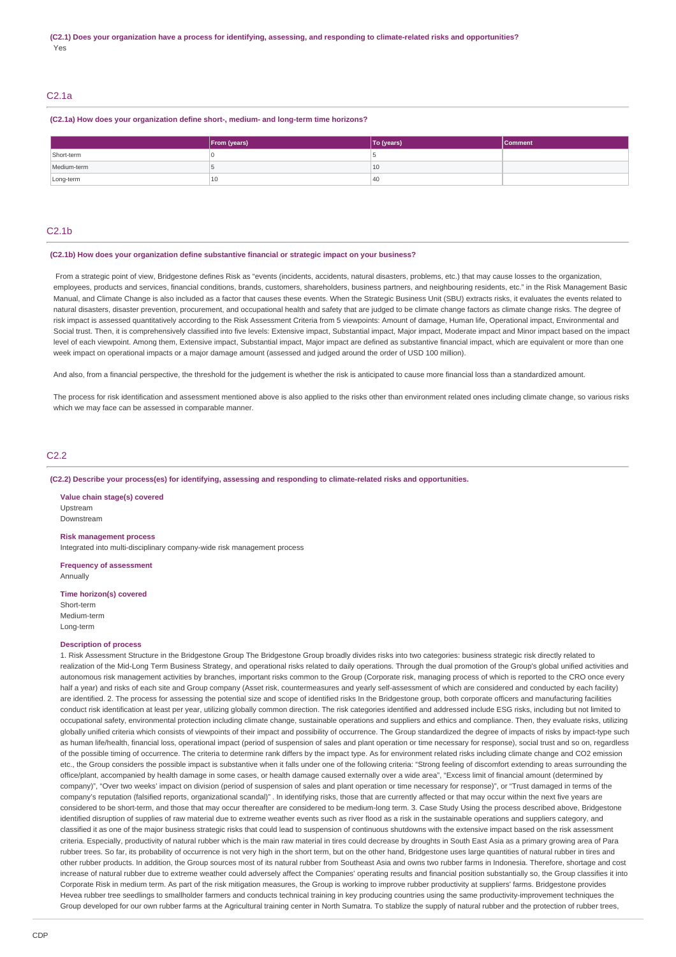# C2.1a

#### **(C2.1a) How does your organization define short-, medium- and long-term time horizons?**

|             | <b>From (years)</b> | To (years) | Comment |
|-------------|---------------------|------------|---------|
| Short-term  |                     |            |         |
| Medium-term |                     | 10         |         |
| Long-term   | 10                  | 40         |         |

### $C<sub>2</sub>1h$

#### **(C2.1b) How does your organization define substantive financial or strategic impact on your business?**

 From a strategic point of view, Bridgestone defines Risk as "events (incidents, accidents, natural disasters, problems, etc.) that may cause losses to the organization, employees, products and services, financial conditions, brands, customers, shareholders, business partners, and neighbouring residents, etc." in the Risk Management Basic Manual, and Climate Change is also included as a factor that causes these events. When the Strategic Business Unit (SBU) extracts risks, it evaluates the events related to natural disasters, disaster prevention, procurement, and occupational health and safety that are judged to be climate change factors as climate change risks. The degree of risk impact is assessed quantitatively according to the Risk Assessment Criteria from 5 viewpoints: Amount of damage, Human life, Operational impact, Environmental and Social trust. Then, it is comprehensively classified into five levels: Extensive impact, Substantial impact, Major impact, Moderate impact and Minor impact based on the impact level of each viewpoint. Among them, Extensive impact, Substantial impact, Major impact are defined as substantive financial impact, which are equivalent or more than one week impact on operational impacts or a major damage amount (assessed and judged around the order of USD 100 million).

And also, from a financial perspective, the threshold for the judgement is whether the risk is anticipated to cause more financial loss than a standardized amount.

The process for risk identification and assessment mentioned above is also applied to the risks other than environment related ones including climate change, so various risks which we may face can be assessed in comparable manner.

### $C2.2$

#### **(C2.2) Describe your process(es) for identifying, assessing and responding to climate-related risks and opportunities.**

**Value chain stage(s) covered** Upstream Downstream

#### **Risk management process**

Integrated into multi-disciplinary company-wide risk management process

**Frequency of assessment** Annually

**Time horizon(s) covered**

Short-term Medium-term Long-term

#### **Description of process**

1. Risk Assessment Structure in the Bridgestone Group The Bridgestone Group broadly divides risks into two categories: business strategic risk directly related to realization of the Mid-Long Term Business Strategy, and operational risks related to daily operations. Through the dual promotion of the Group's global unified activities and autonomous risk management activities by branches, important risks common to the Group (Corporate risk, managing process of which is reported to the CRO once every half a year) and risks of each site and Group company (Asset risk, countermeasures and yearly self-assessment of which are considered and conducted by each facility) are identified. 2. The process for assessing the potential size and scope of identified risks In the Bridgestone group, both corporate officers and manufacturing facilities conduct risk identification at least per year, utilizing globally common direction. The risk categories identified and addressed include ESG risks, including but not limited to occupational safety, environmental protection including climate change, sustainable operations and suppliers and ethics and compliance. Then, they evaluate risks, utilizing globally unified criteria which consists of viewpoints of their impact and possibility of occurrence. The Group standardized the degree of impacts of risks by impact-type such as human life/health, financial loss, operational impact (period of suspension of sales and plant operation or time necessary for response), social trust and so on, regardless of the possible timing of occurrence. The criteria to determine rank differs by the impact type. As for environment related risks including climate change and CO2 emission etc., the Group considers the possible impact is substantive when it falls under one of the following criteria: "Strong feeling of discomfort extending to areas surrounding the office/plant, accompanied by health damage in some cases, or health damage caused externally over a wide area", "Excess limit of financial amount (determined by company)", "Over two weeks' impact on division (period of suspension of sales and plant operation or time necessary for response)", or "Trust damaged in terms of the company's reputation (falsified reports, organizational scandal)" . In identifying risks, those that are currently affected or that may occur within the next five years are considered to be short-term, and those that may occur thereafter are considered to be medium-long term. 3. Case Study Using the process described above, Bridgestone identified disruption of supplies of raw material due to extreme weather events such as river flood as a risk in the sustainable operations and suppliers category, and classified it as one of the major business strategic risks that could lead to suspension of continuous shutdowns with the extensive impact based on the risk assessment criteria. Especially, productivity of natural rubber which is the main raw material in tires could decrease by droughts in South East Asia as a primary growing area of Para rubber trees. So far, its probability of occurrence is not very high in the short term, but on the other hand, Bridgestone uses large quantities of natural rubber in tires and other rubber products. In addition, the Group sources most of its natural rubber from Southeast Asia and owns two rubber farms in Indonesia. Therefore, shortage and cost increase of natural rubber due to extreme weather could adversely affect the Companies' operating results and financial position substantially so, the Group classifies it into Corporate Risk in medium term. As part of the risk mitigation measures, the Group is working to improve rubber productivity at suppliers' farms. Bridgestone provides Hevea rubber tree seedlings to smallholder farmers and conducts technical training in key producing countries using the same productivity-improvement techniques the Group developed for our own rubber farms at the Agricultural training center in North Sumatra. To stablize the supply of natural rubber and the protection of rubber trees,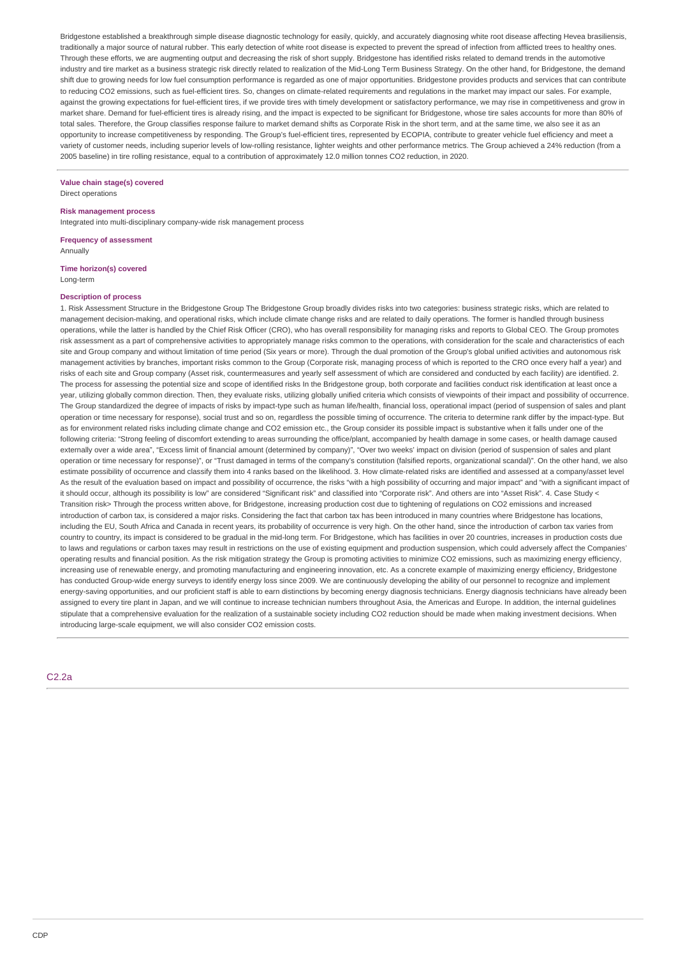Bridgestone established a breakthrough simple disease diagnostic technology for easily, quickly, and accurately diagnosing white root disease affecting Hevea brasiliensis, traditionally a major source of natural rubber. This early detection of white root disease is expected to prevent the spread of infection from afflicted trees to healthy ones. Through these efforts, we are augmenting output and decreasing the risk of short supply. Bridgestone has identified risks related to demand trends in the automotive industry and tire market as a business strategic risk directly related to realization of the Mid-Long Term Business Strategy. On the other hand, for Bridgestone, the demand shift due to growing needs for low fuel consumption performance is regarded as one of major opportunities. Bridgestone provides products and services that can contribute to reducing CO2 emissions, such as fuel-efficient tires. So, changes on climate-related requirements and regulations in the market may impact our sales. For example, against the growing expectations for fuel-efficient tires, if we provide tires with timely development or satisfactory performance, we may rise in competitiveness and grow in market share. Demand for fuel-efficient tires is already rising, and the impact is expected to be significant for Bridgestone, whose tire sales accounts for more than 80% of total sales. Therefore, the Group classifies response failure to market demand shifts as Corporate Risk in the short term, and at the same time, we also see it as an opportunity to increase competitiveness by responding. The Group's fuel-efficient tires, represented by ECOPIA, contribute to greater vehicle fuel efficiency and meet a variety of customer needs, including superior levels of low-rolling resistance, lighter weights and other performance metrics. The Group achieved a 24% reduction (from a 2005 baseline) in tire rolling resistance, equal to a contribution of approximately 12.0 million tonnes CO2 reduction, in 2020.

# **Value chain stage(s) covered**

Direct operations

### **Risk management process**

Integrated into multi-disciplinary company-wide risk management process

**Frequency of assessment** Annually

**Time horizon(s) covered** Long-term

#### **Description of process**

1. Risk Assessment Structure in the Bridgestone Group The Bridgestone Group broadly divides risks into two categories: business strategic risks, which are related to management decision-making, and operational risks, which include climate change risks and are related to daily operations. The former is handled through business operations, while the latter is handled by the Chief Risk Officer (CRO), who has overall responsibility for managing risks and reports to Global CEO. The Group promotes risk assessment as a part of comprehensive activities to appropriately manage risks common to the operations, with consideration for the scale and characteristics of each site and Group company and without limitation of time period (Six years or more). Through the dual promotion of the Group's global unified activities and autonomous risk management activities by branches, important risks common to the Group (Corporate risk, managing process of which is reported to the CRO once every half a year) and risks of each site and Group company (Asset risk, countermeasures and yearly self assessment of which are considered and conducted by each facility) are identified. 2. The process for assessing the potential size and scope of identified risks In the Bridgestone group, both corporate and facilities conduct risk identification at least once a year, utilizing globally common direction. Then, they evaluate risks, utilizing globally unified criteria which consists of viewpoints of their impact and possibility of occurrence. The Group standardized the degree of impacts of risks by impact-type such as human life/health, financial loss, operational impact (period of suspension of sales and plant operation or time necessary for response), social trust and so on, regardless the possible timing of occurrence. The criteria to determine rank differ by the impact-type. But as for environment related risks including climate change and CO2 emission etc., the Group consider its possible impact is substantive when it falls under one of the following criteria: "Strong feeling of discomfort extending to areas surrounding the office/plant, accompanied by health damage in some cases, or health damage caused externally over a wide area", "Excess limit of financial amount (determined by company)", "Over two weeks' impact on division (period of suspension of sales and plant operation or time necessary for response)", or "Trust damaged in terms of the company's constitution (falsified reports, organizational scandal)". On the other hand, we also estimate possibility of occurrence and classify them into 4 ranks based on the likelihood. 3. How climate-related risks are identified and assessed at a company/asset level As the result of the evaluation based on impact and possibility of occurrence, the risks "with a high possibility of occurring and major impact" and "with a significant impact of it should occur, although its possibility is low" are considered "Significant risk" and classified into "Corporate risk". And others are into "Asset Risk". 4. Case Study < Transition risk> Through the process written above, for Bridgestone, increasing production cost due to tightening of regulations on CO2 emissions and increased introduction of carbon tax, is considered a major risks. Considering the fact that carbon tax has been introduced in many countries where Bridgestone has locations, including the EU, South Africa and Canada in recent years, its probability of occurrence is very high. On the other hand, since the introduction of carbon tax varies from country to country, its impact is considered to be gradual in the mid-long term. For Bridgestone, which has facilities in over 20 countries, increases in production costs due to laws and regulations or carbon taxes may result in restrictions on the use of existing equipment and production suspension, which could adversely affect the Companies' operating results and financial position. As the risk mitigation strategy the Group is promoting activities to minimize CO2 emissions, such as maximizing energy efficiency, increasing use of renewable energy, and promoting manufacturing and engineering innovation, etc. As a concrete example of maximizing energy efficiency, Bridgestone has conducted Group-wide energy surveys to identify energy loss since 2009. We are continuously developing the ability of our personnel to recognize and implement energy-saving opportunities, and our proficient staff is able to earn distinctions by becoming energy diagnosis technicians. Energy diagnosis technicians have already been assigned to every tire plant in Japan, and we will continue to increase technician numbers throughout Asia, the Americas and Europe. In addition, the internal guidelines stipulate that a comprehensive evaluation for the realization of a sustainable society including CO2 reduction should be made when making investment decisions. When introducing large-scale equipment, we will also consider CO2 emission costs.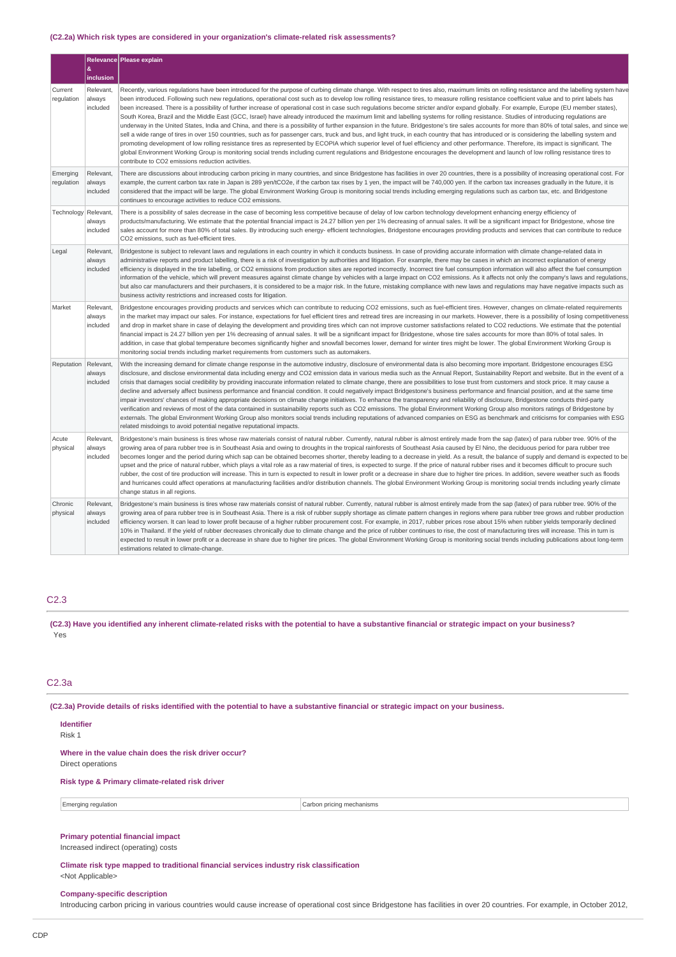### **(C2.2a) Which risk types are considered in your organization's climate-related risk assessments?**

|                        | &                               | Relevance Please explain                                                                                                                                                                                                                                                                                                                                                                                                                                                                                                                                                                                                                                                                                                                                                                                                                                                                                                                                                                                                                                                                                                                                                                                                                                                                                                                                                                                                                                                                                                                                                                                                |
|------------------------|---------------------------------|-------------------------------------------------------------------------------------------------------------------------------------------------------------------------------------------------------------------------------------------------------------------------------------------------------------------------------------------------------------------------------------------------------------------------------------------------------------------------------------------------------------------------------------------------------------------------------------------------------------------------------------------------------------------------------------------------------------------------------------------------------------------------------------------------------------------------------------------------------------------------------------------------------------------------------------------------------------------------------------------------------------------------------------------------------------------------------------------------------------------------------------------------------------------------------------------------------------------------------------------------------------------------------------------------------------------------------------------------------------------------------------------------------------------------------------------------------------------------------------------------------------------------------------------------------------------------------------------------------------------------|
|                        | inclusion                       |                                                                                                                                                                                                                                                                                                                                                                                                                                                                                                                                                                                                                                                                                                                                                                                                                                                                                                                                                                                                                                                                                                                                                                                                                                                                                                                                                                                                                                                                                                                                                                                                                         |
| Current<br>regulation  | Relevant,<br>always<br>included | Recently, various regulations have been introduced for the purpose of curbing climate change. With respect to tires also, maximum limits on rolling resistance and the labelling system have<br>been introduced. Following such new regulations, operational cost such as to develop low rolling resistance tires, to measure rolling resistance coefficient value and to print labels has<br>been increased. There is a possibility of further increase of operational cost in case such requlations become stricter and/or expand qlobally. For example, Europe (EU member states),<br>South Korea, Brazil and the Middle East (GCC, Israel) have already introduced the maximum limit and labelling systems for rolling resistance. Studies of introducing regulations are<br>underway in the United States, India and China, and there is a possibility of further expansion in the future. Bridgestone's tire sales accounts for more than 80% of total sales, and since we<br>sell a wide range of tires in over 150 countries, such as for passenger cars, truck and bus, and light truck, in each country that has introduced or is considering the labelling system and<br>promoting development of low rolling resistance tires as represented by ECOPIA which superior level of fuel efficiency and other performance. Therefore, its impact is significant. The<br>global Environment Working Group is monitoring social trends including current regulations and Bridgestone encourages the development and launch of low rolling resistance tires to<br>contribute to CO2 emissions reduction activities. |
| Emerging<br>regulation | Relevant,<br>always<br>included | There are discussions about introducing carbon pricing in many countries, and since Bridgestone has facilities in over 20 countries, there is a possibility of increasing operational cost. For<br>example, the current carbon tax rate in Japan is 289 yen/tCO2e, if the carbon tax rises by 1 yen, the impact will be 740,000 yen. If the carbon tax increases gradually in the future, it is<br>considered that the impact will be large. The global Environment Working Group is monitoring social trends including emerging regulations such as carbon tax, etc. and Bridgestone<br>continues to encourage activities to reduce CO2 emissions.                                                                                                                                                                                                                                                                                                                                                                                                                                                                                                                                                                                                                                                                                                                                                                                                                                                                                                                                                                     |
| Technology             | Relevant<br>always<br>included  | There is a possibility of sales decrease in the case of becoming less competitive because of delay of low carbon technology development enhancing energy efficiency of<br>products/manufacturing. We estimate that the potential financial impact is 24.27 billion yen per 1% decreasing of annual sales. It will be a significant impact for Bridgestone, whose tire<br>sales account for more than 80% of total sales. By introducing such energy- efficient technologies, Bridgestone encourages providing products and services that can contribute to reduce<br>CO2 emissions, such as fuel-efficient tires.                                                                                                                                                                                                                                                                                                                                                                                                                                                                                                                                                                                                                                                                                                                                                                                                                                                                                                                                                                                                       |
| Legal                  | Relevant.<br>always<br>included | Bridgestone is subject to relevant laws and regulations in each country in which it conducts business. In case of providing accurate information with climate change-related data in<br>administrative reports and product labelling, there is a risk of investigation by authorities and litigation. For example, there may be cases in which an incorrect explanation of energy<br>efficiency is displayed in the tire labelling, or CO2 emissions from production sites are reported incorrectly. Incorrect tire fuel consumption information will also affect the fuel consumption<br>information of the vehicle, which will prevent measures against climate change by vehicles with a large impact on CO2 emissions. As it affects not only the company's laws and regulations,<br>but also car manufacturers and their purchasers, it is considered to be a major risk. In the future, mistaking compliance with new laws and regulations may have negative impacts such as<br>business activity restrictions and increased costs for litigation.                                                                                                                                                                                                                                                                                                                                                                                                                                                                                                                                                                |
| Market                 | Relevant,<br>always<br>included | Bridgestone encourages providing products and services which can contribute to reducing CO2 emissions, such as fuel-efficient tires. However, changes on climate-related requirements<br>in the market may impact our sales. For instance, expectations for fuel efficient tires and retread tires are increasing in our markets. However, there is a possibility of losing competitiveness<br>and drop in market share in case of delaying the development and providing tires which can not improve customer satisfactions related to CO2 reductions. We estimate that the potential<br>financial impact is 24.27 billion yen per 1% decreasing of annual sales. It will be a significant impact for Bridgestone, whose tire sales accounts for more than 80% of total sales. In<br>addition, in case that global temperature becomes significantly higher and snowfall becomes lower, demand for winter tires might be lower. The global Environment Working Group is<br>monitoring social trends including market requirements from customers such as automakers.                                                                                                                                                                                                                                                                                                                                                                                                                                                                                                                                                   |
| Reputation             | Relevant,<br>always<br>included | With the increasing demand for climate change response in the automotive industry, disclosure of environmental data is also becoming more important. Bridgestone encourages ESG<br>disclosure, and disclose environmental data including energy and CO2 emission data in various media such as the Annual Report, Sustainability Report and website. But in the event of a<br>crisis that damages social credibility by providing inaccurate information related to climate change, there are possibilities to lose trust from customers and stock price. It may cause a<br>decline and adversely affect business performance and financial condition. It could negatively impact Bridgestone's business performance and financial position, and at the same time<br>impair investors' chances of making appropriate decisions on climate change initiatives. To enhance the transparency and reliability of disclosure, Bridgestone conducts third-party<br>verification and reviews of most of the data contained in sustainability reports such as CO2 emissions. The global Environment Working Group also monitors ratings of Bridgestone by<br>externals. The global Environment Working Group also monitors social trends including reputations of advanced companies on ESG as benchmark and criticisms for companies with ESG<br>related misdoings to avoid potential negative reputational impacts.                                                                                                                                                                                                           |
| Acute<br>physical      | Relevant,<br>always<br>included | Bridgestone's main business is tires whose raw materials consist of natural rubber. Currently, natural rubber is almost entirely made from the sap (latex) of para rubber tree. 90% of the<br>growing area of para rubber tree is in Southeast Asia and owing to droughts in the tropical rainforests of Southeast Asia caused by El Nino, the deciduous period for para rubber tree<br>becomes longer and the period during which sap can be obtained becomes shorter, thereby leading to a decrease in yield. As a result, the balance of supply and demand is expected to be<br>upset and the price of natural rubber, which plays a vital role as a raw material of tires, is expected to surge. If the price of natural rubber rises and it becomes difficult to procure such<br>rubber, the cost of tire production will increase. This in turn is expected to result in lower profit or a decrease in share due to higher tire prices. In addition, severe weather such as floods<br>and hurricanes could affect operations at manufacturing facilities and/or distribution channels. The global Environment Working Group is monitoring social trends including yearly climate<br>change status in all regions.                                                                                                                                                                                                                                                                                                                                                                                                 |
| Chronic<br>physical    | Relevant.<br>always<br>included | Bridgestone's main business is tires whose raw materials consist of natural rubber. Currently, natural rubber is almost entirely made from the sap (latex) of para rubber tree. 90% of the<br>growing area of para rubber tree is in Southeast Asia. There is a risk of rubber supply shortage as climate pattern changes in regions where para rubber tree grows and rubber production<br>efficiency worsen. It can lead to lower profit because of a higher rubber procurement cost. For example, in 2017, rubber prices rose about 15% when rubber yields temporarily declined<br>10% in Thailand. If the yield of rubber decreases chronically due to climate change and the price of rubber continues to rise, the cost of manufacturing tires will increase. This in turn is<br>expected to result in lower profit or a decrease in share due to higher tire prices. The global Environment Working Group is monitoring social trends including publications about long-term<br>estimations related to climate-change.                                                                                                                                                                                                                                                                                                                                                                                                                                                                                                                                                                                            |

#### C2.3

**(C2.3) Have you identified any inherent climate-related risks with the potential to have a substantive financial or strategic impact on your business?** Yes

#### C2.3a

**(C2.3a) Provide details of risks identified with the potential to have a substantive financial or strategic impact on your business.**

# **Identifier**

Risk 1

**Where in the value chain does the risk driver occur?** Direct operations

### **Risk type & Primary climate-related risk driver**

Emerging regulation **Carbon pricing mechanisms** 

# **Primary potential financial impact**

Increased indirect (operating) costs

**Climate risk type mapped to traditional financial services industry risk classification** <Not Applicable>

#### **Company-specific description**

Introducing carbon pricing in various countries would cause increase of operational cost since Bridgestone has facilities in over 20 countries. For example, in October 2012,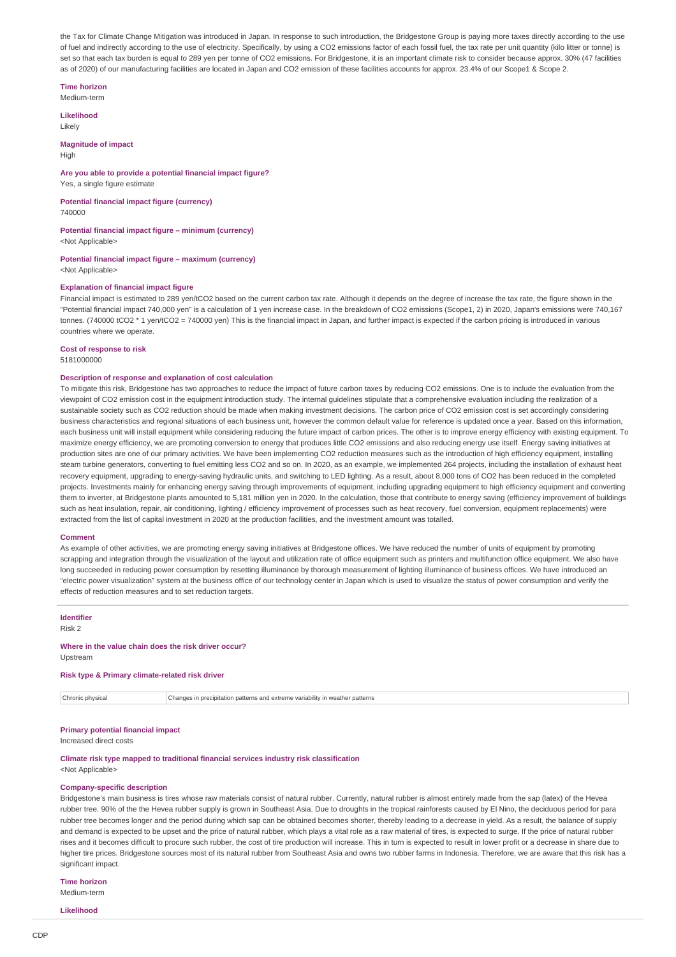the Tax for Climate Change Mitigation was introduced in Japan. In response to such introduction, the Bridgestone Group is paying more taxes directly according to the use of fuel and indirectly according to the use of electricity. Specifically, by using a CO2 emissions factor of each fossil fuel, the tax rate per unit quantity (kilo litter or tonne) is set so that each tax burden is equal to 289 yen per tonne of CO2 emissions. For Bridgestone, it is an important climate risk to consider because approx. 30% (47 facilities as of 2020) of our manufacturing facilities are located in Japan and CO2 emission of these facilities accounts for approx. 23.4% of our Scope1 & Scope 2.

# **Time horizon**

Medium-term

# **Likelihood**

Likely

#### **Magnitude of impact** High

#### **Are you able to provide a potential financial impact figure?**

Yes, a single figure estimate

#### **Potential financial impact figure (currency)** 740000

#### **Potential financial impact figure – minimum (currency)** <Not Applicable>

# **Potential financial impact figure – maximum (currency)**

<Not Applicable>

#### **Explanation of financial impact figure**

Financial impact is estimated to 289 yen/tCO2 based on the current carbon tax rate. Although it depends on the degree of increase the tax rate, the figure shown in the "Potential financial impact 740,000 yen" is a calculation of 1 yen increase case. In the breakdown of CO2 emissions (Scope1, 2) in 2020, Japan's emissions were 740,167 tonnes. (740000 tCO2 \* 1 yen/tCO2 = 740000 yen) This is the financial impact in Japan, and further impact is expected if the carbon pricing is introduced in various countries where we operate.

# **Cost of response to risk**

5181000000

#### **Description of response and explanation of cost calculation**

To mitigate this risk, Bridgestone has two approaches to reduce the impact of future carbon taxes by reducing CO2 emissions. One is to include the evaluation from the viewpoint of CO2 emission cost in the equipment introduction study. The internal guidelines stipulate that a comprehensive evaluation including the realization of a sustainable society such as CO2 reduction should be made when making investment decisions. The carbon price of CO2 emission cost is set accordingly considering business characteristics and regional situations of each business unit, however the common default value for reference is updated once a year. Based on this information, each business unit will install equipment while considering reducing the future impact of carbon prices. The other is to improve energy efficiency with existing equipment. To maximize energy efficiency, we are promoting conversion to energy that produces little CO2 emissions and also reducing energy use itself. Energy saving initiatives at production sites are one of our primary activities. We have been implementing CO2 reduction measures such as the introduction of high efficiency equipment, installing steam turbine generators, converting to fuel emitting less CO2 and so on. In 2020, as an example, we implemented 264 projects, including the installation of exhaust heat recovery equipment, upgrading to energy-saving hydraulic units, and switching to LED lighting. As a result, about 8,000 tons of CO2 has been reduced in the completed projects. Investments mainly for enhancing energy saving through improvements of equipment, including upgrading equipment to high efficiency equipment and converting them to inverter, at Bridgestone plants amounted to 5,181 million yen in 2020. In the calculation, those that contribute to energy saving (efficiency improvement of buildings such as heat insulation, repair, air conditioning, lighting / efficiency improvement of processes such as heat recovery, fuel conversion, equipment replacements) were extracted from the list of capital investment in 2020 at the production facilities, and the investment amount was totalled.

#### **Comment**

As example of other activities, we are promoting energy saving initiatives at Bridgestone offices. We have reduced the number of units of equipment by promoting scrapping and integration through the visualization of the layout and utilization rate of office equipment such as printers and multifunction office equipment. We also have long succeeded in reducing power consumption by resetting illuminance by thorough measurement of lighting illuminance of business offices. We have introduced an "electric power visualization" system at the business office of our technology center in Japan which is used to visualize the status of power consumption and verify the effects of reduction measures and to set reduction targets.

# **Identifier**

Risk 2

### **Where in the value chain does the risk driver occur?**

Upstream

### **Risk type & Primary climate-related risk driver**

Chronic physical Changes in precipitation patterns and extreme variability in weather patterns

#### **Primary potential financial impact**

Increased direct costs

#### **Climate risk type mapped to traditional financial services industry risk classification** <Not Applicable>

### **Company-specific description**

Bridgestone's main business is tires whose raw materials consist of natural rubber. Currently, natural rubber is almost entirely made from the sap (latex) of the Hevea rubber tree. 90% of the the Hevea rubber supply is grown in Southeast Asia. Due to droughts in the tropical rainforests caused by El Nino, the deciduous period for para rubber tree becomes longer and the period during which sap can be obtained becomes shorter, thereby leading to a decrease in yield. As a result, the balance of supply and demand is expected to be upset and the price of natural rubber, which plays a vital role as a raw material of tires, is expected to surge. If the price of natural rubber rises and it becomes difficult to procure such rubber, the cost of tire production will increase. This in turn is expected to result in lower profit or a decrease in share due to higher tire prices. Bridgestone sources most of its natural rubber from Southeast Asia and owns two rubber farms in Indonesia. Therefore, we are aware that this risk has a significant impact.

#### **Time horizon**

Medium-term

**Likelihood**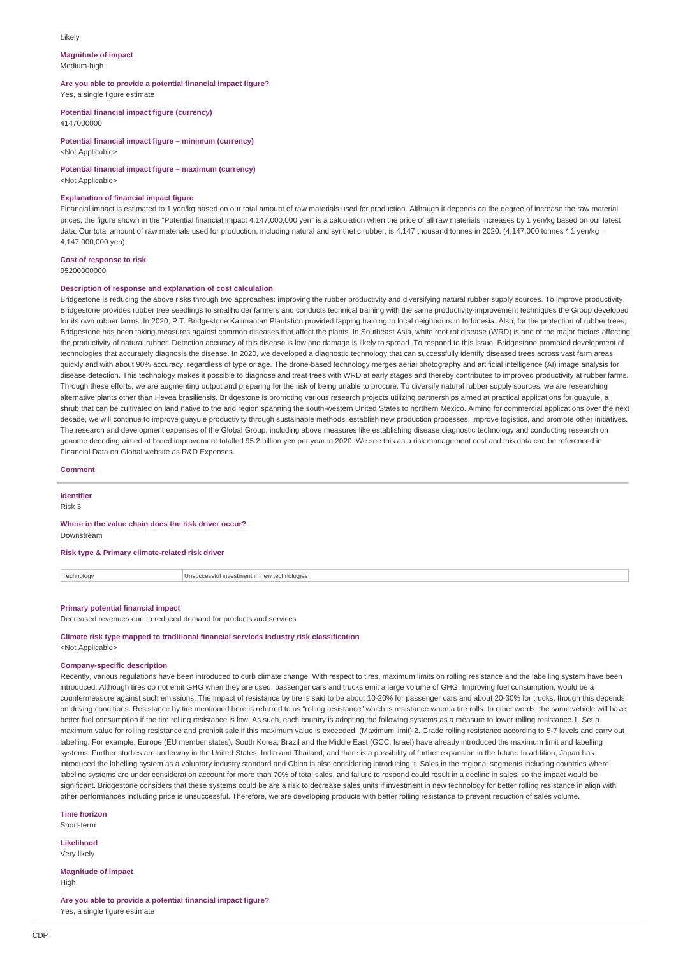#### Likely

**Magnitude of impact** Medium-high

**Are you able to provide a potential financial impact figure?** Yes, a single figure estimate

**Potential financial impact figure (currency)**

4147000000

**Potential financial impact figure – minimum (currency)** <Not Applicable>

**Potential financial impact figure – maximum (currency)**

<Not Applicable>

#### **Explanation of financial impact figure**

Financial impact is estimated to 1 yen/kg based on our total amount of raw materials used for production. Although it depends on the degree of increase the raw material prices, the figure shown in the "Potential financial impact 4,147,000,000 yen" is a calculation when the price of all raw materials increases by 1 yen/kg based on our latest data. Our total amount of raw materials used for production, including natural and synthetic rubber, is 4,147 thousand tonnes in 2020. (4,147,000 tonnes \* 1 yen/kg = 4,147,000,000 yen)

# **Cost of response to risk**

95200000000

#### **Description of response and explanation of cost calculation**

Bridgestone is reducing the above risks through two approaches: improving the rubber productivity and diversifying natural rubber supply sources. To improve productivity, Bridgestone provides rubber tree seedlings to smallholder farmers and conducts technical training with the same productivity-improvement techniques the Group developed for its own rubber farms. In 2020, P.T. Bridgestone Kalimantan Plantation provided tapping training to local neighbours in Indonesia. Also, for the protection of rubber trees, Bridgestone has been taking measures against common diseases that affect the plants. In Southeast Asia, white root rot disease (WRD) is one of the major factors affecting the productivity of natural rubber. Detection accuracy of this disease is low and damage is likely to spread. To respond to this issue, Bridgestone promoted development of technologies that accurately diagnosis the disease. In 2020, we developed a diagnostic technology that can successfully identify diseased trees across vast farm areas quickly and with about 90% accuracy, regardless of type or age. The drone-based technology merges aerial photography and artificial intelligence (AI) image analysis for disease detection. This technology makes it possible to diagnose and treat trees with WRD at early stages and thereby contributes to improved productivity at rubber farms. Through these efforts, we are augmenting output and preparing for the risk of being unable to procure. To diversify natural rubber supply sources, we are researching alternative plants other than Hevea brasiliensis. Bridgestone is promoting various research projects utilizing partnerships aimed at practical applications for guayule, a shrub that can be cultivated on land native to the arid region spanning the south-western United States to northern Mexico. Aiming for commercial applications over the next decade, we will continue to improve guayule productivity through sustainable methods, establish new production processes, improve logistics, and promote other initiatives. The research and development expenses of the Global Group, including above measures like establishing disease diagnostic technology and conducting research on genome decoding aimed at breed improvement totalled 95.2 billion yen per year in 2020. We see this as a risk management cost and this data can be referenced in Financial Data on Global website as R&D Expenses.

### **Comment**

**Identifier**

Risk 3

#### **Where in the value chain does the risk driver occur?** Downstream

**Risk type & Primary climate-related risk driver**

Technology Unsuccessful investment in new technologies

### **Primary potential financial impact**

Decreased revenues due to reduced demand for products and services

**Climate risk type mapped to traditional financial services industry risk classification** <Not Applicable>

#### **Company-specific description**

Recently, various regulations have been introduced to curb climate change. With respect to tires, maximum limits on rolling resistance and the labelling system have been introduced. Although tires do not emit GHG when they are used, passenger cars and trucks emit a large volume of GHG. Improving fuel consumption, would be a countermeasure against such emissions. The impact of resistance by tire is said to be about 10-20% for passenger cars and about 20-30% for trucks, though this depends on driving conditions. Resistance by tire mentioned here is referred to as "rolling resistance" which is resistance when a tire rolls. In other words, the same vehicle will have better fuel consumption if the tire rolling resistance is low. As such, each country is adopting the following systems as a measure to lower rolling resistance.1. Set a maximum value for rolling resistance and prohibit sale if this maximum value is exceeded. (Maximum limit) 2. Grade rolling resistance according to 5-7 levels and carry out labelling. For example, Europe (EU member states), South Korea, Brazil and the Middle East (GCC, Israel) have already introduced the maximum limit and labelling systems. Further studies are underway in the United States, India and Thailand, and there is a possibility of further expansion in the future. In addition, Japan has introduced the labelling system as a voluntary industry standard and China is also considering introducing it. Sales in the regional segments including countries where labeling systems are under consideration account for more than 70% of total sales, and failure to respond could result in a decline in sales, so the impact would be significant. Bridgestone considers that these systems could be are a risk to decrease sales units if investment in new technology for better rolling resistance in align with other performances including price is unsuccessful. Therefore, we are developing products with better rolling resistance to prevent reduction of sales volume.

**Time horizon** Short-term

**Likelihood** Very likely

**Magnitude of impact** High

**Are you able to provide a potential financial impact figure?** Yes, a single figure estimate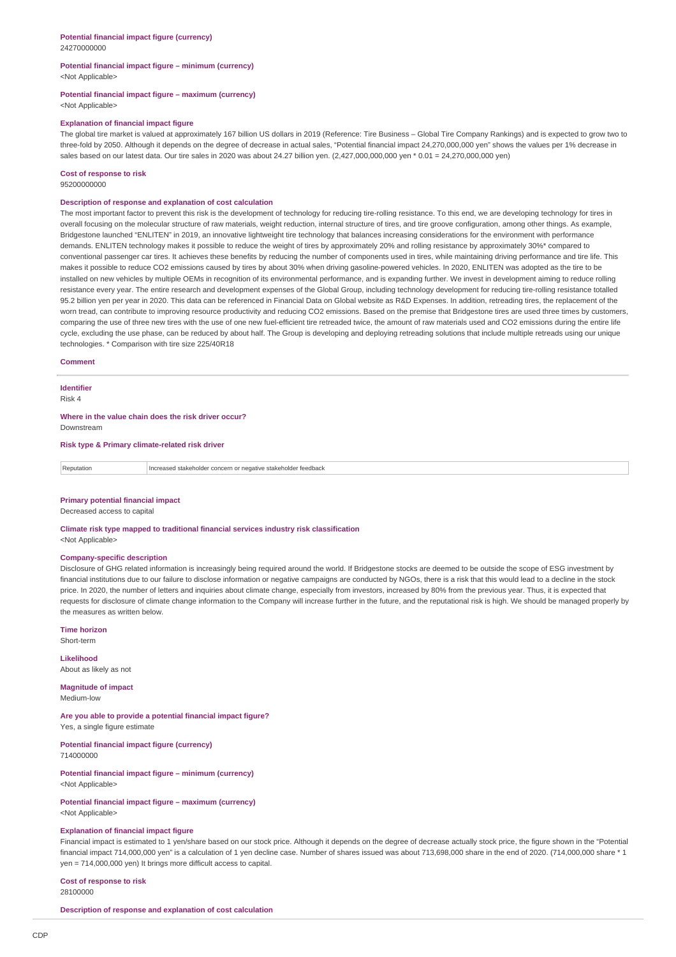#### **Potential financial impact figure – minimum (currency)** <Not Applicable>

#### **Potential financial impact figure – maximum (currency)** <Not Applicable>

### **Explanation of financial impact figure**

The global tire market is valued at approximately 167 billion US dollars in 2019 (Reference: Tire Business – Global Tire Company Rankings) and is expected to grow two to three-fold by 2050. Although it depends on the degree of decrease in actual sales, "Potential financial impact 24,270,000,000 yen" shows the values per 1% decrease in sales based on our latest data. Our tire sales in 2020 was about 24.27 billion yen. (2,427,000,000,000 yen \* 0.01 = 24,270,000,000 yen)

#### **Cost of response to risk**

95200000000

### **Description of response and explanation of cost calculation**

The most important factor to prevent this risk is the development of technology for reducing tire-rolling resistance. To this end, we are developing technology for tires in overall focusing on the molecular structure of raw materials, weight reduction, internal structure of tires, and tire groove configuration, among other things. As example, Bridgestone launched "ENLITEN" in 2019, an innovative lightweight tire technology that balances increasing considerations for the environment with performance demands. ENLITEN technology makes it possible to reduce the weight of tires by approximately 20% and rolling resistance by approximately 30%\* compared to conventional passenger car tires. It achieves these benefits by reducing the number of components used in tires, while maintaining driving performance and tire life. This makes it possible to reduce CO2 emissions caused by tires by about 30% when driving gasoline-powered vehicles. In 2020, ENLITEN was adopted as the tire to be installed on new vehicles by multiple OEMs in recognition of its environmental performance, and is expanding further. We invest in development aiming to reduce rolling resistance every year. The entire research and development expenses of the Global Group, including technology development for reducing tire-rolling resistance totalled 95.2 billion yen per year in 2020. This data can be referenced in Financial Data on Global website as R&D Expenses. In addition, retreading tires, the replacement of the worn tread, can contribute to improving resource productivity and reducing CO2 emissions. Based on the premise that Bridgestone tires are used three times by customers, comparing the use of three new tires with the use of one new fuel-efficient tire retreaded twice, the amount of raw materials used and CO2 emissions during the entire life cycle, excluding the use phase, can be reduced by about half. The Group is developing and deploying retreading solutions that include multiple retreads using our unique technologies. \* Comparison with tire size 225/40R18

#### **Comment**

#### **Identifier**

Risk 4

**Where in the value chain does the risk driver occur?** Downstream

#### **Risk type & Primary climate-related risk driver**

| Reputation | Increased stakeholder concern or negative stakeholder feedback |
|------------|----------------------------------------------------------------|
|------------|----------------------------------------------------------------|

#### **Primary potential financial impact**

Decreased access to capital

**Climate risk type mapped to traditional financial services industry risk classification** <Not Applicable>

#### **Company-specific description**

Disclosure of GHG related information is increasingly being required around the world. If Bridgestone stocks are deemed to be outside the scope of ESG investment by financial institutions due to our failure to disclose information or negative campaigns are conducted by NGOs, there is a risk that this would lead to a decline in the stock price. In 2020, the number of letters and inquiries about climate change, especially from investors, increased by 80% from the previous year. Thus, it is expected that requests for disclosure of climate change information to the Company will increase further in the future, and the reputational risk is high. We should be managed properly by the measures as written below.

**Time horizon**

Short-term

# **Likelihood**

About as likely as not

**Magnitude of impact** Medium-low

**Are you able to provide a potential financial impact figure?** Yes, a single figure estimate

**Potential financial impact figure (currency)** 714000000

**Potential financial impact figure – minimum (currency)** <Not Applicable>

**Potential financial impact figure – maximum (currency)** <Not Applicable>

### **Explanation of financial impact figure**

Financial impact is estimated to 1 yen/share based on our stock price. Although it depends on the degree of decrease actually stock price, the figure shown in the "Potential financial impact 714,000,000 yen" is a calculation of 1 yen decline case. Number of shares issued was about 713,698,000 share in the end of 2020. (714,000,000 share \* 1 yen = 714,000,000 yen) It brings more difficult access to capital.

**Cost of response to risk**

28100000

**Description of response and explanation of cost calculation**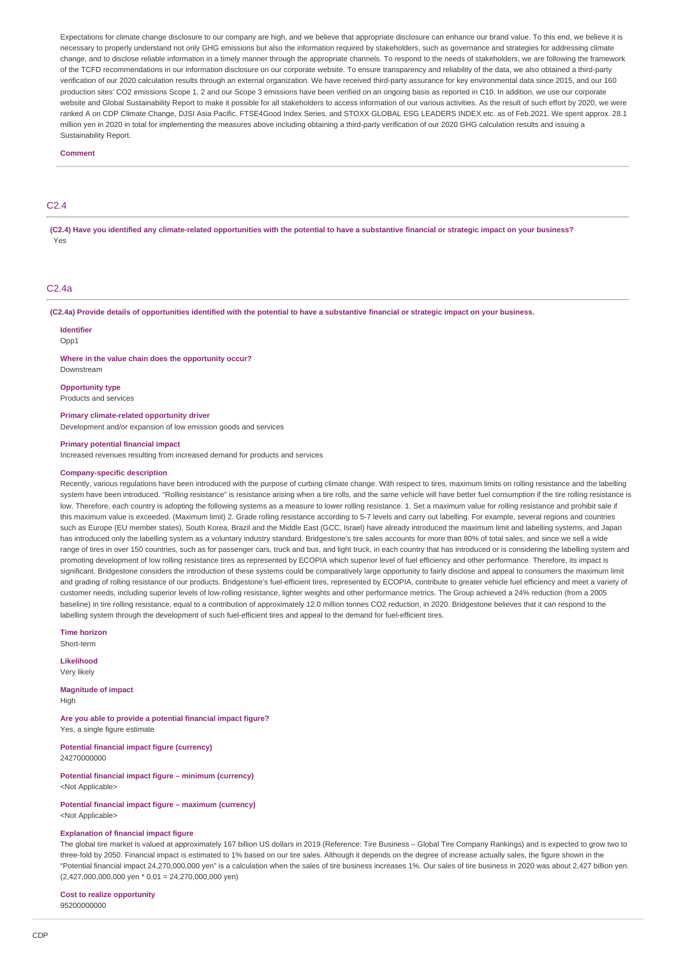Expectations for climate change disclosure to our company are high, and we believe that appropriate disclosure can enhance our brand value. To this end, we believe it is necessary to properly understand not only GHG emissions but also the information required by stakeholders, such as governance and strategies for addressing climate change, and to disclose reliable information in a timely manner through the appropriate channels. To respond to the needs of stakeholders, we are following the framework of the TCFD recommendations in our information disclosure on our corporate website. To ensure transparency and reliability of the data, we also obtained a third-party verification of our 2020 calculation results through an external organization. We have received third-party assurance for key environmental data since 2015, and our 160 production sites' CO2 emissions Scope 1, 2 and our Scope 3 emissions have been verified on an ongoing basis as reported in C10. In addition, we use our corporate website and Global Sustainability Report to make it possible for all stakeholders to access information of our various activities. As the result of such effort by 2020, we were ranked A on CDP Climate Change, DJSI Asia Pacific, FTSE4Good Index Series, and STOXX GLOBAL ESG LEADERS INDEX etc. as of Feb.2021. We spent approx. 28.1 million yen in 2020 in total for implementing the measures above including obtaining a third-party verification of our 2020 GHG calculation results and issuing a Sustainability Report.

#### **Comment**

# $C<sub>2.4</sub>$

**(C2.4) Have you identified any climate-related opportunities with the potential to have a substantive financial or strategic impact on your business?** Yes

# C2.4a

**(C2.4a) Provide details of opportunities identified with the potential to have a substantive financial or strategic impact on your business.**

#### **Identifier**

Opp1

**Where in the value chain does the opportunity occur?**

# Downstream **Opportunity type**

Products and services

#### **Primary climate-related opportunity driver**

Development and/or expansion of low emission goods and services

#### **Primary potential financial impact**

Increased revenues resulting from increased demand for products and services

#### **Company-specific description**

Recently, various regulations have been introduced with the purpose of curbing climate change. With respect to tires, maximum limits on rolling resistance and the labelling system have been introduced. "Rolling resistance" is resistance arising when a tire rolls, and the same vehicle will have better fuel consumption if the tire rolling resistance is low. Therefore, each country is adopting the following systems as a measure to lower rolling resistance. 1. Set a maximum value for rolling resistance and prohibit sale if this maximum value is exceeded. (Maximum limit) 2. Grade rolling resistance according to 5-7 levels and carry out labelling. For example, several regions and countries such as Europe (EU member states), South Korea, Brazil and the Middle East (GCC, Israel) have already introduced the maximum limit and labelling systems, and Japan has introduced only the labelling system as a voluntary industry standard. Bridgestone's tire sales accounts for more than 80% of total sales, and since we sell a wide range of tires in over 150 countries, such as for passenger cars, truck and bus, and light truck, in each country that has introduced or is considering the labelling system and promoting development of low rolling resistance tires as represented by ECOPIA which superior level of fuel efficiency and other performance. Therefore, its impact is significant. Bridgestone considers the introduction of these systems could be comparatively large opportunity to fairly disclose and appeal to consumers the maximum limit and grading of rolling resistance of our products. Bridgestone's fuel-efficient tires, represented by ECOPIA, contribute to greater vehicle fuel efficiency and meet a variety of customer needs, including superior levels of low-rolling resistance, lighter weights and other performance metrics. The Group achieved a 24% reduction (from a 2005 baseline) in tire rolling resistance, equal to a contribution of approximately 12.0 million tonnes CO2 reduction, in 2020. Bridgestone believes that it can respond to the labelling system through the development of such fuel-efficient tires and appeal to the demand for fuel-efficient tires.

**Time horizon**

Short-term

**Likelihood** Very likely

**Magnitude of impact** High

**Are you able to provide a potential financial impact figure?** Yes, a single figure estimate

**Potential financial impact figure (currency)** 24270000000

**Potential financial impact figure – minimum (currency)** <Not Applicable>

**Potential financial impact figure – maximum (currency)** <Not Applicable>

### **Explanation of financial impact figure**

The global tire market is valued at approximately 167 billion US dollars in 2019 (Reference: Tire Business – Global Tire Company Rankings) and is expected to grow two to three-fold by 2050. Financial impact is estimated to 1% based on our tire sales. Although it depends on the degree of increase actually sales, the figure shown in the "Potential financial impact 24,270,000,000 yen" is a calculation when the sales of tire business increases 1%. Our sales of tire business in 2020 was about 2,427 billion yen. (2,427,000,000,000 yen \* 0.01 = 24,270,000,000 yen)

**Cost to realize opportunity** 95200000000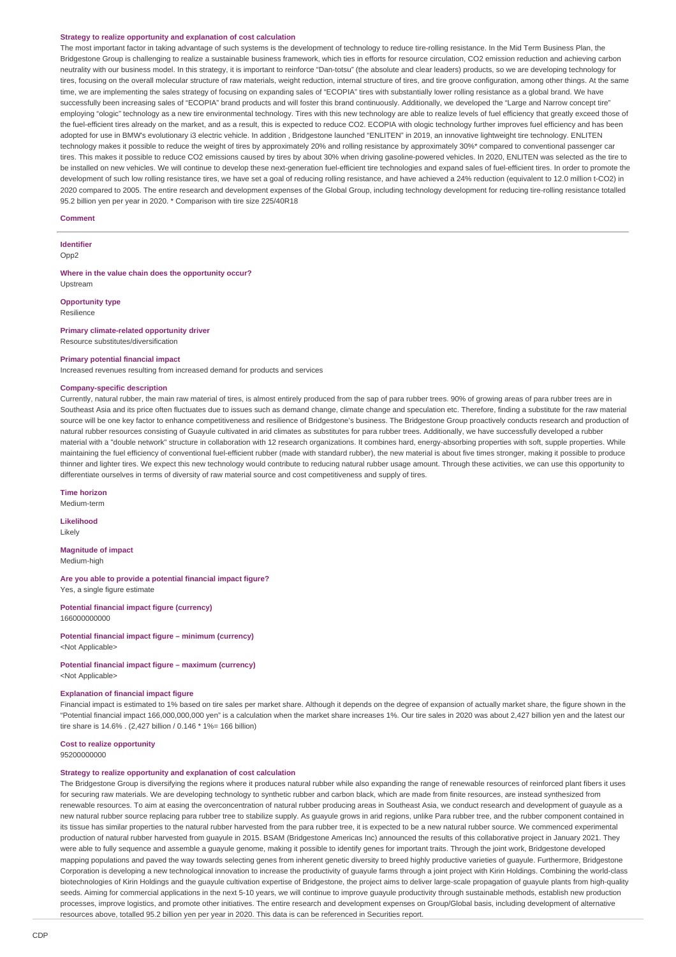#### **Strategy to realize opportunity and explanation of cost calculation**

The most important factor in taking advantage of such systems is the development of technology to reduce tire-rolling resistance. In the Mid Term Business Plan, the Bridgestone Group is challenging to realize a sustainable business framework, which ties in efforts for resource circulation, CO2 emission reduction and achieving carbon neutrality with our business model. In this strategy, it is important to reinforce "Dan-totsu" (the absolute and clear leaders) products, so we are developing technology for tires, focusing on the overall molecular structure of raw materials, weight reduction, internal structure of tires, and tire groove configuration, among other things. At the same time, we are implementing the sales strategy of focusing on expanding sales of "ECOPIA" tires with substantially lower rolling resistance as a global brand. We have successfully been increasing sales of "ECOPIA" brand products and will foster this brand continuously. Additionally, we developed the "Large and Narrow concept tire" employing "ologic" technology as a new tire environmental technology. Tires with this new technology are able to realize levels of fuel efficiency that greatly exceed those of the fuel-efficient tires already on the market, and as a result, this is expected to reduce CO2. ECOPIA with ologic technology further improves fuel efficiency and has been adopted for use in BMW's evolutionary i3 electric vehicle. In addition , Bridgestone launched "ENLITEN" in 2019, an innovative lightweight tire technology. ENLITEN technology makes it possible to reduce the weight of tires by approximately 20% and rolling resistance by approximately 30%\* compared to conventional passenger car tires. This makes it possible to reduce CO2 emissions caused by tires by about 30% when driving gasoline-powered vehicles. In 2020, ENLITEN was selected as the tire to be installed on new vehicles. We will continue to develop these next-generation fuel-efficient tire technologies and expand sales of fuel-efficient tires. In order to promote the development of such low rolling resistance tires, we have set a goal of reducing rolling resistance, and have achieved a 24% reduction (equivalent to 12.0 million t-CO2) in 2020 compared to 2005. The entire research and development expenses of the Global Group, including technology development for reducing tire-rolling resistance totalled 95.2 billion yen per year in 2020. \* Comparison with tire size 225/40R18

#### **Comment**

**Identifier** Opp<sub>2</sub>

#### **Where in the value chain does the opportunity occur?** Upstream

**Opportunity type** Resilience

### **Primary climate-related opportunity driver**

Resource substitutes/diversification

#### **Primary potential financial impact**

Increased revenues resulting from increased demand for products and services

#### **Company-specific description**

Currently, natural rubber, the main raw material of tires, is almost entirely produced from the sap of para rubber trees. 90% of growing areas of para rubber trees are in Southeast Asia and its price often fluctuates due to issues such as demand change, climate change and speculation etc. Therefore, finding a substitute for the raw material source will be one key factor to enhance competitiveness and resilience of Bridgestone's business. The Bridgestone Group proactively conducts research and production of natural rubber resources consisting of Guayule cultivated in arid climates as substitutes for para rubber trees. Additionally, we have successfully developed a rubber material with a "double network" structure in collaboration with 12 research organizations. It combines hard, energy-absorbing properties with soft, supple properties. While maintaining the fuel efficiency of conventional fuel-efficient rubber (made with standard rubber), the new material is about five times stronger, making it possible to produce thinner and lighter tires. We expect this new technology would contribute to reducing natural rubber usage amount. Through these activities, we can use this opportunity to differentiate ourselves in terms of diversity of raw material source and cost competitiveness and supply of tires.

**Time horizon**

Medium-term

**Likelihood** Likely

# **Magnitude of impact**

Medium-high

**Are you able to provide a potential financial impact figure?** Yes, a single figure estimate

**Potential financial impact figure (currency)** 166000000000

**Potential financial impact figure – minimum (currency)** <Not Applicable>

### **Potential financial impact figure – maximum (currency)** <Not Applicable>

# **Explanation of financial impact figure**

Financial impact is estimated to 1% based on tire sales per market share. Although it depends on the degree of expansion of actually market share, the figure shown in the "Potential financial impact 166,000,000,000 yen" is a calculation when the market share increases 1%. Our tire sales in 2020 was about 2,427 billion yen and the latest our tire share is 14.6% . (2,427 billion / 0.146 \* 1%= 166 billion)

# **Cost to realize opportunity**

95200000000

### **Strategy to realize opportunity and explanation of cost calculation**

The Bridgestone Group is diversifying the regions where it produces natural rubber while also expanding the range of renewable resources of reinforced plant fibers it uses for securing raw materials. We are developing technology to synthetic rubber and carbon black, which are made from finite resources, are instead synthesized from renewable resources. To aim at easing the overconcentration of natural rubber producing areas in Southeast Asia, we conduct research and development of guayule as a new natural rubber source replacing para rubber tree to stabilize supply. As guayule grows in arid regions, unlike Para rubber tree, and the rubber component contained in its tissue has similar properties to the natural rubber harvested from the para rubber tree, it is expected to be a new natural rubber source. We commenced experimental production of natural rubber harvested from guayule in 2015. BSAM (Bridgestone Americas Inc) announced the results of this collaborative project in January 2021. They were able to fully sequence and assemble a guayule genome, making it possible to identify genes for important traits. Through the joint work, Bridgestone developed mapping populations and paved the way towards selecting genes from inherent genetic diversity to breed highly productive varieties of guayule. Furthermore, Bridgestone Corporation is developing a new technological innovation to increase the productivity of guayule farms through a joint project with Kirin Holdings. Combining the world-class biotechnologies of Kirin Holdings and the guayule cultivation expertise of Bridgestone, the project aims to deliver large-scale propagation of guayule plants from high-quality seeds. Aiming for commercial applications in the next 5-10 years, we will continue to improve guayule productivity through sustainable methods, establish new production processes, improve logistics, and promote other initiatives. The entire research and development expenses on Group/Global basis, including development of alternative resources above, totalled 95.2 billion yen per year in 2020. This data is can be referenced in Securities report.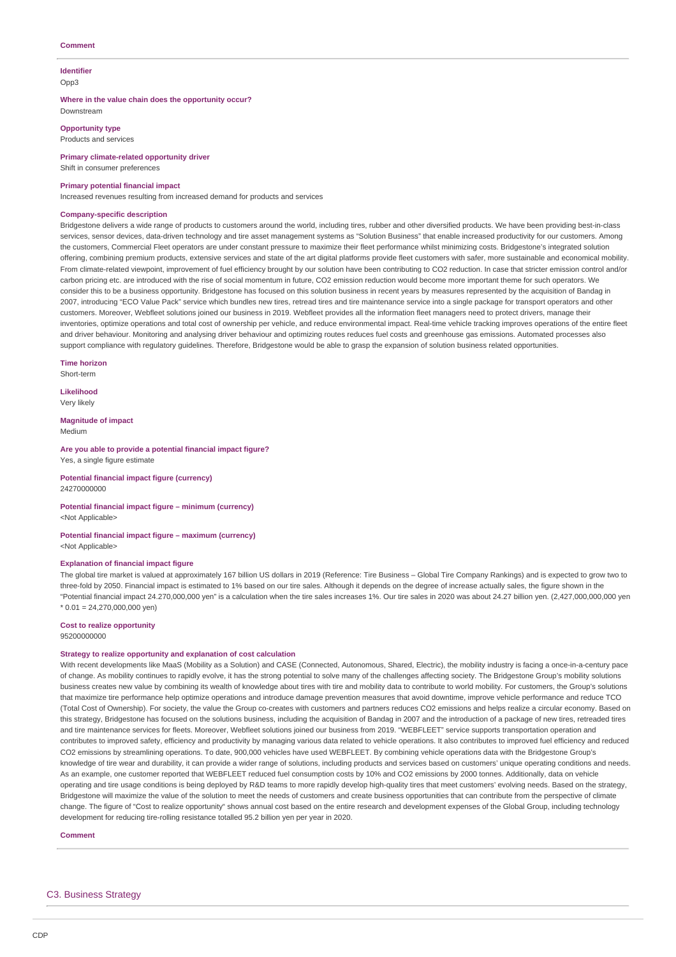### **Comment**

### **Identifier**

Opp3

#### **Where in the value chain does the opportunity occur?** Downstream

**Opportunity type** Products and services

# **Primary climate-related opportunity driver** Shift in consumer preferences

# **Primary potential financial impact**

Increased revenues resulting from increased demand for products and services

#### **Company-specific description**

Bridgestone delivers a wide range of products to customers around the world, including tires, rubber and other diversified products. We have been providing best-in-class services, sensor devices, data-driven technology and tire asset management systems as "Solution Business" that enable increased productivity for our customers. Among the customers, Commercial Fleet operators are under constant pressure to maximize their fleet performance whilst minimizing costs. Bridgestone's integrated solution offering, combining premium products, extensive services and state of the art digital platforms provide fleet customers with safer, more sustainable and economical mobility. From climate-related viewpoint, improvement of fuel efficiency brought by our solution have been contributing to CO2 reduction. In case that stricter emission control and/or carbon pricing etc. are introduced with the rise of social momentum in future, CO2 emission reduction would become more important theme for such operators. We consider this to be a business opportunity. Bridgestone has focused on this solution business in recent years by measures represented by the acquisition of Bandag in 2007, introducing "ECO Value Pack" service which bundles new tires, retread tires and tire maintenance service into a single package for transport operators and other customers. Moreover, Webfleet solutions joined our business in 2019. Webfleet provides all the information fleet managers need to protect drivers, manage their inventories, optimize operations and total cost of ownership per vehicle, and reduce environmental impact. Real-time vehicle tracking improves operations of the entire fleet and driver behaviour. Monitoring and analysing driver behaviour and optimizing routes reduces fuel costs and greenhouse gas emissions. Automated processes also support compliance with regulatory guidelines. Therefore, Bridgestone would be able to grasp the expansion of solution business related opportunities.

**Time horizon**

Short-term

**Likelihood** Very likely

**Magnitude of impact** Medium

#### **Are you able to provide a potential financial impact figure?** Yes, a single figure estimate

**Potential financial impact figure (currency)**

24270000000

### **Potential financial impact figure – minimum (currency)** <Not Applicable>

#### **Potential financial impact figure – maximum (currency)** <Not Applicable>

### **Explanation of financial impact figure**

The global tire market is valued at approximately 167 billion US dollars in 2019 (Reference: Tire Business – Global Tire Company Rankings) and is expected to grow two to three-fold by 2050. Financial impact is estimated to 1% based on our tire sales. Although it depends on the degree of increase actually sales, the figure shown in the "Potential financial impact 24.270,000,000 yen" is a calculation when the tire sales increases 1%. Our tire sales in 2020 was about 24.27 billion yen. (2,427,000,000,000 yen  $*$  0.01 = 24,270,000,000 yen)

### **Cost to realize opportunity**

95200000000

### **Strategy to realize opportunity and explanation of cost calculation**

With recent developments like MaaS (Mobility as a Solution) and CASE (Connected, Autonomous, Shared, Electric), the mobility industry is facing a once-in-a-century pace of change. As mobility continues to rapidly evolve, it has the strong potential to solve many of the challenges affecting society. The Bridgestone Group's mobility solutions business creates new value by combining its wealth of knowledge about tires with tire and mobility data to contribute to world mobility. For customers, the Group's solutions that maximize tire performance help optimize operations and introduce damage prevention measures that avoid downtime, improve vehicle performance and reduce TCO (Total Cost of Ownership). For society, the value the Group co-creates with customers and partners reduces CO2 emissions and helps realize a circular economy. Based on this strategy, Bridgestone has focused on the solutions business, including the acquisition of Bandag in 2007 and the introduction of a package of new tires, retreaded tires and tire maintenance services for fleets. Moreover, Webfleet solutions joined our business from 2019. "WEBFLEET" service supports transportation operation and contributes to improved safety, efficiency and productivity by managing various data related to vehicle operations. It also contributes to improved fuel efficiency and reduced CO2 emissions by streamlining operations. To date, 900,000 vehicles have used WEBFLEET. By combining vehicle operations data with the Bridgestone Group's knowledge of tire wear and durability, it can provide a wider range of solutions, including products and services based on customers' unique operating conditions and needs. As an example, one customer reported that WEBFLEET reduced fuel consumption costs by 10% and CO2 emissions by 2000 tonnes. Additionally, data on vehicle operating and tire usage conditions is being deployed by R&D teams to more rapidly develop high-quality tires that meet customers' evolving needs. Based on the strategy, Bridgestone will maximize the value of the solution to meet the needs of customers and create business opportunities that can contribute from the perspective of climate change. The figure of "Cost to realize opportunity" shows annual cost based on the entire research and development expenses of the Global Group, including technology development for reducing tire-rolling resistance totalled 95.2 billion yen per year in 2020.

**Comment**

C3. Business Strategy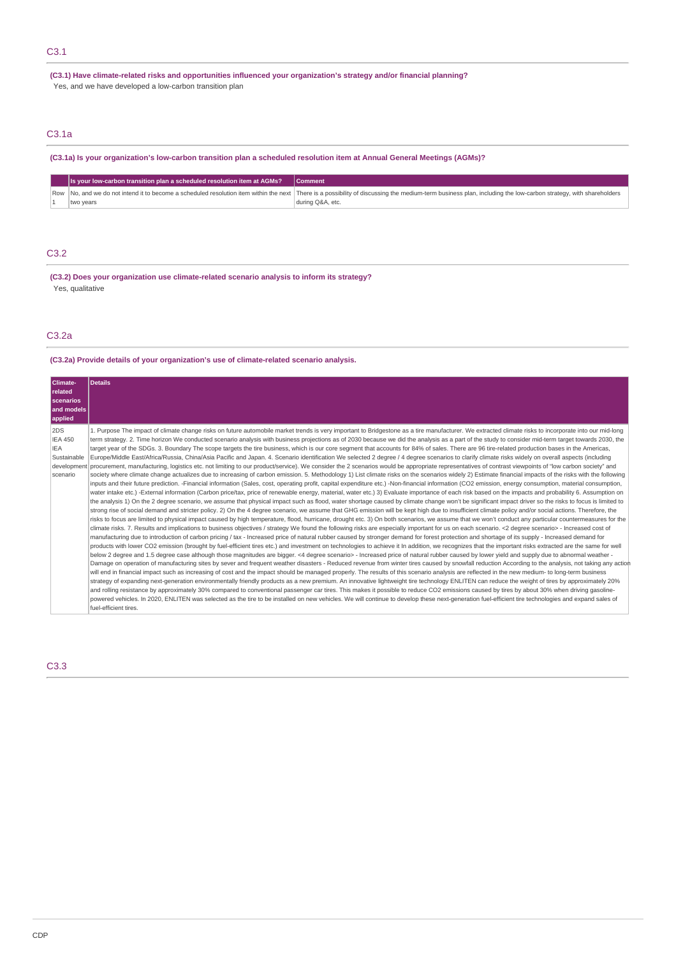**(C3.1) Have climate-related risks and opportunities influenced your organization's strategy and/or financial planning?** Yes, and we have developed a low-carbon transition plan

# C3.1a

**(C3.1a) Is your organization's low-carbon transition plan a scheduled resolution item at Annual General Meetings (AGMs)?**

|  | Is your low-carbon transition plan a scheduled resolution item at AGMs? | <b>Comment</b>                                                                                                                                                                                                 |
|--|-------------------------------------------------------------------------|----------------------------------------------------------------------------------------------------------------------------------------------------------------------------------------------------------------|
|  |                                                                         | Row No, and we do not intend it to become a scheduled resolution item within the next There is a possibility of discussing the medium-term business plan, including the low-carbon strategy, with shareholders |
|  | two years                                                               | during Q&A, etc.                                                                                                                                                                                               |

# C3.2

**(C3.2) Does your organization use climate-related scenario analysis to inform its strategy?** Yes, qualitative

# C3.2a

**(C3.2a) Provide details of your organization's use of climate-related scenario analysis.**

| Climate-<br>related<br><b>scenarios</b><br>and models<br>applied | <b>Details</b>                                                                                                                                                                                                                                                                                                                                                                                                                                                                                                                                                                                                                                                                                                                                                                                                                                                                                                                                                                                                                                                                                                                                                                                                                                                                                                                                                                                                                                                                                                                                                                                                                                                                                                                                                                                                                                                                                                                                                                                                                                                                                                                                                                                                                                                                                                                                                                                                                                                                                                                                                                                                                                                                                                                                                                                                                                                                                                                                                                                                                                                                                                                                                                                                                                                                                                                                                                                                                                                                                                                                                                                                                                                                                                                                                                                                                                                                                                                                                                                                                                                                                                                                                             |
|------------------------------------------------------------------|----------------------------------------------------------------------------------------------------------------------------------------------------------------------------------------------------------------------------------------------------------------------------------------------------------------------------------------------------------------------------------------------------------------------------------------------------------------------------------------------------------------------------------------------------------------------------------------------------------------------------------------------------------------------------------------------------------------------------------------------------------------------------------------------------------------------------------------------------------------------------------------------------------------------------------------------------------------------------------------------------------------------------------------------------------------------------------------------------------------------------------------------------------------------------------------------------------------------------------------------------------------------------------------------------------------------------------------------------------------------------------------------------------------------------------------------------------------------------------------------------------------------------------------------------------------------------------------------------------------------------------------------------------------------------------------------------------------------------------------------------------------------------------------------------------------------------------------------------------------------------------------------------------------------------------------------------------------------------------------------------------------------------------------------------------------------------------------------------------------------------------------------------------------------------------------------------------------------------------------------------------------------------------------------------------------------------------------------------------------------------------------------------------------------------------------------------------------------------------------------------------------------------------------------------------------------------------------------------------------------------------------------------------------------------------------------------------------------------------------------------------------------------------------------------------------------------------------------------------------------------------------------------------------------------------------------------------------------------------------------------------------------------------------------------------------------------------------------------------------------------------------------------------------------------------------------------------------------------------------------------------------------------------------------------------------------------------------------------------------------------------------------------------------------------------------------------------------------------------------------------------------------------------------------------------------------------------------------------------------------------------------------------------------------------------------------------------------------------------------------------------------------------------------------------------------------------------------------------------------------------------------------------------------------------------------------------------------------------------------------------------------------------------------------------------------------------------------------------------------------------------------------------------------------------|
| 2DS<br><b>IEA 450</b><br><b>IEA</b><br>Sustainable<br>scenario   | 1. Purpose The impact of climate change risks on future automobile market trends is very important to Bridgestone as a tire manufacturer. We extracted climate risks to incorporate into our mid-long<br>term strategy. 2. Time horizon We conducted scenario analysis with business projections as of 2030 because we did the analysis as a part of the study to consider mid-term target towards 2030, the<br>target year of the SDGs. 3. Boundary The scope targets the tire business, which is our core segment that accounts for 84% of sales. There are 96 tire-related production bases in the Americas,<br>Europe/Middle East/Africa/Russia, China/Asia Pacific and Japan. 4. Scenario identification We selected 2 degree / 4 degree scenarios to clarify climate risks widely on overall aspects (including<br>development procurement, manufacturing, logistics etc. not limiting to our product/service). We consider the 2 scenarios would be appropriate representatives of contrast viewpoints of "low carbon society" and<br>society where climate change actualizes due to increasing of carbon emission. 5. Methodology 1) List climate risks on the scenarios widely 2) Estimate financial impacts of the risks with the following<br>inputs and their future prediction. -Financial information (Sales, cost, operating profit, capital expenditure etc.) -Non-financial information (CO2 emission, energy consumption, material consumption,<br>water intake etc.) -External information (Carbon price/tax, price of renewable energy, material, water etc.) 3) Evaluate importance of each risk based on the impacts and probability 6. Assumption on<br>the analysis 1) On the 2 degree scenario, we assume that physical impact such as flood, water shortage caused by climate change won't be significant impact driver so the risks to focus is limited to<br>strong rise of social demand and stricter policy. 2) On the 4 degree scenario, we assume that GHG emission will be kept high due to insufficient climate policy and/or social actions. Therefore, the<br>risks to focus are limited to physical impact caused by high temperature, flood, hurricane, drought etc. 3) On both scenarios, we assume that we won't conduct any particular countermeasures for the<br>climate risks. 7. Results and implications to business objectives / strategy We found the following risks are especially important for us on each scenario. <2 degree scenario> - Increased cost of<br>manufacturing due to introduction of carbon pricing / tax - Increased price of natural rubber caused by stronger demand for forest protection and shortage of its supply - Increased demand for<br>products with lower CO2 emission (brought by fuel-efficient tires etc.) and investment on technologies to achieve it In addition, we recognizes that the important risks extracted are the same for well<br>below 2 degree and 1.5 degree case although those magnitudes are bigger. <4 degree scenario> - Increased price of natural rubber caused by lower yield and supply due to abnormal weather -<br>Damage on operation of manufacturing sites by sever and frequent weather disasters - Reduced revenue from winter tires caused by snowfall reduction According to the analysis, not taking any action<br>will end in financial impact such as increasing of cost and the impact should be managed properly. The results of this scenario analysis are reflected in the new medium- to long-term business<br>strategy of expanding next-generation environmentally friendly products as a new premium. An innovative lightweight tire technology ENLITEN can reduce the weight of tires by approximately 20%<br>and rolling resistance by approximately 30% compared to conventional passenger car tires. This makes it possible to reduce CO2 emissions caused by tires by about 30% when driving gasoline-<br>powered vehicles. In 2020, ENLITEN was selected as the tire to be installed on new vehicles. We will continue to develop these next-generation fuel-efficient tire technologies and expand sales of<br>fuel-efficient tires. |

# C3.3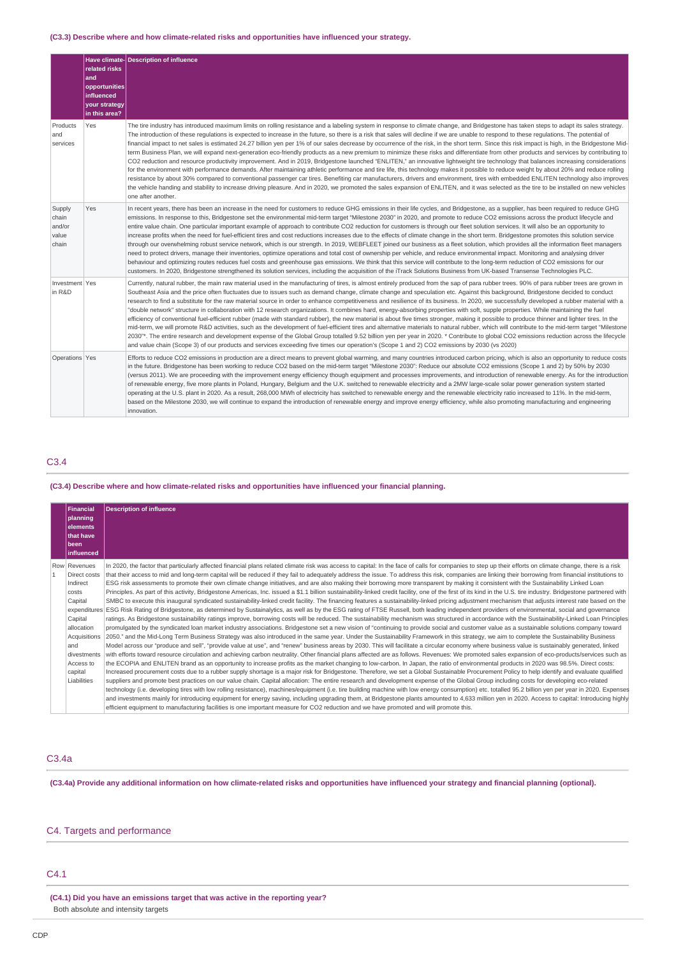### **(C3.3) Describe where and how climate-related risks and opportunities have influenced your strategy.**

|                                             | related risks<br>and<br>opportunities<br>influenced<br>your strategy<br>in this area? | Have climate-Description of influence                                                                                                                                                                                                                                                                                                                                                                                                                                                                                                                                                                                                                                                                                                                                                                                                                                                                                                                                                                                                                                                                                                                                                                                                                                                                                                                                                                                                                                                                                                                                       |
|---------------------------------------------|---------------------------------------------------------------------------------------|-----------------------------------------------------------------------------------------------------------------------------------------------------------------------------------------------------------------------------------------------------------------------------------------------------------------------------------------------------------------------------------------------------------------------------------------------------------------------------------------------------------------------------------------------------------------------------------------------------------------------------------------------------------------------------------------------------------------------------------------------------------------------------------------------------------------------------------------------------------------------------------------------------------------------------------------------------------------------------------------------------------------------------------------------------------------------------------------------------------------------------------------------------------------------------------------------------------------------------------------------------------------------------------------------------------------------------------------------------------------------------------------------------------------------------------------------------------------------------------------------------------------------------------------------------------------------------|
| Products<br>and<br>services                 | Yes                                                                                   | The tire industry has introduced maximum limits on rolling resistance and a labeling system in response to climate change, and Bridgestone has taken steps to adapt its sales strategy.<br>The introduction of these requlations is expected to increase in the future, so there is a risk that sales will decline if we are unable to respond to these requlations. The potential of<br>financial impact to net sales is estimated 24.27 billion yen per 1% of our sales decrease by occurrence of the risk, in the short term. Since this risk impact is high, in the Bridgestone Mid-<br>term Business Plan, we will expand next-generation eco-friendly products as a new premium to minimize these risks and differentiate from other products and services by contributing to<br>CO2 reduction and resource productivity improvement. And in 2019, Bridgestone launched "ENLITEN," an innovative lightweight tire technology that balances increasing considerations<br>for the environment with performance demands. After maintaining athletic performance and tire life, this technology makes it possible to reduce weight by about 20% and reduce rolling<br>resistance by about 30% compared to conventional passenger car tires. Benefiting car manufacturers, drivers and environment, tires with embedded ENLITEN technology also improves<br>the vehicle handing and stability to increase driving pleasure. And in 2020, we promoted the sales expansion of ENLITEN, and it was selected as the tire to be installed on new vehicles<br>one after another. |
| Supply<br>chain<br>and/or<br>value<br>chain | Yes                                                                                   | In recent years, there has been an increase in the need for customers to reduce GHG emissions in their life cycles, and Bridgestone, as a supplier, has been required to reduce GHG<br>emissions. In response to this, Bridgestone set the environmental mid-term target "Milestone 2030" in 2020, and promote to reduce CO2 emissions across the product lifecycle and<br>entire value chain. One particular important example of approach to contribute CO2 reduction for customers is through our fleet solution services. It will also be an opportunity to<br>increase profits when the need for fuel-efficient tires and cost reductions increases due to the effects of climate change in the short term. Bridgestone promotes this solution service<br>through our overwhelming robust service network, which is our strength. In 2019, WEBFLEET joined our business as a fleet solution, which provides all the information fleet managers<br>need to protect drivers, manage their inventories, optimize operations and total cost of ownership per vehicle, and reduce environmental impact. Monitoring and analysing driver<br>behaviour and optimizing routes reduces fuel costs and greenhouse gas emissions. We think that this service will contribute to the long-term reduction of CO2 emissions for our<br>customers. In 2020, Bridgestone strengthened its solution services, including the acquisition of the iTrack Solutions Business from UK-based Transense Technologies PLC.                                                                      |
| Investment Yes<br>in R&D                    |                                                                                       | Currently, natural rubber, the main raw material used in the manufacturing of tires, is almost entirely produced from the sap of para rubber trees. 90% of para rubber trees are grown in<br>Southeast Asia and the price often fluctuates due to issues such as demand change, climate change and speculation etc. Against this background, Bridgestone decided to conduct<br>research to find a substitute for the raw material source in order to enhance competitiveness and resilience of its business. In 2020, we successfully developed a rubber material with a<br>"double network" structure in collaboration with 12 research organizations. It combines hard, energy-absorbing properties with soft, supple properties. While maintaining the fuel<br>efficiency of conventional fuel-efficient rubber (made with standard rubber), the new material is about five times stronger, making it possible to produce thinner and lighter tires. In the<br>mid-term, we will promote R&D activities, such as the development of fuel-efficient tires and alternative materials to natural rubber, which will contribute to the mid-term target "Milestone<br>2030"*. The entire research and development expense of the Global Group totalled 9.52 billion yen per year in 2020. * Contribute to global CO2 emissions reduction across the lifecycle<br>and value chain (Scope 3) of our products and services exceeding five times our operation's (Scope 1 and 2) CO2 emissions by 2030 (vs 2020)                                                                  |
| Operations Yes                              |                                                                                       | Efforts to reduce CO2 emissions in production are a direct means to prevent global warming, and many countries introduced carbon pricing, which is also an opportunity to reduce costs<br>in the future. Bridgestone has been working to reduce CO2 based on the mid-term target "Milestone 2030": Reduce our absolute CO2 emissions (Scope 1 and 2) by 50% by 2030<br>(versus 2011). We are proceeding with the improvement energy efficiency though equipment and processes improvements, and introduction of renewable energy. As for the introduction<br>of renewable energy, five more plants in Poland, Hungary, Belgium and the U.K. switched to renewable electricity and a 2MW large-scale solar power generation system started<br>operating at the U.S. plant in 2020. As a result, 268,000 MWh of electricity has switched to renewable energy and the renewable electricity ratio increased to 11%. In the mid-term,<br>based on the Milestone 2030, we will continue to expand the introduction of renewable energy and improve energy efficiency, while also promoting manufacturing and engineering<br>innovation.                                                                                                                                                                                                                                                                                                                                                                                                                                          |

# C3.4

# **(C3.4) Describe where and how climate-related risks and opportunities have influenced your financial planning.**

| Financial         | <b>Description of influence</b>                                                                                                                                                                                   |  |  |  |  |  |
|-------------------|-------------------------------------------------------------------------------------------------------------------------------------------------------------------------------------------------------------------|--|--|--|--|--|
| planning          |                                                                                                                                                                                                                   |  |  |  |  |  |
| elements          |                                                                                                                                                                                                                   |  |  |  |  |  |
| that have         |                                                                                                                                                                                                                   |  |  |  |  |  |
| l been            |                                                                                                                                                                                                                   |  |  |  |  |  |
| <b>influenced</b> |                                                                                                                                                                                                                   |  |  |  |  |  |
| Row Revenues      | In 2020, the factor that particularly affected financial plans related climate risk was access to capital: In the face of calls for companies to step up their efforts on climate change, there is a risk         |  |  |  |  |  |
| Direct costs      | that their access to mid and long-term capital will be reduced if they fail to adequately address the issue. To address this risk, companies are linking their borrowing from financial institutions to           |  |  |  |  |  |
| Indirect          | ESG risk assessments to promote their own climate change initiatives, and are also making their borrowing more transparent by making it consistent with the Sustainability Linked Loan                            |  |  |  |  |  |
| costs             | Principles. As part of this activity, Bridgestone Americas, Inc. issued a \$1.1 billion sustainability-linked credit facility, one of the first of its kind in the U.S. tire industry. Bridgestone partnered with |  |  |  |  |  |
| Capital           | SMBC to execute this inaugural syndicated sustainability-linked credit facility. The financing features a sustainability-linked pricing adjustment mechanism that adjusts interest rate based on the              |  |  |  |  |  |
| expenditures      | ESG Risk Rating of Bridgestone, as determined by Sustainalytics, as well as by the ESG rating of FTSE Russell, both leading independent providers of environmental, social and governance                         |  |  |  |  |  |
| Capital           | ratings. As Bridgestone sustainability ratings improve, borrowing costs will be reduced. The sustainability mechanism was structured in accordance with the Sustainability-Linked Loan Principles                 |  |  |  |  |  |
| allocation        | promulgated by the syndicated loan market industry associations. Bridgestone set a new vision of "continuing to provide social and customer value as a sustainable solutions company toward                       |  |  |  |  |  |
| Acquisitions      | 2050." and the Mid-Long Term Business Strategy was also introduced in the same year. Under the Sustainability Framework in this strategy, we aim to complete the Sustainability Business                          |  |  |  |  |  |
| land              | Model across our "produce and sell", "provide value at use", and "renew" business areas by 2030. This will facilitate a circular economy where business value is sustainably generated, linked                    |  |  |  |  |  |
| divestments       | with efforts toward resource circulation and achieving carbon neutrality. Other financial plans affected are as follows. Revenues: We promoted sales expansion of eco-products/services such as                   |  |  |  |  |  |
| Access to         | the ECOPIA and ENLITEN brand as an opportunity to increase profits as the market changing to low-carbon. In Japan, the ratio of environmental products in 2020 was 98.5%. Direct costs:                           |  |  |  |  |  |
| capital           | Increased procurement costs due to a rubber supply shortage is a major risk for Bridgestone. Therefore, we set a Global Sustainable Procurement Policy to help identify and evaluate qualified                    |  |  |  |  |  |
| Liabilities       | suppliers and promote best practices on our value chain. Capital allocation: The entire research and development expense of the Global Group including costs for developing eco-related                           |  |  |  |  |  |
|                   | technology (i.e. developing tires with low rolling resistance), machines/equipment (i.e. tire building machine with low energy consumption) etc. totalled 95.2 billion yen per year in 2020. Expenses             |  |  |  |  |  |
|                   | and investments mainly for introducing equipment for energy saving, including upgrading them, at Bridgestone plants amounted to 4,633 million yen in 2020. Access to capital: Introducing highly                  |  |  |  |  |  |
|                   | efficient equipment to manufacturing facilities is one important measure for CO2 reduction and we have promoted and will promote this.                                                                            |  |  |  |  |  |

### C3.4a

**(C3.4a) Provide any additional information on how climate-related risks and opportunities have influenced your strategy and financial planning (optional).**

# C4. Targets and performance

# C4.1

**(C4.1) Did you have an emissions target that was active in the reporting year?** Both absolute and intensity targets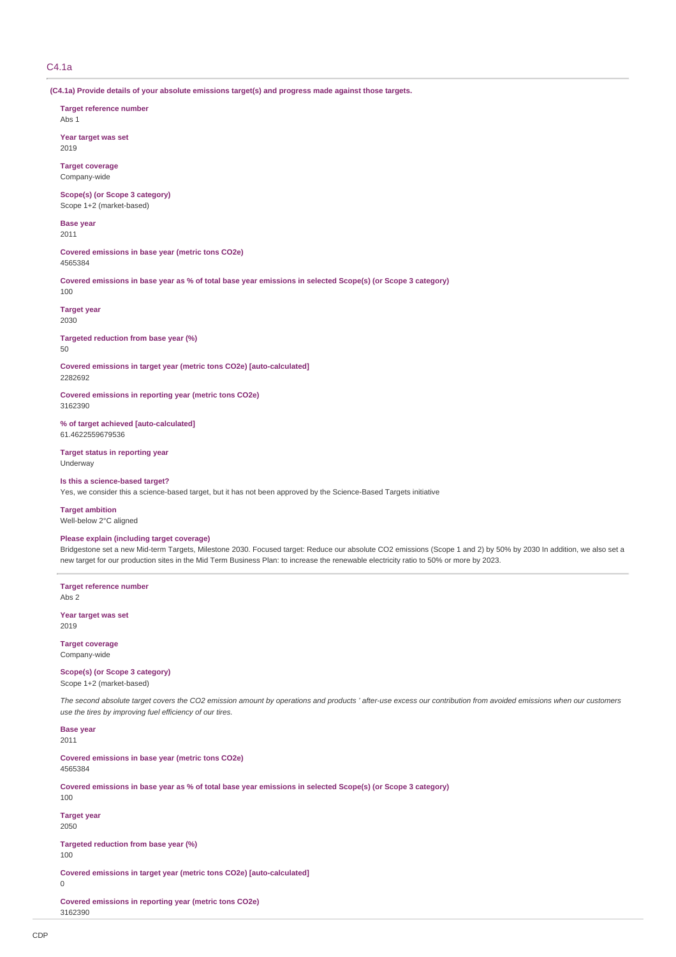# C4.1a

**(C4.1a) Provide details of your absolute emissions target(s) and progress made against those targets.**

**Target reference number**

Abs 1

**Year target was set** 2019

**Target coverage** Company-wide

**Scope(s) (or Scope 3 category)** Scope 1+2 (market-based)

**Base year** 2011

**Covered emissions in base year (metric tons CO2e)** 4565384

**Covered emissions in base year as % of total base year emissions in selected Scope(s) (or Scope 3 category)** 100

**Target year** 2030

**Targeted reduction from base year (%)** 50

**Covered emissions in target year (metric tons CO2e) [auto-calculated]** 2282692

**Covered emissions in reporting year (metric tons CO2e)** 3162390

**% of target achieved [auto-calculated]** 61.4622559679536

**Target status in reporting year** Underway

### **Is this a science-based target?**

Yes, we consider this a science-based target, but it has not been approved by the Science-Based Targets initiative

**Target ambition**

Well-below 2°C aligned

### **Please explain (including target coverage)**

Bridgestone set a new Mid-term Targets, Milestone 2030. Focused target: Reduce our absolute CO2 emissions (Scope 1 and 2) by 50% by 2030 In addition, we also set a new target for our production sites in the Mid Term Business Plan: to increase the renewable electricity ratio to 50% or more by 2023.

**Target reference number** Abs 2

**Year target was set** 2019

**Target coverage**

Company-wide

# **Scope(s) (or Scope 3 category)**

Scope 1+2 (market-based)

*The second absolute target covers the CO2 emission amount by operations and products ' after-use excess our contribution from avoided emissions when our customers use the tires by improving fuel efficiency of our tires.*

**Base year** 2011

**Covered emissions in base year (metric tons CO2e)** 4565384

**Covered emissions in base year as % of total base year emissions in selected Scope(s) (or Scope 3 category)** 100

**Target year** 2050

**Targeted reduction from base year (%)** 100

**Covered emissions in target year (metric tons CO2e) [auto-calculated]**

0

**Covered emissions in reporting year (metric tons CO2e)** 3162390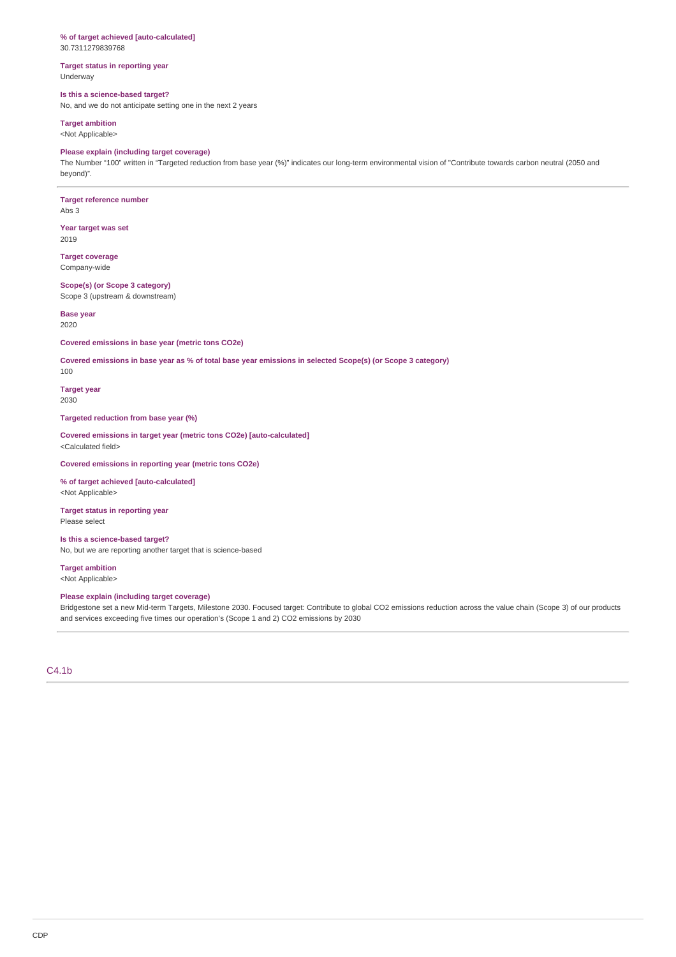# **% of target achieved [auto-calculated]**

30.7311279839768

### **Target status in reporting year** Underway

# **Is this a science-based target?**

No, and we do not anticipate setting one in the next 2 years

**Target ambition** <Not Applicable>

### **Please explain (including target coverage)**

The Number "100" written in "Targeted reduction from base year (%)" indicates our long-term environmental vision of "Contribute towards carbon neutral (2050 and beyond)".

# **Target reference number**

Abs 3

**Year target was set** 2019

**Target coverage** Company-wide

**Scope(s) (or Scope 3 category)** Scope 3 (upstream & downstream)

**Base year** 2020

**Covered emissions in base year (metric tons CO2e)**

**Covered emissions in base year as % of total base year emissions in selected Scope(s) (or Scope 3 category)**

100

**Target year** 2030

### **Targeted reduction from base year (%)**

**Covered emissions in target year (metric tons CO2e) [auto-calculated]** <Calculated field>

**Covered emissions in reporting year (metric tons CO2e)**

**% of target achieved [auto-calculated]** <Not Applicable>

### **Target status in reporting year** Please select

### **Is this a science-based target?**

No, but we are reporting another target that is science-based

**Target ambition** <Not Applicable>

### **Please explain (including target coverage)**

Bridgestone set a new Mid-term Targets, Milestone 2030. Focused target: Contribute to global CO2 emissions reduction across the value chain (Scope 3) of our products and services exceeding five times our operation's (Scope 1 and 2) CO2 emissions by 2030

C4.1b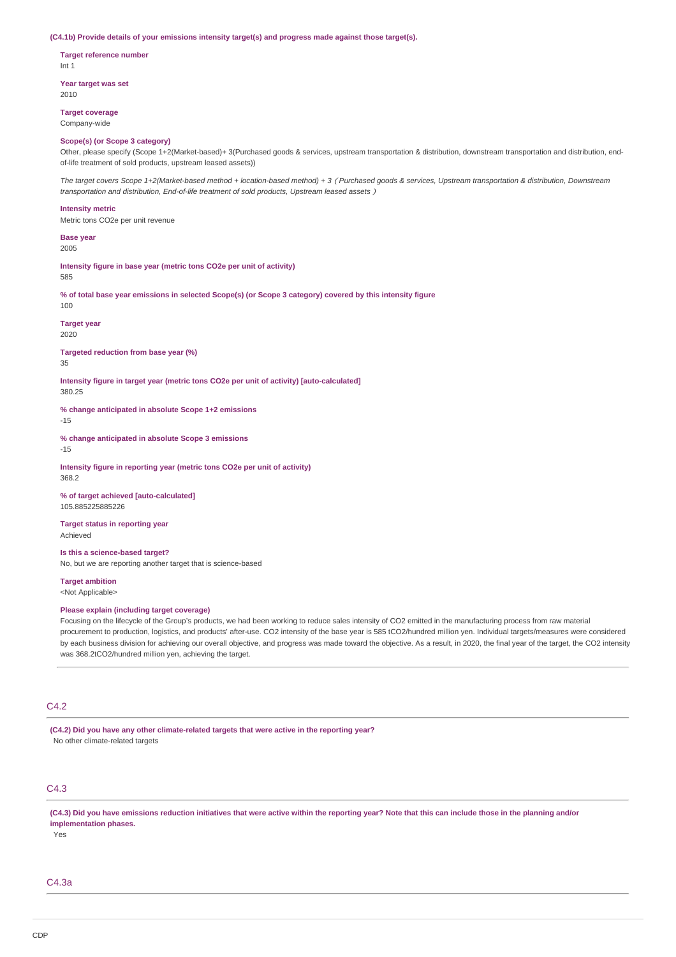#### **(C4.1b) Provide details of your emissions intensity target(s) and progress made against those target(s).**

**Target reference number** Int 1

**Year target was set** 2010

**Target coverage**

Company-wide

#### **Scope(s) (or Scope 3 category)**

Other, please specify (Scope 1+2(Market-based)+ 3(Purchased goods & services, upstream transportation & distribution, downstream transportation and distribution, endof-life treatment of sold products, upstream leased assets))

*The target covers Scope 1+2(Market-based method + location-based method) + 3*(*Purchased goods & services, Upstream transportation & distribution, Downstream transportation and distribution, End-of-life treatment of sold products, Upstream leased assets*)

#### **Intensity metric**

Metric tons CO2e per unit revenue

**Base year** 2005

**Intensity figure in base year (metric tons CO2e per unit of activity)** 585

**% of total base year emissions in selected Scope(s) (or Scope 3 category) covered by this intensity figure** 100

**Target year** 2020

**Targeted reduction from base year (%)** 35

**Intensity figure in target year (metric tons CO2e per unit of activity) [auto-calculated]** 380.25

**% change anticipated in absolute Scope 1+2 emissions**

-15

**% change anticipated in absolute Scope 3 emissions**

-15

**Intensity figure in reporting year (metric tons CO2e per unit of activity)** 368.2

**% of target achieved [auto-calculated]** 105.885225885226

**Target status in reporting year**

Achieved

**Is this a science-based target?**

No, but we are reporting another target that is science-based

**Target ambition** <Not Applicable>

#### **Please explain (including target coverage)**

Focusing on the lifecycle of the Group's products, we had been working to reduce sales intensity of CO2 emitted in the manufacturing process from raw material procurement to production, logistics, and products' after-use. CO2 intensity of the base year is 585 tCO2/hundred million yen. Individual targets/measures were considered by each business division for achieving our overall objective, and progress was made toward the objective. As a result, in 2020, the final year of the target, the CO2 intensity was 368.2tCO2/hundred million yen, achieving the target.

# $C<sub>4</sub>$ .2

**(C4.2) Did you have any other climate-related targets that were active in the reporting year?** No other climate-related targets

# C4.3

**(C4.3) Did you have emissions reduction initiatives that were active within the reporting year? Note that this can include those in the planning and/or implementation phases.**

Yes

 $C_{4.3a}$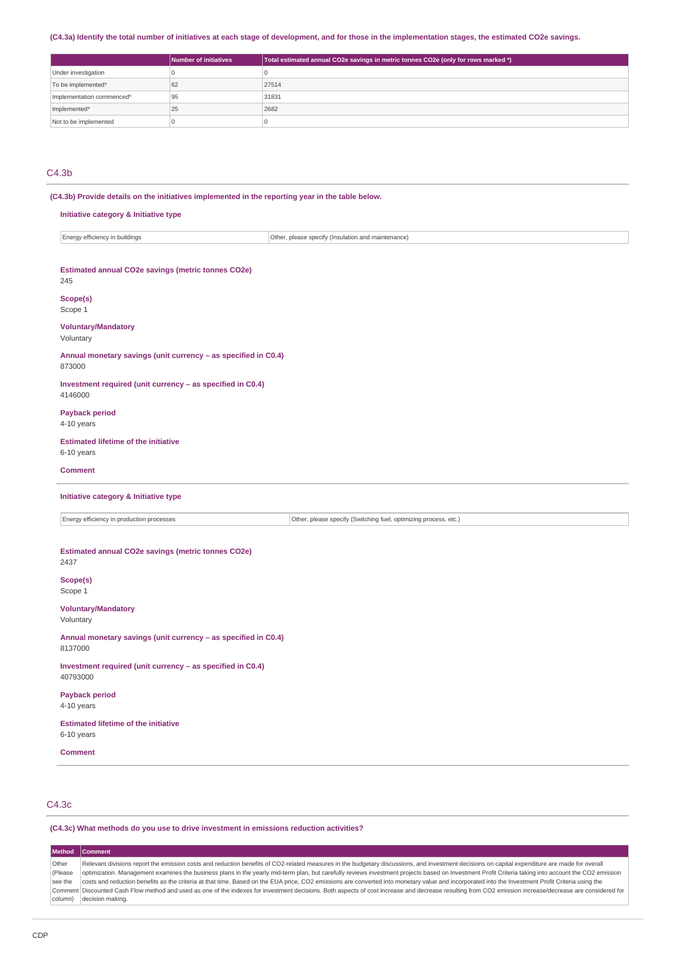### **(C4.3a) Identify the total number of initiatives at each stage of development, and for those in the implementation stages, the estimated CO2e savings.**

|                           | <b>Number of initiatives</b> | Total estimated annual CO2e savings in metric tonnes CO2e (only for rows marked *) |
|---------------------------|------------------------------|------------------------------------------------------------------------------------|
| Under investigation       |                              |                                                                                    |
| To be implemented*        | 62                           | 27514                                                                              |
| Implementation commenced* | 95                           | 31831                                                                              |
| Implemented*              | 25                           | 2682                                                                               |
| Not to be implemented     |                              |                                                                                    |

# C4.3b

**(C4.3b) Provide details on the initiatives implemented in the reporting year in the table below.**

### **Initiative category & Initiative type**

| buildings<br>$\sim$<br>. | ---<br><b>.</b><br>(Insi<br>$ nnon$<br>ntenai<br>.<br>aг<br><br>. <b>.</b><br>ューしこ<br>◡<br>. |
|--------------------------|----------------------------------------------------------------------------------------------|
|                          |                                                                                              |

| Estimated annual CO2e savings (metric tonnes CO2e)<br>245                                                     |
|---------------------------------------------------------------------------------------------------------------|
| Scope(s)<br>Scope 1                                                                                           |
| <b>Voluntary/Mandatory</b><br>Voluntary                                                                       |
| Annual monetary savings (unit currency - as specified in C0.4)<br>873000                                      |
| Investment required (unit currency - as specified in C0.4)<br>4146000                                         |
| <b>Payback period</b><br>4-10 years                                                                           |
| <b>Estimated lifetime of the initiative</b><br>6-10 years                                                     |
| <b>Comment</b>                                                                                                |
| Initiative category & Initiative type                                                                         |
| Energy efficiency in production processes<br>Other, please specify (Switching fuel, optimizing process, etc.) |
| Estimated annual CO2e savings (metric tonnes CO2e)<br>2437<br>Scope(s)<br>Scope 1                             |
| <b>Voluntary/Mandatory</b><br>Voluntary                                                                       |
| Annual monetary savings (unit currency - as specified in C0.4)<br>8137000                                     |
| Investment required (unit currency - as specified in C0.4)<br>40793000                                        |
| <b>Payback period</b><br>4-10 years                                                                           |
| <b>Estimated lifetime of the initiative</b><br>6-10 years                                                     |
| <b>Comment</b>                                                                                                |

# C4.3c

J.

#### **(C4.3c) What methods do you use to drive investment in emissions reduction activities?**

**Method Comment** Other (Please see the Comment Discounted Cash Flow method and used as one of the indexes for investment decisions. Both aspects of cost increase and decrease resulting from CO2 emission increase/decrease are considered for column) decision making. Relevant divisions report the emission costs and reduction benefits of CO2-related measures in the budgetary discussions, and investment decisions on capital expenditure are made for overall optimization. Management examines the business plans in the yearly mid-term plan, but carefully reviews investment projects based on Investment Profit Criteria taking into account the CO2 emission costs and reduction benefits as the criteria at that time. Based on the EUA price, CO2 emissions are converted into monetary value and incorporated into the Investment Profit Criteria using the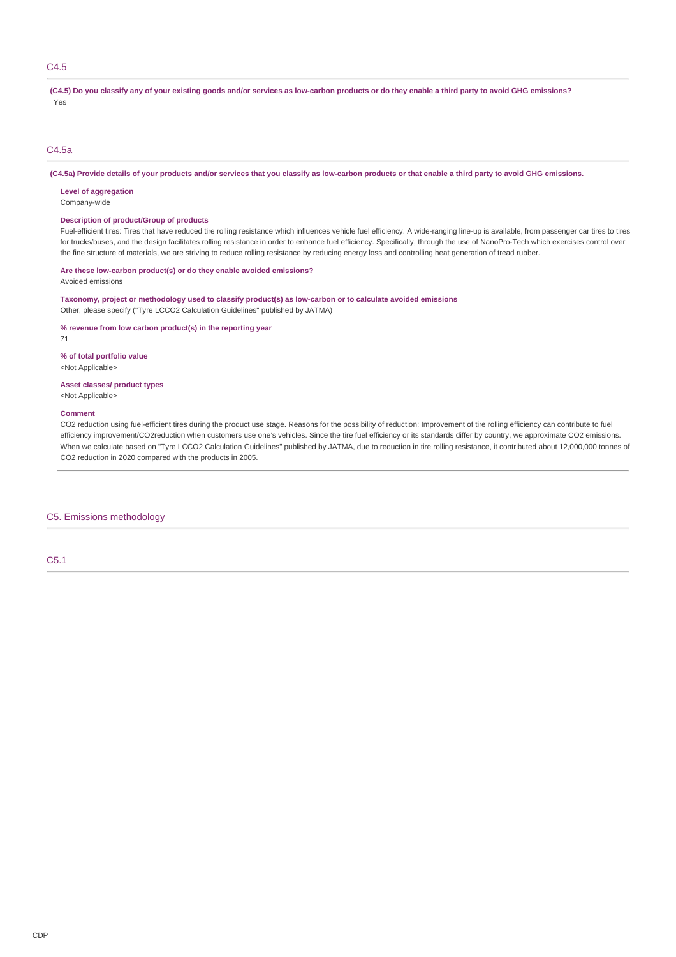# C4.5

**(C4.5) Do you classify any of your existing goods and/or services as low-carbon products or do they enable a third party to avoid GHG emissions?** Yes

### C4.5a

**(C4.5a) Provide details of your products and/or services that you classify as low-carbon products or that enable a third party to avoid GHG emissions.**

**Level of aggregation**

Company-wide

### **Description of product/Group of products**

Fuel-efficient tires: Tires that have reduced tire rolling resistance which influences vehicle fuel efficiency. A wide-ranging line-up is available, from passenger car tires to tires for trucks/buses, and the design facilitates rolling resistance in order to enhance fuel efficiency. Specifically, through the use of NanoPro-Tech which exercises control over the fine structure of materials, we are striving to reduce rolling resistance by reducing energy loss and controlling heat generation of tread rubber.

# **Are these low-carbon product(s) or do they enable avoided emissions?**

Avoided emissions

**Taxonomy, project or methodology used to classify product(s) as low-carbon or to calculate avoided emissions** Other, please specify ("Tyre LCCO2 Calculation Guidelines" published by JATMA)

**% revenue from low carbon product(s) in the reporting year**

71

#### **% of total portfolio value**

<Not Applicable>

### **Asset classes/ product types**

<Not Applicable>

#### **Comment**

CO2 reduction using fuel-efficient tires during the product use stage. Reasons for the possibility of reduction: Improvement of tire rolling efficiency can contribute to fuel efficiency improvement/CO2reduction when customers use one's vehicles. Since the tire fuel efficiency or its standards differ by country, we approximate CO2 emissions. When we calculate based on "Tyre LCCO2 Calculation Guidelines" published by JATMA, due to reduction in tire rolling resistance, it contributed about 12,000,000 tonnes of CO2 reduction in 2020 compared with the products in 2005.

## C5. Emissions methodology

C5.1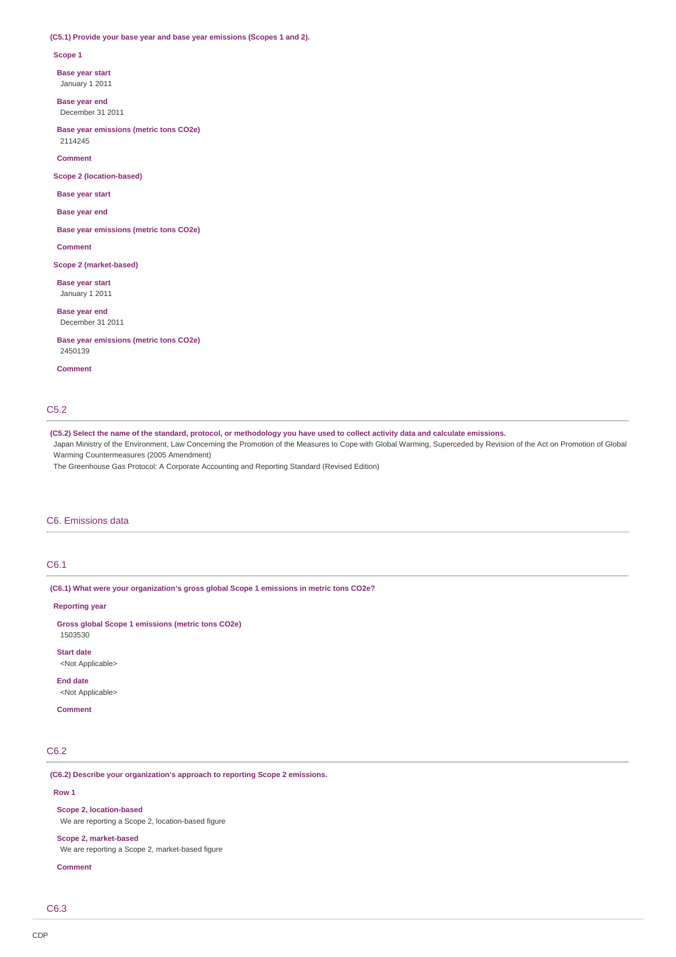#### **(C5.1) Provide your base year and base year emissions (Scopes 1 and 2).**

**Scope 1**

**Base year start**

January 1 2011

**Base year end** December 31 2011

**Base year emissions (metric tons CO2e)** 2114245

**Comment**

**Scope 2 (location-based)**

**Base year start**

**Base year end**

**Base year emissions (metric tons CO2e)**

**Comment**

**Scope 2 (market-based)**

**Base year start** January 1 2011

**Base year end** December 31 2011

**Base year emissions (metric tons CO2e)** 2450139

**Comment**

# C5.2

**(C5.2) Select the name of the standard, protocol, or methodology you have used to collect activity data and calculate emissions.**

Japan Ministry of the Environment, Law Concerning the Promotion of the Measures to Cope with Global Warming, Superceded by Revision of the Act on Promotion of Global Warming Countermeasures (2005 Amendment)

The Greenhouse Gas Protocol: A Corporate Accounting and Reporting Standard (Revised Edition)

# C6. Emissions data

### C6.1

**(C6.1) What were your organization's gross global Scope 1 emissions in metric tons CO2e?**

**Reporting year**

**Gross global Scope 1 emissions (metric tons CO2e)** 1503530

**Start date**

<Not Applicable>

# **End date**

<Not Applicable>

**Comment**

# C6.2

**(C6.2) Describe your organization's approach to reporting Scope 2 emissions.**

**Row 1**

**Scope 2, location-based**

We are reporting a Scope 2, location-based figure

**Scope 2, market-based**

We are reporting a Scope 2, market-based figure

**Comment**

C6.3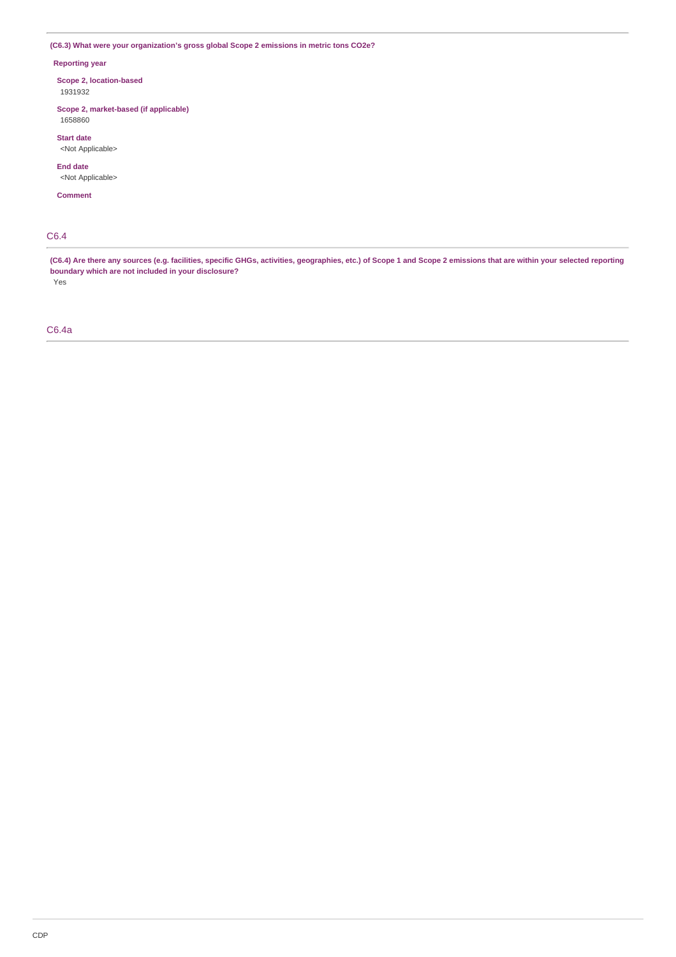**(C6.3) What were your organization's gross global Scope 2 emissions in metric tons CO2e?**

### **Reporting year**

**Scope 2, location-based** 1931932

**Scope 2, market-based (if applicable)** 1658860

**Start date**

<Not Applicable>

**End date** <Not Applicable>

**Comment**

# C6.4

**(C6.4) Are there any sources (e.g. facilities, specific GHGs, activities, geographies, etc.) of Scope 1 and Scope 2 emissions that are within your selected reporting boundary which are not included in your disclosure?**

Yes

# C6.4a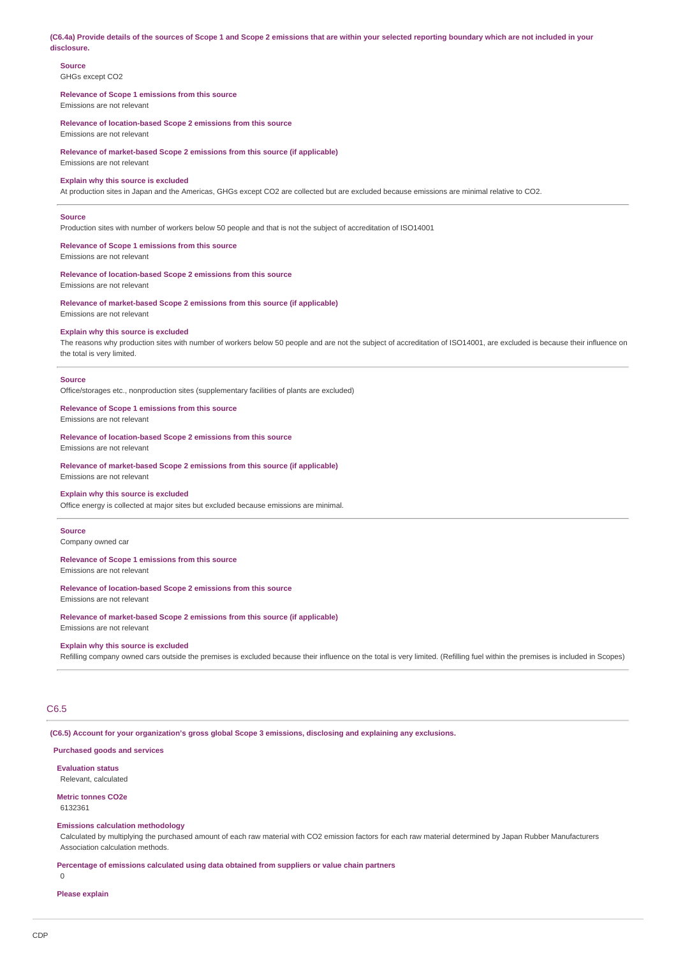**(C6.4a) Provide details of the sources of Scope 1 and Scope 2 emissions that are within your selected reporting boundary which are not included in your disclosure.**

# **Source**

GHGs except CO2

#### **Relevance of Scope 1 emissions from this source** Emissions are not relevant

**Relevance of location-based Scope 2 emissions from this source** Emissions are not relevant

**Relevance of market-based Scope 2 emissions from this source (if applicable)** Emissions are not relevant

### **Explain why this source is excluded**

At production sites in Japan and the Americas, GHGs except CO2 are collected but are excluded because emissions are minimal relative to CO2.

### **Source**

Production sites with number of workers below 50 people and that is not the subject of accreditation of ISO14001

# **Relevance of Scope 1 emissions from this source**

Emissions are not relevant

### **Relevance of location-based Scope 2 emissions from this source**

Emissions are not relevant

**Relevance of market-based Scope 2 emissions from this source (if applicable)** Emissions are not relevant

#### **Explain why this source is excluded**

The reasons why production sites with number of workers below 50 people and are not the subject of accreditation of ISO14001, are excluded is because their influence on the total is very limited.

#### **Source**

Office/storages etc., nonproduction sites (supplementary facilities of plants are excluded)

#### **Relevance of Scope 1 emissions from this source**

Emissions are not relevant

**Relevance of location-based Scope 2 emissions from this source**

Emissions are not relevant

**Relevance of market-based Scope 2 emissions from this source (if applicable)** Emissions are not relevant

### **Explain why this source is excluded**

Office energy is collected at major sites but excluded because emissions are minimal.

#### **Source**

Company owned car

#### **Relevance of Scope 1 emissions from this source**

# Emissions are not relevant

### **Relevance of location-based Scope 2 emissions from this source**

Emissions are not relevant

# **Relevance of market-based Scope 2 emissions from this source (if applicable)**

Emissions are not relevant

#### **Explain why this source is excluded**

Refilling company owned cars outside the premises is excluded because their influence on the total is very limited. (Refilling fuel within the premises is included in Scopes)

# C6.5

**(C6.5) Account for your organization's gross global Scope 3 emissions, disclosing and explaining any exclusions.**

# **Purchased goods and services**

# **Evaluation status**

Relevant, calculated

**Metric tonnes CO2e** 6132361

### **Emissions calculation methodology**

Calculated by multiplying the purchased amount of each raw material with CO2 emission factors for each raw material determined by Japan Rubber Manufacturers Association calculation methods.

**Percentage of emissions calculated using data obtained from suppliers or value chain partners**  $\Omega$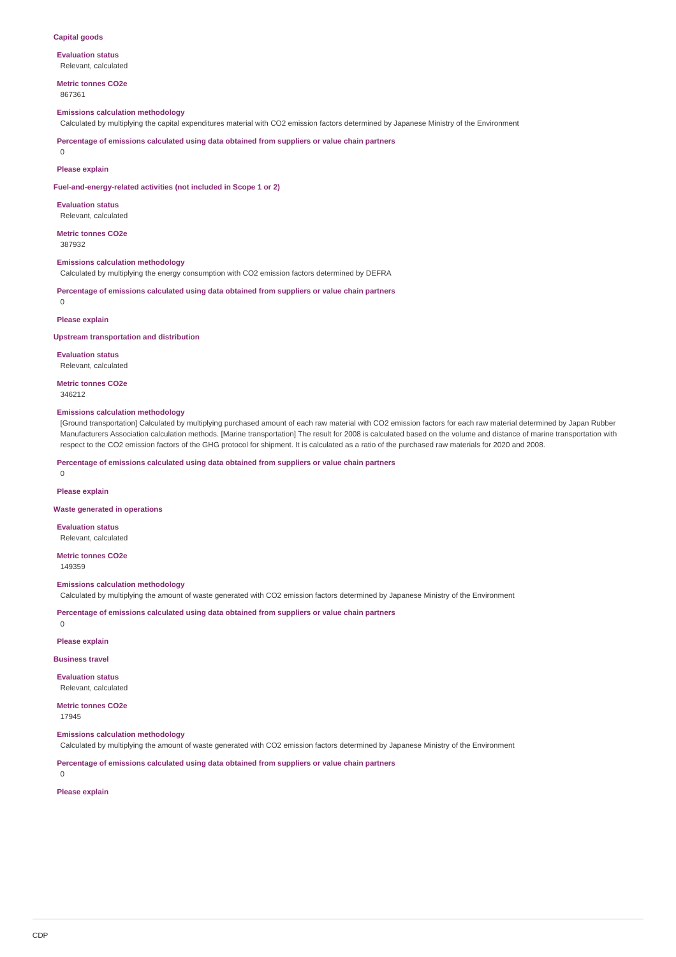#### **Capital goods**

**Evaluation status** Relevant, calculated

**Metric tonnes CO2e** 867361

### **Emissions calculation methodology**

Calculated by multiplying the capital expenditures material with CO2 emission factors determined by Japanese Ministry of the Environment

**Percentage of emissions calculated using data obtained from suppliers or value chain partners**

 $\Omega$ 

#### **Please explain**

**Fuel-and-energy-related activities (not included in Scope 1 or 2)**

**Evaluation status** Relevant, calculated

**Metric tonnes CO2e** 387932

#### **Emissions calculation methodology**

Calculated by multiplying the energy consumption with CO2 emission factors determined by DEFRA

**Percentage of emissions calculated using data obtained from suppliers or value chain partners**  $\cap$ 

**Please explain**

**Upstream transportation and distribution**

**Evaluation status** Relevant, calculated

**Metric tonnes CO2e** 346212

#### **Emissions calculation methodology**

[Ground transportation] Calculated by multiplying purchased amount of each raw material with CO2 emission factors for each raw material determined by Japan Rubber Manufacturers Association calculation methods. [Marine transportation] The result for 2008 is calculated based on the volume and distance of marine transportation with respect to the CO2 emission factors of the GHG protocol for shipment. It is calculated as a ratio of the purchased raw materials for 2020 and 2008.

**Percentage of emissions calculated using data obtained from suppliers or value chain partners**

 $\Omega$ 

#### **Please explain**

**Waste generated in operations**

**Evaluation status** Relevant, calculated

**Metric tonnes CO2e** 149359

**Emissions calculation methodology**

Calculated by multiplying the amount of waste generated with CO2 emission factors determined by Japanese Ministry of the Environment

**Percentage of emissions calculated using data obtained from suppliers or value chain partners**

 $\Omega$ 

**Please explain**

#### **Business travel**

**Evaluation status** Relevant, calculated

**Metric tonnes CO2e** 17945

#### **Emissions calculation methodology**

Calculated by multiplying the amount of waste generated with CO2 emission factors determined by Japanese Ministry of the Environment

**Percentage of emissions calculated using data obtained from suppliers or value chain partners**

 $\cap$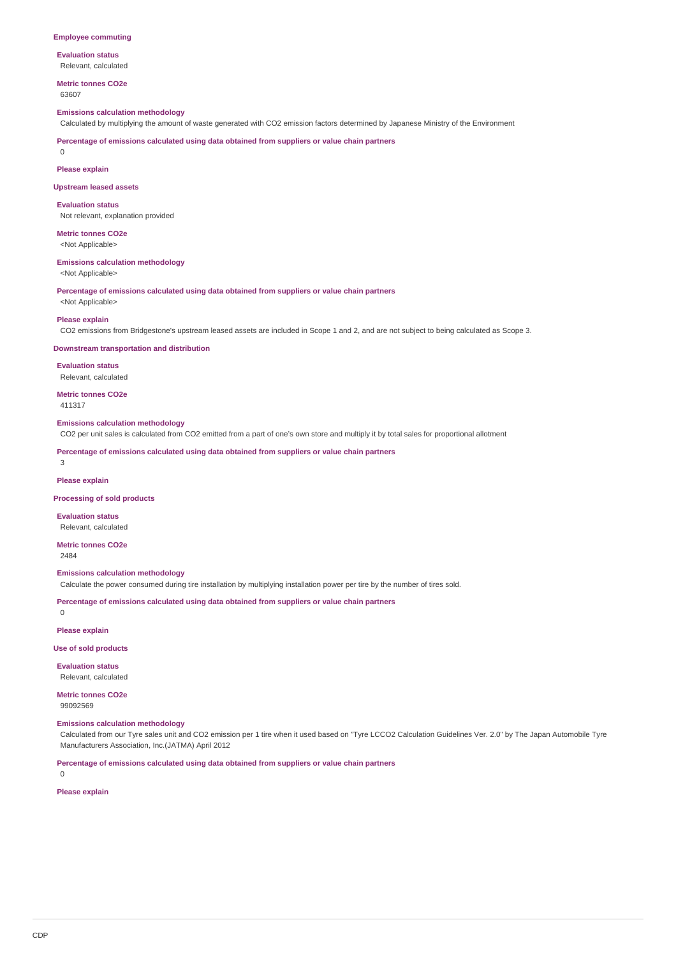#### **Employee commuting**

**Evaluation status** Relevant, calculated

**Metric tonnes CO2e** 63607

#### **Emissions calculation methodology**

Calculated by multiplying the amount of waste generated with CO2 emission factors determined by Japanese Ministry of the Environment

**Percentage of emissions calculated using data obtained from suppliers or value chain partners**

 $\Omega$ 

#### **Please explain**

#### **Upstream leased assets**

**Evaluation status** Not relevant, explanation provided

**Metric tonnes CO2e**

<Not Applicable>

# **Emissions calculation methodology**

<Not Applicable>

**Percentage of emissions calculated using data obtained from suppliers or value chain partners** <Not Applicable>

**Please explain**

CO2 emissions from Bridgestone's upstream leased assets are included in Scope 1 and 2, and are not subject to being calculated as Scope 3.

#### **Downstream transportation and distribution**

**Evaluation status** Relevant, calculated

**Metric tonnes CO2e**

411317

#### **Emissions calculation methodology**

CO2 per unit sales is calculated from CO2 emitted from a part of one's own store and multiply it by total sales for proportional allotment

**Percentage of emissions calculated using data obtained from suppliers or value chain partners**

3

#### **Please explain**

**Processing of sold products**

#### **Evaluation status** Relevant, calculated

**Metric tonnes CO2e** 2484

#### **Emissions calculation methodology**

Calculate the power consumed during tire installation by multiplying installation power per tire by the number of tires sold.

**Percentage of emissions calculated using data obtained from suppliers or value chain partners**

**Please explain**

0

**Use of sold products**

**Evaluation status** Relevant, calculated

**Metric tonnes CO2e** 99092569

### **Emissions calculation methodology**

Calculated from our Tyre sales unit and CO2 emission per 1 tire when it used based on "Tyre LCCO2 Calculation Guidelines Ver. 2.0" by The Japan Automobile Tyre Manufacturers Association, Inc.(JATMA) April 2012

**Percentage of emissions calculated using data obtained from suppliers or value chain partners**

 $\cap$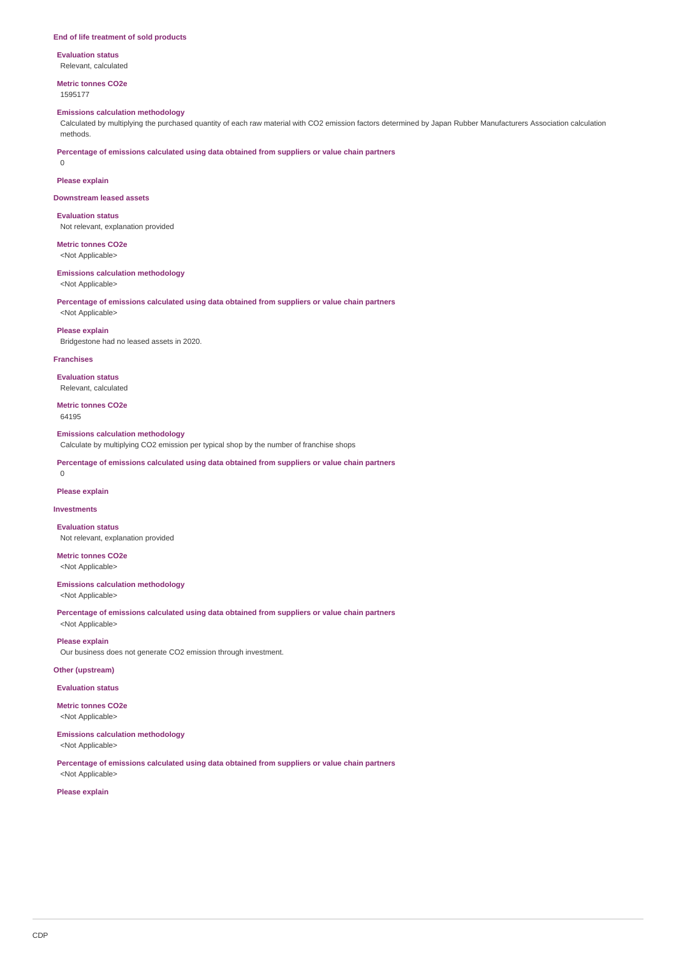#### **End of life treatment of sold products**

**Evaluation status** Relevant, calculated

**Metric tonnes CO2e**

1595177

### **Emissions calculation methodology**

Calculated by multiplying the purchased quantity of each raw material with CO2 emission factors determined by Japan Rubber Manufacturers Association calculation methods.

**Percentage of emissions calculated using data obtained from suppliers or value chain partners**

# **Please explain**

0

**Downstream leased assets**

**Evaluation status** Not relevant, explanation provided

**Metric tonnes CO2e**

<Not Applicable>

#### **Emissions calculation methodology**

<Not Applicable>

<Not Applicable>

**Percentage of emissions calculated using data obtained from suppliers or value chain partners**

**Please explain**

Bridgestone had no leased assets in 2020.

#### **Franchises**

**Evaluation status** Relevant, calculated

**Metric tonnes CO2e** 64195

#### **Emissions calculation methodology**

Calculate by multiplying CO2 emission per typical shop by the number of franchise shops

**Percentage of emissions calculated using data obtained from suppliers or value chain partners**

#### $\Omega$

**Please explain**

#### **Investments**

**Evaluation status** Not relevant, explanation provided

**Metric tonnes CO2e** <Not Applicable>

**Emissions calculation methodology**

<Not Applicable>

**Percentage of emissions calculated using data obtained from suppliers or value chain partners** <Not Applicable>

**Please explain**

Our business does not generate CO2 emission through investment.

### **Other (upstream)**

**Evaluation status**

**Metric tonnes CO2e** <Not Applicable>

# **Emissions calculation methodology**

<Not Applicable>

**Percentage of emissions calculated using data obtained from suppliers or value chain partners** <Not Applicable>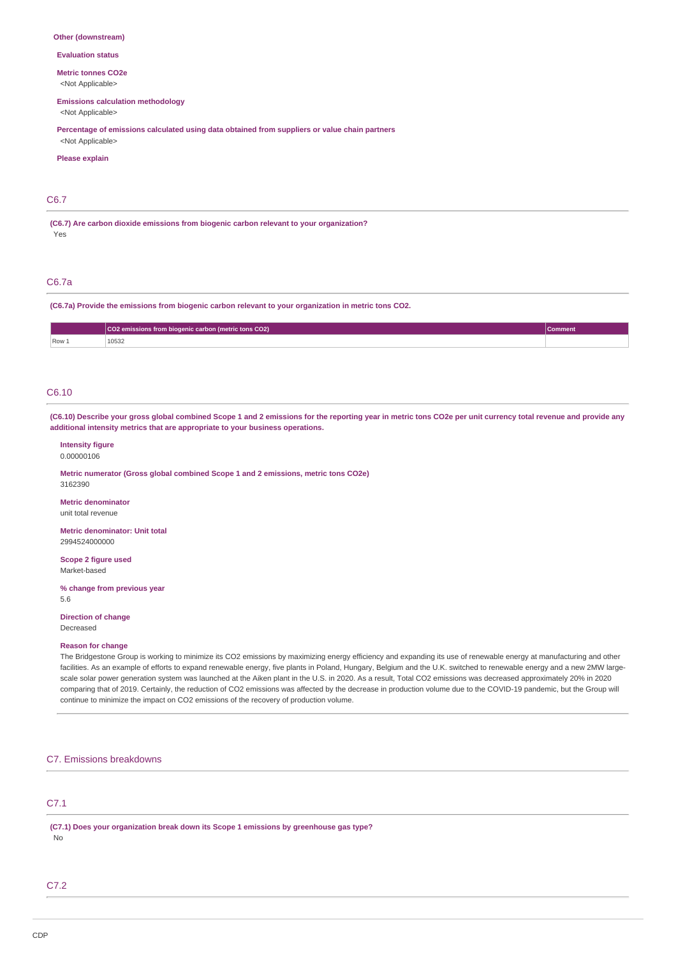#### **Other (downstream)**

**Evaluation status**

**Metric tonnes CO2e**

<Not Applicable>

# **Emissions calculation methodology**

<Not Applicable>

**Percentage of emissions calculated using data obtained from suppliers or value chain partners** <Not Applicable>

#### **Please explain**

### C6.7

**(C6.7) Are carbon dioxide emissions from biogenic carbon relevant to your organization?** Yes

# C6.7a

**(C6.7a) Provide the emissions from biogenic carbon relevant to your organization in metric tons CO2.**

|       | CO2 emissions from biogenic carbon (metric tons CO2) |  |  |  |
|-------|------------------------------------------------------|--|--|--|
| Row 1 | 10532                                                |  |  |  |

# C6.10

**(C6.10) Describe your gross global combined Scope 1 and 2 emissions for the reporting year in metric tons CO2e per unit currency total revenue and provide any additional intensity metrics that are appropriate to your business operations.**

#### **Intensity figure** 0.00000106

**Metric numerator (Gross global combined Scope 1 and 2 emissions, metric tons CO2e)** 3162390

**Metric denominator** unit total revenue

**Metric denominator: Unit total** 2994524000000

**Scope 2 figure used** Market-based

**% change from previous year** 5.6

**Direction of change** Decreased

#### **Reason for change**

The Bridgestone Group is working to minimize its CO2 emissions by maximizing energy efficiency and expanding its use of renewable energy at manufacturing and other facilities. As an example of efforts to expand renewable energy, five plants in Poland, Hungary, Belgium and the U.K. switched to renewable energy and a new 2MW largescale solar power generation system was launched at the Aiken plant in the U.S. in 2020. As a result, Total CO2 emissions was decreased approximately 20% in 2020 comparing that of 2019. Certainly, the reduction of CO2 emissions was affected by the decrease in production volume due to the COVID-19 pandemic, but the Group will continue to minimize the impact on CO2 emissions of the recovery of production volume.

### C7. Emissions breakdowns

# C7.1

**(C7.1) Does your organization break down its Scope 1 emissions by greenhouse gas type?** No

### C7.2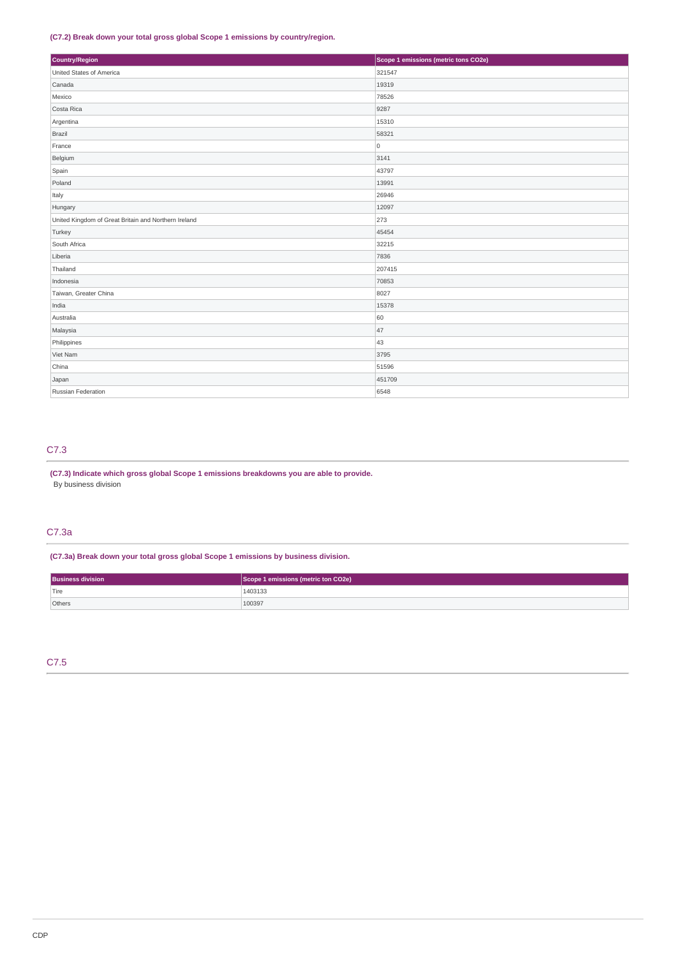### **(C7.2) Break down your total gross global Scope 1 emissions by country/region.**

| Country/Region                                       | Scope 1 emissions (metric tons CO2e) |  |  |
|------------------------------------------------------|--------------------------------------|--|--|
| United States of America                             | 321547                               |  |  |
| Canada                                               | 19319                                |  |  |
| Mexico                                               | 78526                                |  |  |
| Costa Rica                                           | 9287                                 |  |  |
| Argentina                                            | 15310                                |  |  |
| Brazil                                               | 58321                                |  |  |
| France                                               | $\circ$                              |  |  |
| Belgium                                              | 3141                                 |  |  |
| Spain                                                | 43797                                |  |  |
| Poland                                               | 13991                                |  |  |
| Italy                                                | 26946                                |  |  |
| Hungary                                              | 12097                                |  |  |
| United Kingdom of Great Britain and Northern Ireland | 273                                  |  |  |
| Turkey                                               | 45454                                |  |  |
| South Africa                                         | 32215                                |  |  |
| Liberia                                              | 7836                                 |  |  |
| Thailand                                             | 207415                               |  |  |
| Indonesia                                            | 70853                                |  |  |
| Taiwan, Greater China                                | 8027                                 |  |  |
| India                                                | 15378                                |  |  |
| Australia                                            | 60                                   |  |  |
| Malaysia                                             | 47                                   |  |  |
| Philippines                                          | 43                                   |  |  |
| Viet Nam                                             | 3795                                 |  |  |
| China                                                | 51596                                |  |  |
| Japan                                                | 451709                               |  |  |
| Russian Federation                                   | 6548                                 |  |  |

# C7.3

# **(C7.3) Indicate which gross global Scope 1 emissions breakdowns you are able to provide.** By business division

# C7.3a

**(C7.3a) Break down your total gross global Scope 1 emissions by business division.**

| <b>Business division</b> | Scope 1 emissions (metric ton CO2e) |
|--------------------------|-------------------------------------|
| $ $ Tire                 | 1403133                             |
| Others                   | 100397                              |

# C7.5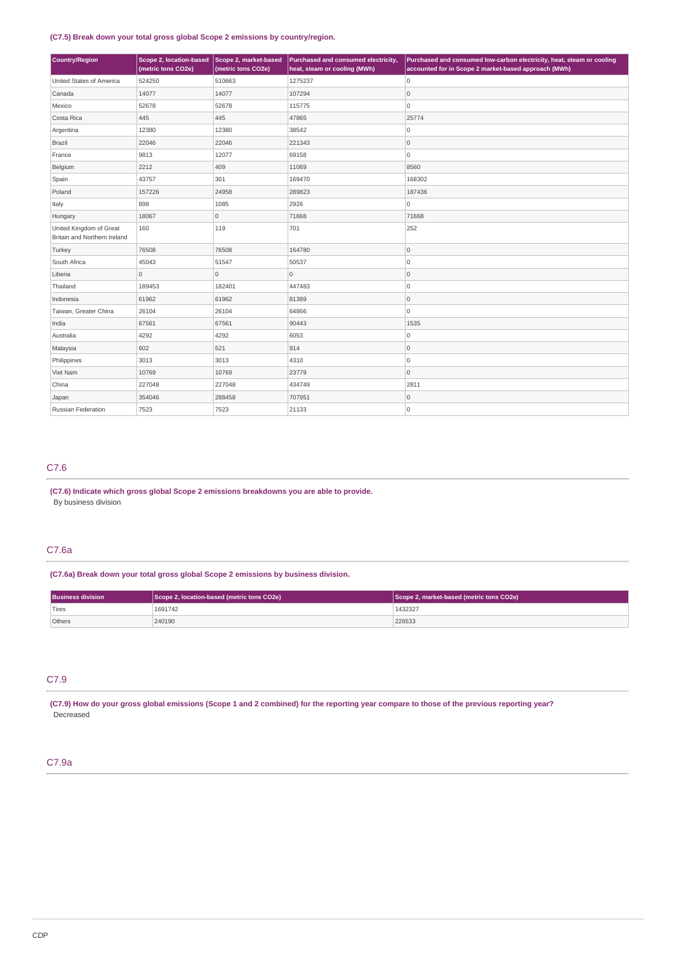### **(C7.5) Break down your total gross global Scope 2 emissions by country/region.**

| Country/Region                                          | Scope 2, location-based<br>(metric tons CO2e) | Scope 2, market-based<br>(metric tons CO2e) | Purchased and consumed electricity,<br>heat, steam or cooling (MWh) | Purchased and consumed low-carbon electricity, heat, steam or cooling<br>accounted for in Scope 2 market-based approach (MWh) |
|---------------------------------------------------------|-----------------------------------------------|---------------------------------------------|---------------------------------------------------------------------|-------------------------------------------------------------------------------------------------------------------------------|
| United States of America                                | 524250                                        | 510663                                      | 1275237                                                             | 0                                                                                                                             |
| Canada                                                  | 14077                                         | 14077                                       | 107294                                                              | 0                                                                                                                             |
| Mexico                                                  | 52678                                         | 52678                                       | 115775                                                              | O                                                                                                                             |
| Costa Rica                                              | 445                                           | 445                                         | 47865                                                               | 25774                                                                                                                         |
| Argentina                                               | 12380                                         | 12380                                       | 38542                                                               | O                                                                                                                             |
| Brazil                                                  | 22046                                         | 22046                                       | 221343                                                              | 0                                                                                                                             |
| France                                                  | 9813                                          | 12077                                       | 69158                                                               | O                                                                                                                             |
| Belgium                                                 | 2212                                          | 409                                         | 11069                                                               | 8560                                                                                                                          |
| Spain                                                   | 43757                                         | 301                                         | 169470                                                              | 168302                                                                                                                        |
| Poland                                                  | 157226                                        | 24958                                       | 289823                                                              | 187436                                                                                                                        |
| Italy                                                   | 898                                           | 1085                                        | 2926                                                                | 0                                                                                                                             |
| Hungary                                                 | 18067                                         | 0                                           | 71668                                                               | 71668                                                                                                                         |
| United Kingdom of Great<br>Britain and Northern Ireland | 160                                           | 119                                         | 701                                                                 | 252                                                                                                                           |
| Turkey                                                  | 76508                                         | 76508                                       | 164780                                                              | 0                                                                                                                             |
| South Africa                                            | 45043                                         | 51547                                       | 50537                                                               | O                                                                                                                             |
| Liberia                                                 | $\overline{0}$                                | $\overline{0}$                              | $\overline{0}$                                                      | 0                                                                                                                             |
| Thailand                                                | 189453                                        | 182401                                      | 447483                                                              | O                                                                                                                             |
| Indonesia                                               | 61962                                         | 61962                                       | 81389                                                               | 0                                                                                                                             |
| Taiwan, Greater China                                   | 26104                                         | 26104                                       | 64866                                                               | ۱o                                                                                                                            |
| India                                                   | 67561                                         | 67561                                       | 90443                                                               | 1535                                                                                                                          |
| Australia                                               | 4292                                          | 4292                                        | 6053                                                                | 0                                                                                                                             |
| Malaysia                                                | 602                                           | 521                                         | 914                                                                 | 0                                                                                                                             |
| Philippines                                             | 3013                                          | 3013                                        | 4310                                                                | 0                                                                                                                             |
| Viet Nam                                                | 10769                                         | 10769                                       | 23779                                                               | 0                                                                                                                             |
| China                                                   | 227048                                        | 227048                                      | 434749                                                              | 2811                                                                                                                          |
| Japan                                                   | 354046                                        | 288458                                      | 707951                                                              | 0                                                                                                                             |
| Russian Federation                                      | 7523                                          | 7523                                        | 21133                                                               | 0                                                                                                                             |

# C7.6

**(C7.6) Indicate which gross global Scope 2 emissions breakdowns you are able to provide.** By business division

# C7.6a

**(C7.6a) Break down your total gross global Scope 2 emissions by business division.**

| <b>Business division</b> | Scope 2, location-based (metric tons CO2e) | Scope 2, market-based (metric tons CO2e) |
|--------------------------|--------------------------------------------|------------------------------------------|
| Tires                    | 1691742                                    | 1432327                                  |
| Others                   | 240190                                     | 226533                                   |

# C7.9

**(C7.9) How do your gross global emissions (Scope 1 and 2 combined) for the reporting year compare to those of the previous reporting year?** Decreased

### C7.9a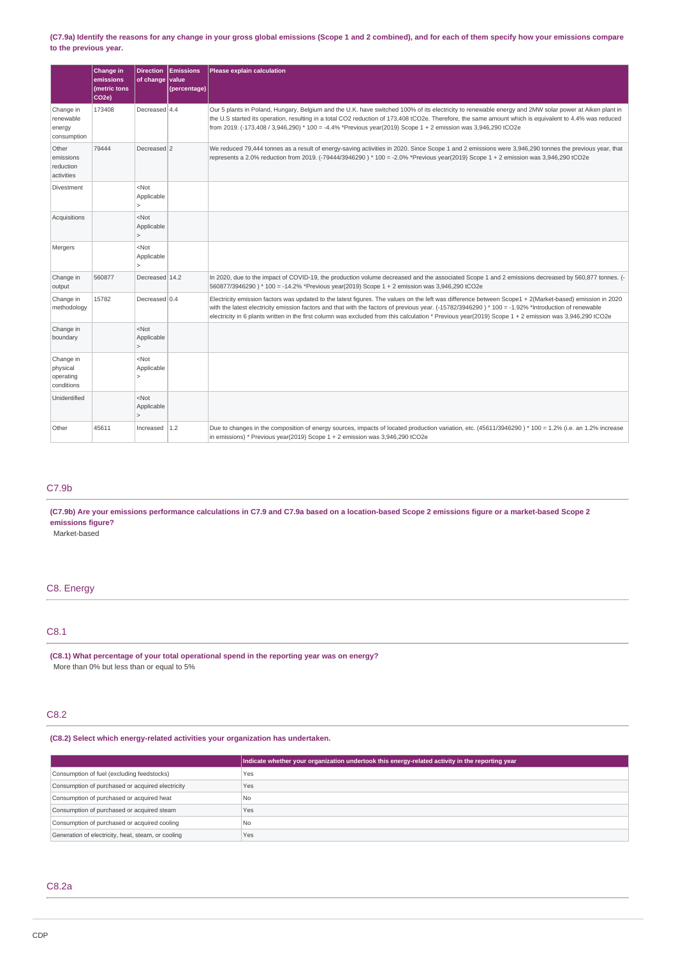### **(C7.9a) Identify the reasons for any change in your gross global emissions (Scope 1 and 2 combined), and for each of them specify how your emissions compare to the previous year.**

|                                                  | Change in<br>emissions<br>(metric tons<br>CO <sub>2e</sub> ) | <b>Direction</b><br>of change         | <b>Emissions</b><br>value<br>(percentage) | Please explain calculation                                                                                                                                                                                                                                                                                                                                                                                                                                              |
|--------------------------------------------------|--------------------------------------------------------------|---------------------------------------|-------------------------------------------|-------------------------------------------------------------------------------------------------------------------------------------------------------------------------------------------------------------------------------------------------------------------------------------------------------------------------------------------------------------------------------------------------------------------------------------------------------------------------|
| Change in<br>renewable<br>energy<br>consumption  | 173408                                                       | Decreased 4.4                         |                                           | Our 5 plants in Poland, Hungary, Belgium and the U.K. have switched 100% of its electricity to renewable energy and 2MW solar power at Aiken plant in<br>the U.S started its operation, resulting in a total CO2 reduction of 173,408 tCO2e. Therefore, the same amount which is equivalent to 4.4% was reduced<br>from 2019. (-173,408 / 3,946,290) * 100 = -4.4% *Previous year(2019) Scope 1 + 2 emission was 3,946,290 tCO2e                                        |
| Other<br>emissions<br>reduction<br>activities    | 79444                                                        | Decreased 2                           |                                           | We reduced 79,444 tonnes as a result of energy-saving activities in 2020. Since Scope 1 and 2 emissions were 3,946,290 tonnes the previous year, that<br>represents a 2.0% reduction from 2019. (-79444/3946290) * 100 = -2.0% *Previous year(2019) Scope 1 + 2 emission was 3,946,290 tCO2e                                                                                                                                                                            |
| Divestment                                       |                                                              | $<$ Not<br>Applicable<br>5            |                                           |                                                                                                                                                                                                                                                                                                                                                                                                                                                                         |
| Acquisitions                                     |                                                              | $<$ Not<br>Applicable<br>$\mathbf{r}$ |                                           |                                                                                                                                                                                                                                                                                                                                                                                                                                                                         |
| Mergers                                          |                                                              | $<$ Not<br>Applicable                 |                                           |                                                                                                                                                                                                                                                                                                                                                                                                                                                                         |
| Change in<br>output                              | 560877                                                       | Decreased 14.2                        |                                           | In 2020, due to the impact of COVID-19, the production volume decreased and the associated Scope 1 and 2 emissions decreased by 560,877 tonnes. (-<br>560877/3946290) * 100 = -14.2% *Previous year(2019) Scope 1 + 2 emission was 3,946,290 tCO2e                                                                                                                                                                                                                      |
| Change in<br>methodology                         | 15782                                                        | Decreased 0.4                         |                                           | Electricity emission factors was updated to the latest figures. The values on the left was difference between Scope1 + 2(Market-based) emission in 2020<br>with the latest electricity emission factors and that with the factors of previous year. (-15782/3946290) * 100 = -1.92% *Introduction of renewable<br>electricity in 6 plants written in the first column was excluded from this calculation * Previous year(2019) Scope 1 + 2 emission was 3,946,290 tCO2e |
| Change in<br>boundary                            |                                                              | $<$ Not<br>Applicable                 |                                           |                                                                                                                                                                                                                                                                                                                                                                                                                                                                         |
| Change in<br>physical<br>operating<br>conditions |                                                              | $<$ Not<br>Applicable                 |                                           |                                                                                                                                                                                                                                                                                                                                                                                                                                                                         |
| Unidentified                                     |                                                              | $<$ Not<br>Applicable                 |                                           |                                                                                                                                                                                                                                                                                                                                                                                                                                                                         |
| Other                                            | 45611                                                        | Increased                             | 1.2                                       | Due to changes in the composition of energy sources, impacts of located production variation, etc. (45611/3946290) * 100 = 1.2% (i.e. an 1.2% increase<br>in emissions) * Previous year(2019) Scope $1 + 2$ emission was 3,946,290 tCO2e                                                                                                                                                                                                                                |

# C7.9b

### **(C7.9b) Are your emissions performance calculations in C7.9 and C7.9a based on a location-based Scope 2 emissions figure or a market-based Scope 2 emissions figure?**

Market-based

# C8. Energy

# C8.1

**(C8.1) What percentage of your total operational spend in the reporting year was on energy?** More than 0% but less than or equal to 5%

# C8.2

# **(C8.2) Select which energy-related activities your organization has undertaken.**

|                                                    | Indicate whether your organization undertook this energy-related activity in the reporting year |
|----------------------------------------------------|-------------------------------------------------------------------------------------------------|
| Consumption of fuel (excluding feedstocks)         | Yes                                                                                             |
| Consumption of purchased or acquired electricity   | Yes                                                                                             |
| Consumption of purchased or acquired heat          | N <sub>0</sub>                                                                                  |
| Consumption of purchased or acquired steam         | Yes                                                                                             |
| Consumption of purchased or acquired cooling       | N <sub>0</sub>                                                                                  |
| Generation of electricity, heat, steam, or cooling | Yes                                                                                             |

# C8.2a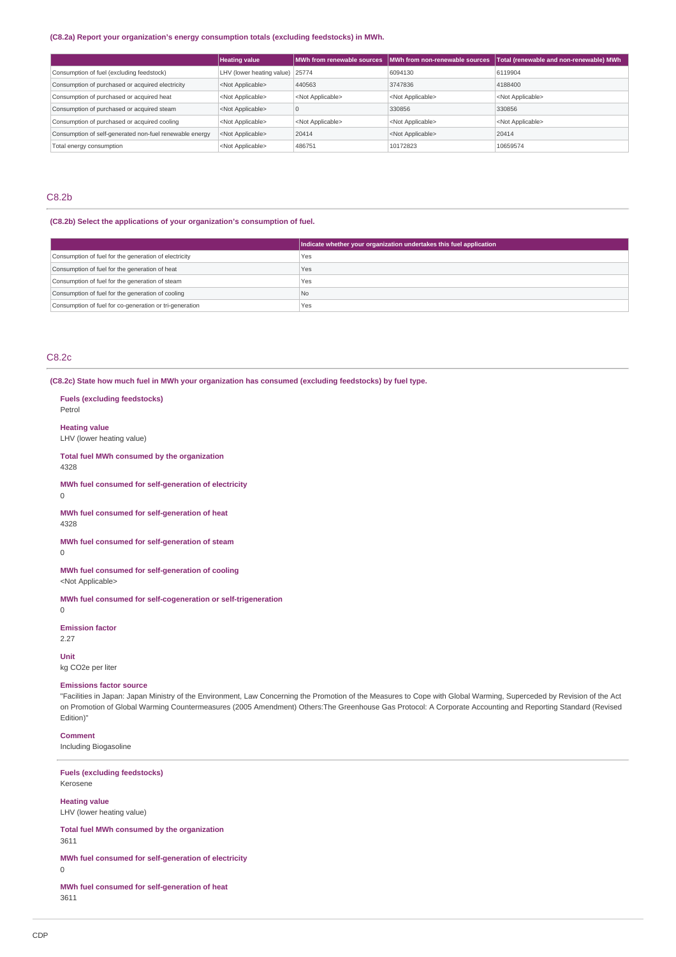### **(C8.2a) Report your organization's energy consumption totals (excluding feedstocks) in MWh.**

|                                                                              | <b>Heating value</b>      | MWh from renewable sources | MWh from non-renewable sources | Total (renewable and non-renewable) MWh |
|------------------------------------------------------------------------------|---------------------------|----------------------------|--------------------------------|-----------------------------------------|
| LHV (lower heating value) 25774<br>Consumption of fuel (excluding feedstock) |                           |                            | 6094130                        | 6119904                                 |
| Consumption of purchased or acquired electricity                             | <not applicable=""></not> | 440563                     | 3747836                        | 4188400                                 |
| Consumption of purchased or acquired heat                                    | <not applicable=""></not> | <not applicable=""></not>  | <not applicable=""></not>      | <not applicable=""></not>               |
| Consumption of purchased or acquired steam                                   | <not applicable=""></not> |                            | 330856                         | 330856                                  |
| Consumption of purchased or acquired cooling                                 | <not applicable=""></not> | <not applicable=""></not>  | <not applicable=""></not>      | <not applicable=""></not>               |
| Consumption of self-generated non-fuel renewable energy                      | <not applicable=""></not> | 20414                      | <not applicable=""></not>      | 20414                                   |
| Total energy consumption                                                     | <not applicable=""></not> | 486751                     | 10172823                       | 10659574                                |

# C8.2b

# **(C8.2b) Select the applications of your organization's consumption of fuel.**

|                                                         | Indicate whether your organization undertakes this fuel application |
|---------------------------------------------------------|---------------------------------------------------------------------|
| Consumption of fuel for the generation of electricity   | Yes                                                                 |
| Consumption of fuel for the generation of heat          | Yes                                                                 |
| Consumption of fuel for the generation of steam         | Yes                                                                 |
| Consumption of fuel for the generation of cooling       | l No                                                                |
| Consumption of fuel for co-generation or tri-generation | Yes                                                                 |

# C8.2c

**Fuels (excluding feedstocks)**

**(C8.2c) State how much fuel in MWh your organization has consumed (excluding feedstocks) by fuel type.**

| Petrol                                                                                                                                                                                                                                                                                                                                                                             |
|------------------------------------------------------------------------------------------------------------------------------------------------------------------------------------------------------------------------------------------------------------------------------------------------------------------------------------------------------------------------------------|
| <b>Heating value</b><br>LHV (lower heating value)                                                                                                                                                                                                                                                                                                                                  |
| Total fuel MWh consumed by the organization<br>4328                                                                                                                                                                                                                                                                                                                                |
| MWh fuel consumed for self-generation of electricity<br>0                                                                                                                                                                                                                                                                                                                          |
| MWh fuel consumed for self-generation of heat<br>4328                                                                                                                                                                                                                                                                                                                              |
| MWh fuel consumed for self-generation of steam<br>0                                                                                                                                                                                                                                                                                                                                |
| MWh fuel consumed for self-generation of cooling<br><not applicable=""></not>                                                                                                                                                                                                                                                                                                      |
| MWh fuel consumed for self-cogeneration or self-trigeneration<br>0                                                                                                                                                                                                                                                                                                                 |
| <b>Emission factor</b><br>2.27                                                                                                                                                                                                                                                                                                                                                     |
| Unit<br>kg CO2e per liter                                                                                                                                                                                                                                                                                                                                                          |
| <b>Emissions factor source</b><br>"Facilities in Japan: Japan Ministry of the Environment, Law Concerning the Promotion of the Measures to Cope with Global Warming, Superceded by Revision of the Act<br>on Promotion of Global Warming Countermeasures (2005 Amendment) Others: The Greenhouse Gas Protocol: A Corporate Accounting and Reporting Standard (Revised<br>Edition)" |
| <b>Comment</b><br>Including Biogasoline                                                                                                                                                                                                                                                                                                                                            |
| <b>Fuels (excluding feedstocks)</b><br>Kerosene                                                                                                                                                                                                                                                                                                                                    |
| <b>Heating value</b><br>LHV (lower heating value)                                                                                                                                                                                                                                                                                                                                  |
| Total fuel MWh consumed by the organization<br>3611                                                                                                                                                                                                                                                                                                                                |
| MWh fuel consumed for self-generation of electricity<br>0                                                                                                                                                                                                                                                                                                                          |
|                                                                                                                                                                                                                                                                                                                                                                                    |

# **MWh fuel consumed for self-generation of heat** 3611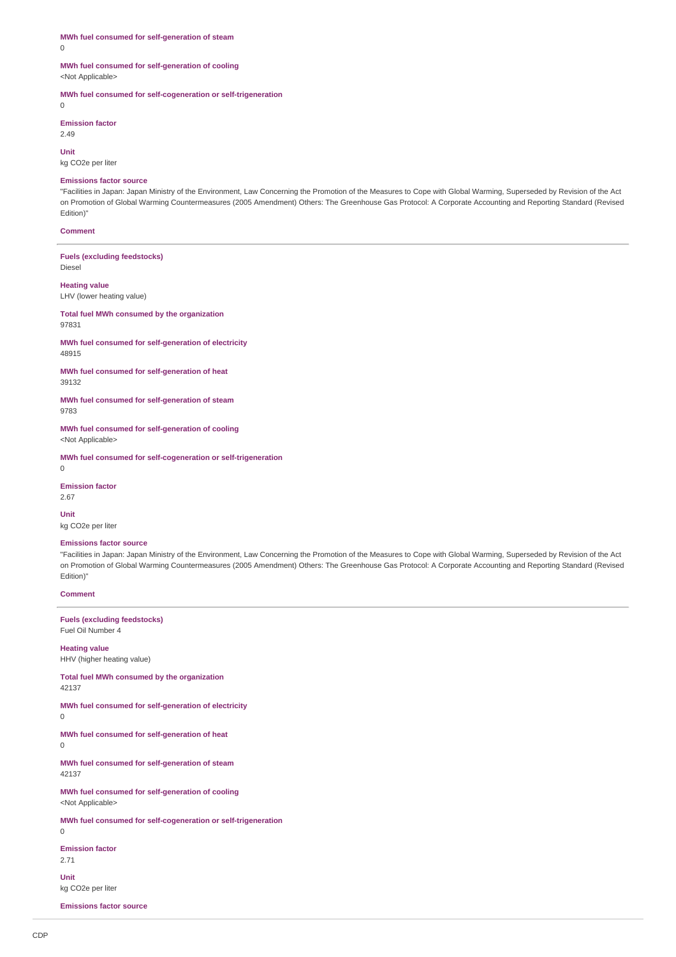**MWh fuel consumed for self-generation of steam** 0

#### **MWh fuel consumed for self-generation of cooling** <Not Applicable>

**MWh fuel consumed for self-cogeneration or self-trigeneration**

 $\overline{0}$ 

**Emission factor** 2.49

**Unit** kg CO2e per liter

#### **Emissions factor source**

"Facilities in Japan: Japan Ministry of the Environment, Law Concerning the Promotion of the Measures to Cope with Global Warming, Superseded by Revision of the Act on Promotion of Global Warming Countermeasures (2005 Amendment) Others: The Greenhouse Gas Protocol: A Corporate Accounting and Reporting Standard (Revised Edition)"

#### **Comment**

**Fuels (excluding feedstocks)** Diesel

# **Heating value**

LHV (lower heating value)

**Total fuel MWh consumed by the organization** 97831

**MWh fuel consumed for self-generation of electricity** 48915

**MWh fuel consumed for self-generation of heat** 39132

**MWh fuel consumed for self-generation of steam** 9783

**MWh fuel consumed for self-generation of cooling** <Not Applicable>

**MWh fuel consumed for self-cogeneration or self-trigeneration** 0

**Emission factor** 2.67

**Unit** kg CO2e per liter

#### **Emissions factor source**

"Facilities in Japan: Japan Ministry of the Environment, Law Concerning the Promotion of the Measures to Cope with Global Warming, Superseded by Revision of the Act on Promotion of Global Warming Countermeasures (2005 Amendment) Others: The Greenhouse Gas Protocol: A Corporate Accounting and Reporting Standard (Revised Edition)"

### **Comment**

#### **Fuels (excluding feedstocks)** Fuel Oil Number 4

**Heating value**

HHV (higher heating value)

**Total fuel MWh consumed by the organization** 42137

**MWh fuel consumed for self-generation of electricity**

**MWh fuel consumed for self-generation of heat**

 $\Omega$ 

 $\Omega$ 

**MWh fuel consumed for self-generation of steam** 42137

**MWh fuel consumed for self-generation of cooling** <Not Applicable>

**MWh fuel consumed for self-cogeneration or self-trigeneration**

 $\Omega$ 

**Emission factor**

2.71

**Unit** kg CO2e per liter

**Emissions factor source**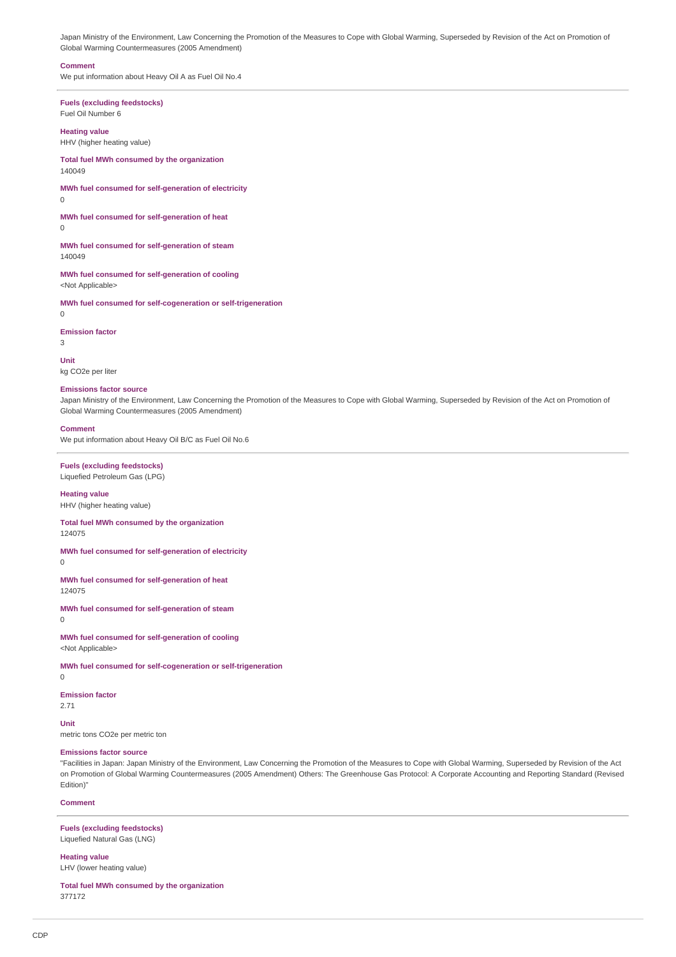Japan Ministry of the Environment, Law Concerning the Promotion of the Measures to Cope with Global Warming, Superseded by Revision of the Act on Promotion of Global Warming Countermeasures (2005 Amendment)

#### **Comment**

We put information about Heavy Oil A as Fuel Oil No.4

**Fuels (excluding feedstocks)** Fuel Oil Number 6

# **Heating value**

HHV (higher heating value)

**Total fuel MWh consumed by the organization** 140049

#### **MWh fuel consumed for self-generation of electricity**  $\cap$

**MWh fuel consumed for self-generation of heat**

 $\Omega$ 

**MWh fuel consumed for self-generation of steam** 140049

**MWh fuel consumed for self-generation of cooling** <Not Applicable>

**MWh fuel consumed for self-cogeneration or self-trigeneration**

**Emission factor** 3

 $\Omega$ 

**Unit**

# kg CO2e per liter

### **Emissions factor source**

Japan Ministry of the Environment, Law Concerning the Promotion of the Measures to Cope with Global Warming, Superseded by Revision of the Act on Promotion of Global Warming Countermeasures (2005 Amendment)

#### **Comment**

We put information about Heavy Oil B/C as Fuel Oil No.6

#### **Fuels (excluding feedstocks)** Liquefied Petroleum Gas (LPG)

### **Heating value** HHV (higher heating value)

**Total fuel MWh consumed by the organization**

### 124075

**MWh fuel consumed for self-generation of electricity**

 $\Omega$ 

### **MWh fuel consumed for self-generation of heat**

124075

**MWh fuel consumed for self-generation of steam** 0

**MWh fuel consumed for self-generation of cooling** <Not Applicable>

**MWh fuel consumed for self-cogeneration or self-trigeneration**

#### **Emission factor**

2.71

#### **Unit**

0

metric tons CO2e per metric ton

### **Emissions factor source**

"Facilities in Japan: Japan Ministry of the Environment, Law Concerning the Promotion of the Measures to Cope with Global Warming, Superseded by Revision of the Act on Promotion of Global Warming Countermeasures (2005 Amendment) Others: The Greenhouse Gas Protocol: A Corporate Accounting and Reporting Standard (Revised Edition)"

### **Comment**

### **Fuels (excluding feedstocks)** Liquefied Natural Gas (LNG)

# **Heating value**

LHV (lower heating value)

**Total fuel MWh consumed by the organization** 377172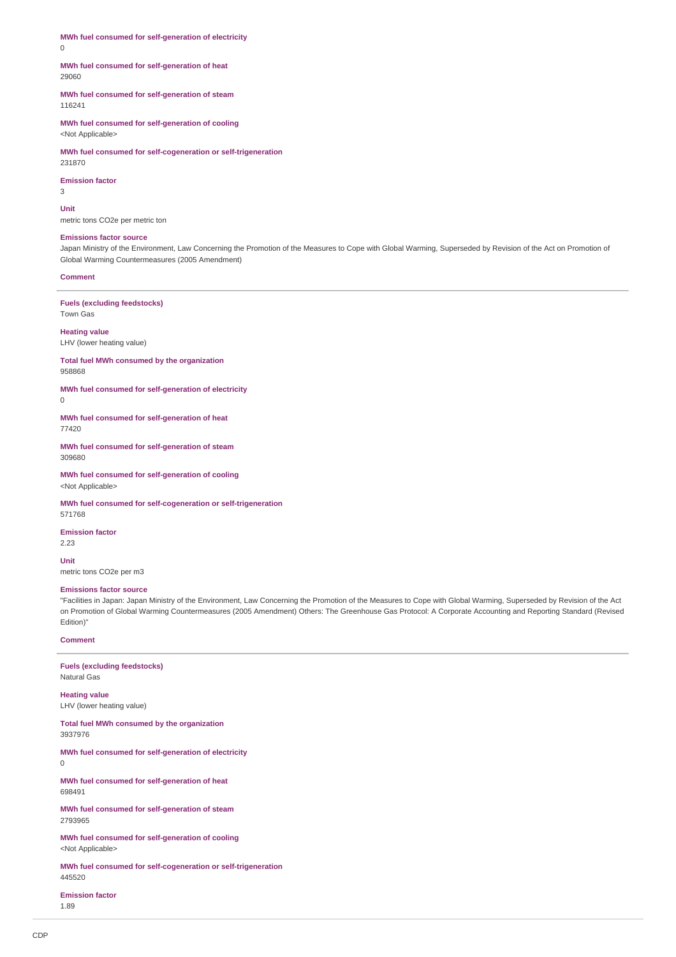**MWh fuel consumed for self-generation of electricity** 0

### **MWh fuel consumed for self-generation of heat** 29060

**MWh fuel consumed for self-generation of steam** 116241

**MWh fuel consumed for self-generation of cooling** <Not Applicable>

**MWh fuel consumed for self-cogeneration or self-trigeneration** 231870

### **Emission factor**

3

**Unit**

metric tons CO2e per metric ton

### **Emissions factor source**

Japan Ministry of the Environment, Law Concerning the Promotion of the Measures to Cope with Global Warming, Superseded by Revision of the Act on Promotion of Global Warming Countermeasures (2005 Amendment)

### **Comment**

**Fuels (excluding feedstocks)** Town Gas

**Heating value** LHV (lower heating value)

**Total fuel MWh consumed by the organization** 958868

**MWh fuel consumed for self-generation of electricity**  $\Omega$ 

**MWh fuel consumed for self-generation of heat** 77420

**MWh fuel consumed for self-generation of steam** 309680

**MWh fuel consumed for self-generation of cooling** <Not Applicable>

**MWh fuel consumed for self-cogeneration or self-trigeneration** 571768

**Emission factor**

2.23

**Unit** metric tons CO2e per m3

#### **Emissions factor source**

"Facilities in Japan: Japan Ministry of the Environment, Law Concerning the Promotion of the Measures to Cope with Global Warming, Superseded by Revision of the Act on Promotion of Global Warming Countermeasures (2005 Amendment) Others: The Greenhouse Gas Protocol: A Corporate Accounting and Reporting Standard (Revised Edition)"

### **Comment**

**Fuels (excluding feedstocks)** Natural Gas

**Heating value** LHV (lower heating value)

**Total fuel MWh consumed by the organization** 3937976

**MWh fuel consumed for self-generation of electricity** 0

**MWh fuel consumed for self-generation of heat** 698491

**MWh fuel consumed for self-generation of steam** 2793965

**MWh fuel consumed for self-generation of cooling** <Not Applicable>

**MWh fuel consumed for self-cogeneration or self-trigeneration** 445520

**Emission factor** 1.89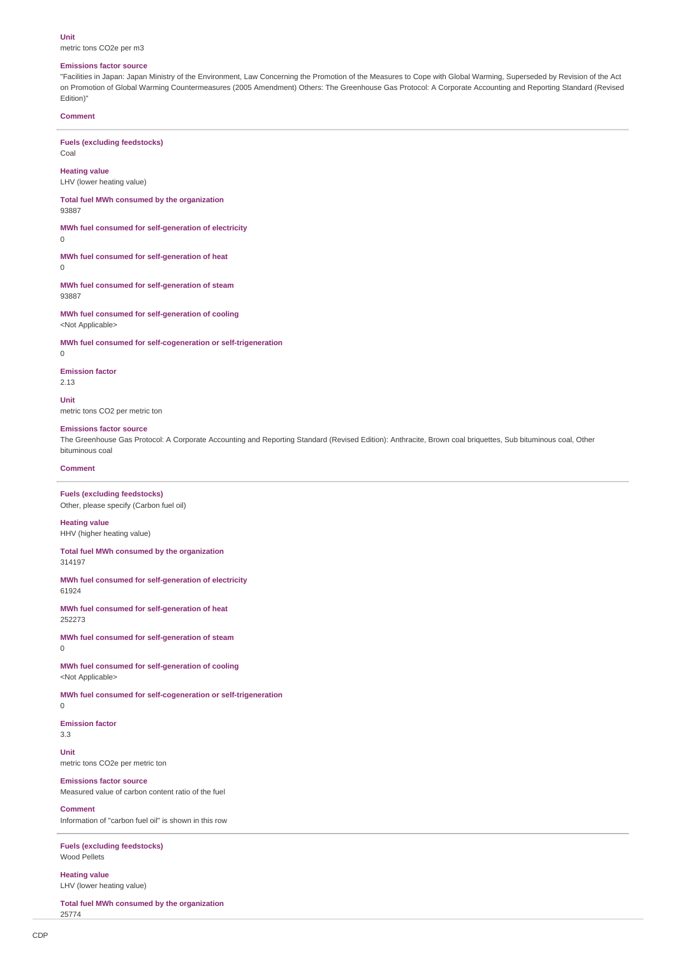#### **Unit**

metric tons CO2e per m3

#### **Emissions factor source**

"Facilities in Japan: Japan Ministry of the Environment, Law Concerning the Promotion of the Measures to Cope with Global Warming, Superseded by Revision of the Act on Promotion of Global Warming Countermeasures (2005 Amendment) Others: The Greenhouse Gas Protocol: A Corporate Accounting and Reporting Standard (Revised Edition)"

#### **Comment**

Coal

**Fuels (excluding feedstocks)**

**Heating value**

LHV (lower heating value)

**Total fuel MWh consumed by the organization** 93887

**MWh fuel consumed for self-generation of electricity**

0

**MWh fuel consumed for self-generation of heat**  $\Omega$ 

**MWh fuel consumed for self-generation of steam** 93887

**MWh fuel consumed for self-generation of cooling** <Not Applicable>

**MWh fuel consumed for self-cogeneration or self-trigeneration**

 $\overline{0}$ 

#### **Emission factor**

2.13

**Unit** metric tons CO2 per metric ton

#### **Emissions factor source**

The Greenhouse Gas Protocol: A Corporate Accounting and Reporting Standard (Revised Edition): Anthracite, Brown coal briquettes, Sub bituminous coal, Other bituminous coal

### **Comment**

**Fuels (excluding feedstocks)** Other, please specify (Carbon fuel oil)

**Heating value** HHV (higher heating value)

#### **Total fuel MWh consumed by the organization** 314197

**MWh fuel consumed for self-generation of electricity** 61924

**MWh fuel consumed for self-generation of heat** 252273

**MWh fuel consumed for self-generation of steam**  $\Omega$ 

**MWh fuel consumed for self-generation of cooling** <Not Applicable>

**MWh fuel consumed for self-cogeneration or self-trigeneration**

0

**Emission factor** 3.3

**Unit** metric tons CO2e per metric ton

#### **Emissions factor source**

Measured value of carbon content ratio of the fuel

### **Comment**

Information of "carbon fuel oil" is shown in this row

**Fuels (excluding feedstocks)** Wood Pellets

**Heating value** LHV (lower heating value)

**Total fuel MWh consumed by the organization** 25774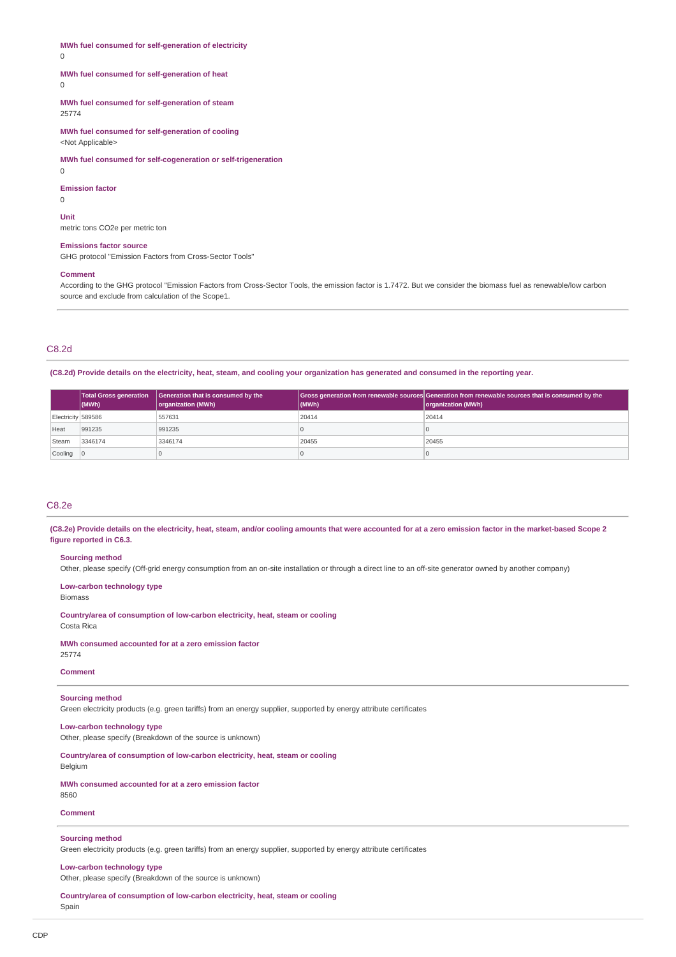**MWh fuel consumed for self-generation of electricity**

 $\Omega$ 

### **MWh fuel consumed for self-generation of heat**

 $\Omega$ 

**MWh fuel consumed for self-generation of steam** 25774

**MWh fuel consumed for self-generation of cooling** <Not Applicable>

**MWh fuel consumed for self-cogeneration or self-trigeneration**

0

**Emission factor**

 $\cap$ **Unit**

metric tons CO2e per metric ton

#### **Emissions factor source**

GHG protocol "Emission Factors from Cross-Sector Tools"

#### **Comment**

According to the GHG protocol "Emission Factors from Cross-Sector Tools, the emission factor is 1.7472. But we consider the biomass fuel as renewable/low carbon source and exclude from calculation of the Scope1.

### C8.2d

**(C8.2d) Provide details on the electricity, heat, steam, and cooling your organization has generated and consumed in the reporting year.**

|                    | (MWh)   | Total Gross generation   Generation that is consumed by the<br>organization (MWh) | (MWh) | Gross generation from renewable sources Generation from renewable sources that is consumed by the<br>organization (MWh) |
|--------------------|---------|-----------------------------------------------------------------------------------|-------|-------------------------------------------------------------------------------------------------------------------------|
| Electricity 589586 |         | 557631                                                                            | 20414 | 20414                                                                                                                   |
| Heat               | 991235  | 991235                                                                            |       |                                                                                                                         |
| Steam              | 3346174 | 3346174                                                                           | 20455 | 20455                                                                                                                   |
| Cooling 0          |         |                                                                                   |       |                                                                                                                         |

# C8.2e

**(C8.2e) Provide details on the electricity, heat, steam, and/or cooling amounts that were accounted for at a zero emission factor in the market-based Scope 2 figure reported in C6.3.**

#### **Sourcing method**

Other, please specify (Off-grid energy consumption from an on-site installation or through a direct line to an off-site generator owned by another company)

**Low-carbon technology type**

Biomass

**Country/area of consumption of low-carbon electricity, heat, steam or cooling** Costa Rica

#### **MWh consumed accounted for at a zero emission factor**

25774

# **Comment**

### **Sourcing method**

Green electricity products (e.g. green tariffs) from an energy supplier, supported by energy attribute certificates

# **Low-carbon technology type**

Other, please specify (Breakdown of the source is unknown)

# **Country/area of consumption of low-carbon electricity, heat, steam or cooling**

Belgium **MWh consumed accounted for at a zero emission factor**

8560

### **Comment**

#### **Sourcing method**

Green electricity products (e.g. green tariffs) from an energy supplier, supported by energy attribute certificates

# **Low-carbon technology type**

Other, please specify (Breakdown of the source is unknown)

**Country/area of consumption of low-carbon electricity, heat, steam or cooling** Spain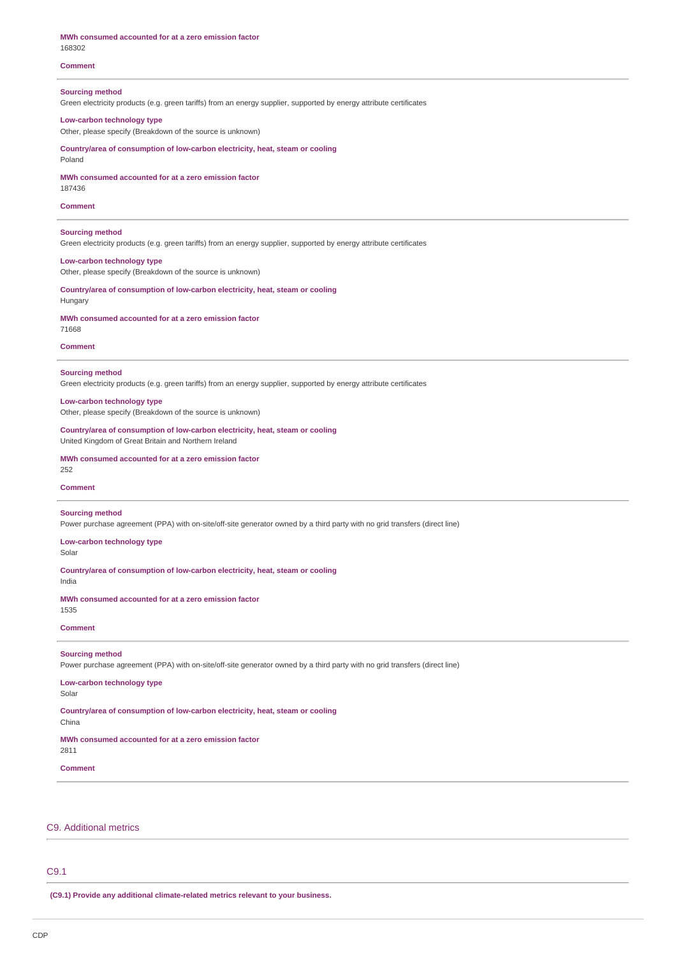| MWh consumed accounted for at a zero emission factor<br>168302                                                                                       |
|------------------------------------------------------------------------------------------------------------------------------------------------------|
| <b>Comment</b>                                                                                                                                       |
| <b>Sourcing method</b><br>Green electricity products (e.g. green tariffs) from an energy supplier, supported by energy attribute certificates        |
| Low-carbon technology type<br>Other, please specify (Breakdown of the source is unknown)                                                             |
| Countrylarea of consumption of low-carbon electricity, heat, steam or cooling<br>Poland                                                              |
| MWh consumed accounted for at a zero emission factor<br>187436                                                                                       |
| <b>Comment</b>                                                                                                                                       |
| <b>Sourcing method</b><br>Green electricity products (e.g. green tariffs) from an energy supplier, supported by energy attribute certificates        |
| Low-carbon technology type<br>Other, please specify (Breakdown of the source is unknown)                                                             |
| Country/area of consumption of low-carbon electricity, heat, steam or cooling<br>Hungary                                                             |
| MWh consumed accounted for at a zero emission factor<br>71668                                                                                        |
| <b>Comment</b>                                                                                                                                       |
| <b>Sourcing method</b><br>Green electricity products (e.g. green tariffs) from an energy supplier, supported by energy attribute certificates        |
| Low-carbon technology type<br>Other, please specify (Breakdown of the source is unknown)                                                             |
| Countrylarea of consumption of low-carbon electricity, heat, steam or cooling<br>United Kingdom of Great Britain and Northern Ireland                |
| MWh consumed accounted for at a zero emission factor<br>252                                                                                          |
| <b>Comment</b>                                                                                                                                       |
| <b>Sourcing method</b><br>Power purchase agreement (PPA) with on-site/off-site generator owned by a third party with no grid transfers (direct line) |
| Low-carbon technology type<br>Solar                                                                                                                  |
| Country/area of consumption of low-carbon electricity, heat, steam or cooling<br>India                                                               |
| MWh consumed accounted for at a zero emission factor<br>1535                                                                                         |
| <b>Comment</b>                                                                                                                                       |
| <b>Sourcing method</b><br>Power purchase agreement (PPA) with on-site/off-site generator owned by a third party with no grid transfers (direct line) |
| Low-carbon technology type<br>Solar                                                                                                                  |
| Countrylarea of consumption of low-carbon electricity, heat, steam or cooling<br>China                                                               |
| MWh consumed accounted for at a zero emission factor<br>2811                                                                                         |
| Comment                                                                                                                                              |
|                                                                                                                                                      |

# C9. Additional metrics

# C9.1

**(C9.1) Provide any additional climate-related metrics relevant to your business.**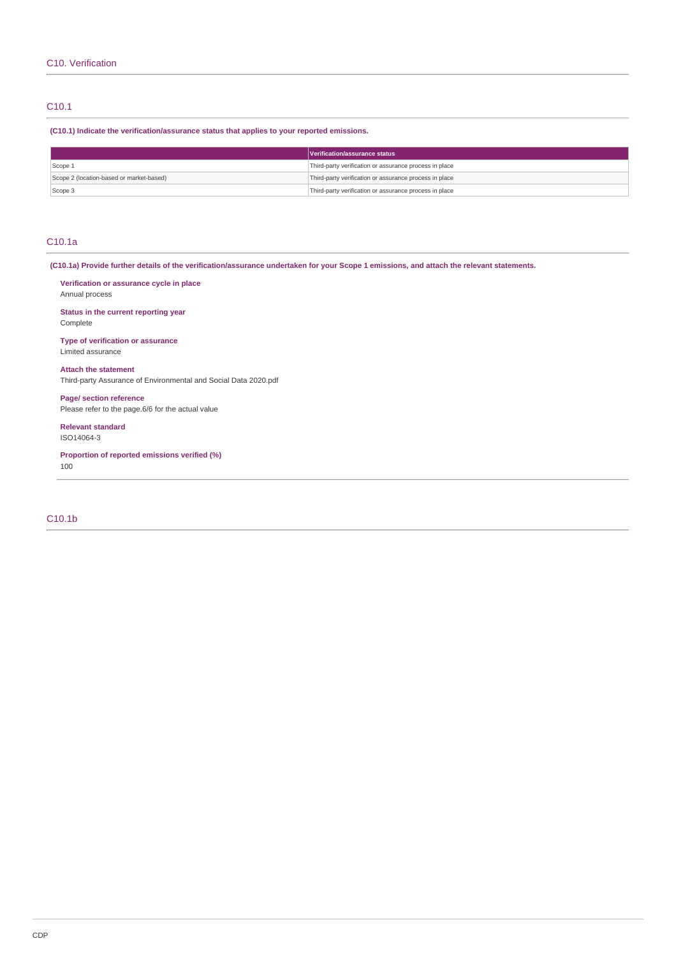# C10.1

**(C10.1) Indicate the verification/assurance status that applies to your reported emissions.**

|                                          | Verification/assurance status                          |
|------------------------------------------|--------------------------------------------------------|
| Scope 1                                  | Third-party verification or assurance process in place |
| Scope 2 (location-based or market-based) | Third-party verification or assurance process in place |
| Scope 3                                  | Third-party verification or assurance process in place |

# C10.1a

**(C10.1a) Provide further details of the verification/assurance undertaken for your Scope 1 emissions, and attach the relevant statements.**

**Verification or assurance cycle in place** Annual process

**Status in the current reporting year** Complete

**Type of verification or assurance** Limited assurance

**Attach the statement** Third-party Assurance of Environmental and Social Data 2020.pdf

**Page/ section reference** Please refer to the page.6/6 for the actual value

**Relevant standard** ISO14064-3

**Proportion of reported emissions verified (%)** 100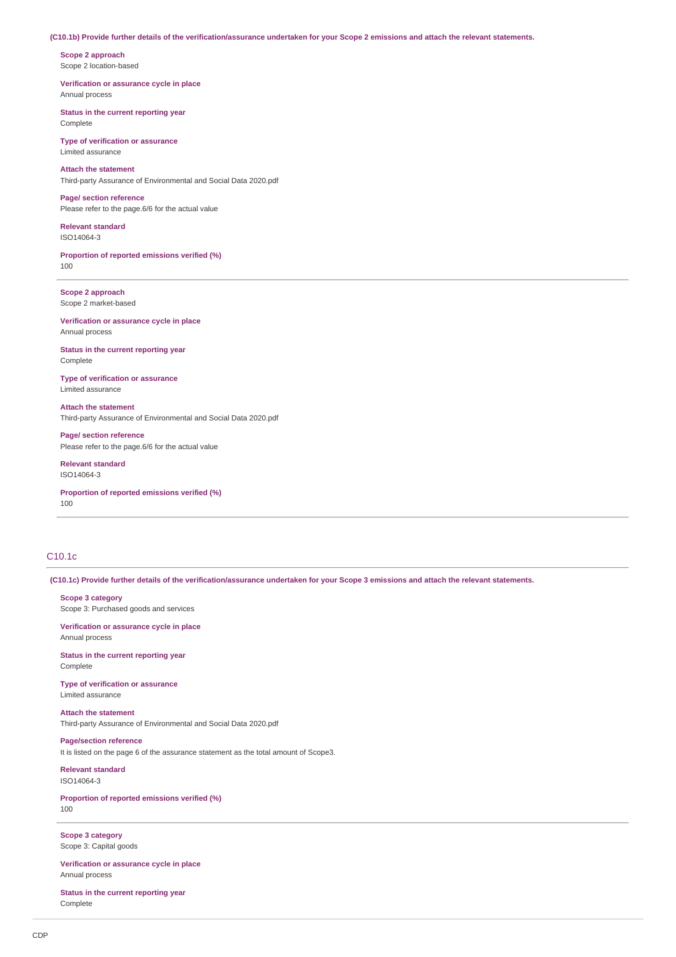#### **(C10.1b) Provide further details of the verification/assurance undertaken for your Scope 2 emissions and attach the relevant statements.**

**Scope 2 approach** Scope 2 location-based

**Verification or assurance cycle in place** Annual process

**Status in the current reporting year** Complete

**Type of verification or assurance** Limited assurance

**Attach the statement** Third-party Assurance of Environmental and Social Data 2020.pdf

**Page/ section reference** Please refer to the page.6/6 for the actual value

**Relevant standard** ISO14064-3

**Proportion of reported emissions verified (%)** 100

**Scope 2 approach** Scope 2 market-based

**Verification or assurance cycle in place** Annual process

**Status in the current reporting year** Complete

**Type of verification or assurance** Limited assurance

**Attach the statement** Third-party Assurance of Environmental and Social Data 2020.pdf

**Page/ section reference** Please refer to the page.6/6 for the actual value

**Relevant standard** ISO14064-3

**Proportion of reported emissions verified (%)** 100

# C10.1c

**(C10.1c) Provide further details of the verification/assurance undertaken for your Scope 3 emissions and attach the relevant statements.**

**Scope 3 category**

Scope 3: Purchased goods and services

**Verification or assurance cycle in place** Annual process

**Status in the current reporting year** Complete

**Type of verification or assurance** Limited assurance

**Attach the statement** Third-party Assurance of Environmental and Social Data 2020.pdf

**Page/section reference** It is listed on the page 6 of the assurance statement as the total amount of Scope3.

**Relevant standard** ISO14064-3

**Proportion of reported emissions verified (%)** 100

**Scope 3 category** Scope 3: Capital goods

**Verification or assurance cycle in place** Annual process

**Status in the current reporting year** Complete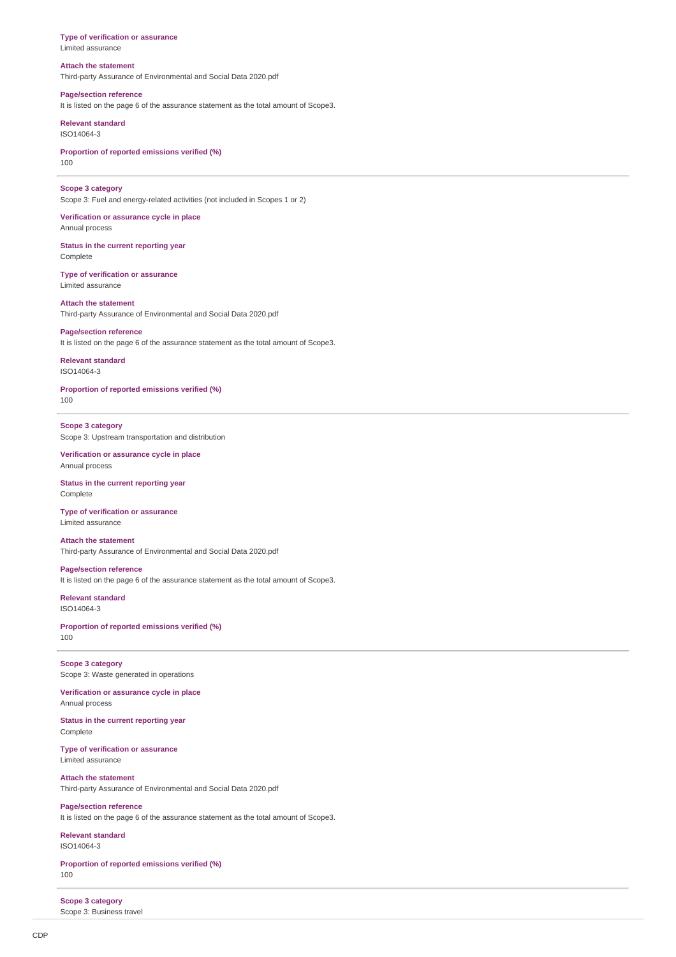#### **Type of verification or assurance** Limited assurance

**Attach the statement**

Third-party Assurance of Environmental and Social Data 2020.pdf

# **Page/section reference**

It is listed on the page 6 of the assurance statement as the total amount of Scope3.

**Relevant standard** ISO14064-3

**Proportion of reported emissions verified (%)** 100

#### **Scope 3 category**

Scope 3: Fuel and energy-related activities (not included in Scopes 1 or 2)

**Verification or assurance cycle in place** Annual process

**Status in the current reporting year** Complete

**Type of verification or assurance** Limited assurance

#### **Attach the statement**

Third-party Assurance of Environmental and Social Data 2020.pdf

### **Page/section reference**

It is listed on the page 6 of the assurance statement as the total amount of Scope3.

**Relevant standard** ISO14064-3

**Proportion of reported emissions verified (%)** 100

**Scope 3 category** Scope 3: Upstream transportation and distribution

**Verification or assurance cycle in place** Annual process

**Status in the current reporting year** Complete

#### **Type of verification or assurance** Limited assurance

**Attach the statement** Third-party Assurance of Environmental and Social Data 2020.pdf

**Page/section reference** It is listed on the page 6 of the assurance statement as the total amount of Scope3.

**Relevant standard** ISO14064-3

**Proportion of reported emissions verified (%)** 100

**Scope 3 category** Scope 3: Waste generated in operations

**Verification or assurance cycle in place** Annual process

**Status in the current reporting year** Complete

**Type of verification or assurance** Limited assurance

# **Attach the statement**

Third-party Assurance of Environmental and Social Data 2020.pdf

**Page/section reference** It is listed on the page 6 of the assurance statement as the total amount of Scope3.

**Relevant standard** ISO14064-3

**Proportion of reported emissions verified (%)** 100

**Scope 3 category** Scope 3: Business travel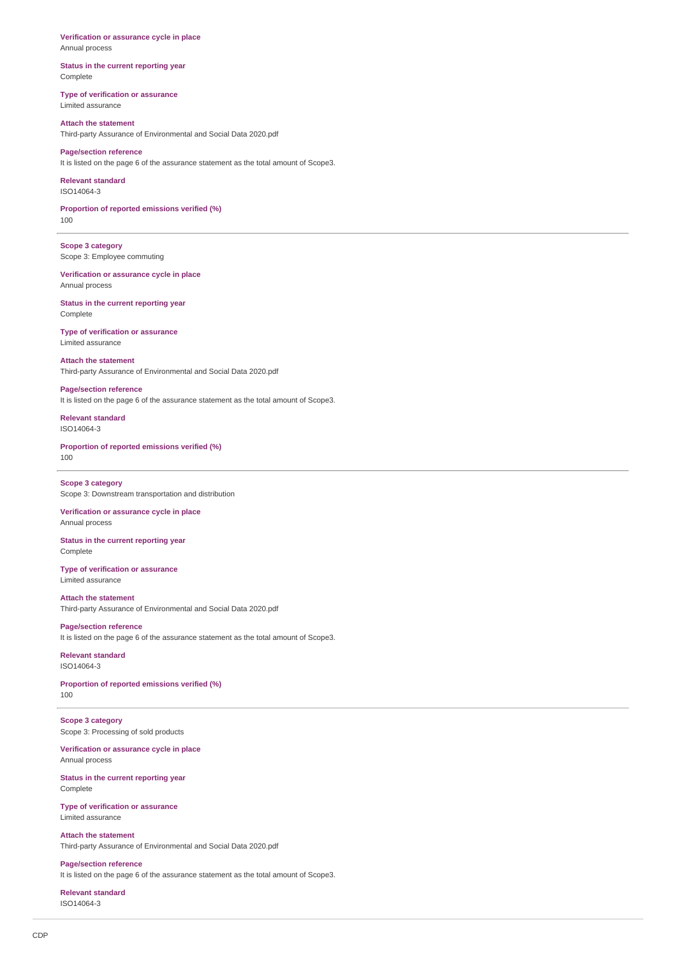**Verification or assurance cycle in place** Annual process

**Status in the current reporting year** Complete

**Type of verification or assurance** Limited assurance

**Attach the statement** Third-party Assurance of Environmental and Social Data 2020.pdf

**Page/section reference** It is listed on the page 6 of the assurance statement as the total amount of Scope3.

**Relevant standard** ISO14064-3

**Proportion of reported emissions verified (%)** 100

**Scope 3 category** Scope 3: Employee commuting

**Verification or assurance cycle in place** Annual process

**Status in the current reporting year** Complete

**Type of verification or assurance** Limited assurance

**Attach the statement** Third-party Assurance of Environmental and Social Data 2020.pdf

**Page/section reference** It is listed on the page 6 of the assurance statement as the total amount of Scope3.

**Relevant standard** ISO14064-3

**Proportion of reported emissions verified (%)** 100

**Scope 3 category** Scope 3: Downstream transportation and distribution

**Verification or assurance cycle in place** Annual process

**Status in the current reporting year** Complete

**Type of verification or assurance** Limited assurance

**Attach the statement** Third-party Assurance of Environmental and Social Data 2020.pdf

**Page/section reference** It is listed on the page 6 of the assurance statement as the total amount of Scope3.

**Relevant standard** ISO14064-3

**Proportion of reported emissions verified (%)** 100

**Scope 3 category** Scope 3: Processing of sold products

**Verification or assurance cycle in place** Annual process

**Status in the current reporting year** Complete

**Type of verification or assurance** Limited assurance

**Attach the statement** Third-party Assurance of Environmental and Social Data 2020.pdf

**Page/section reference** It is listed on the page 6 of the assurance statement as the total amount of Scope3.

**Relevant standard** ISO14064-3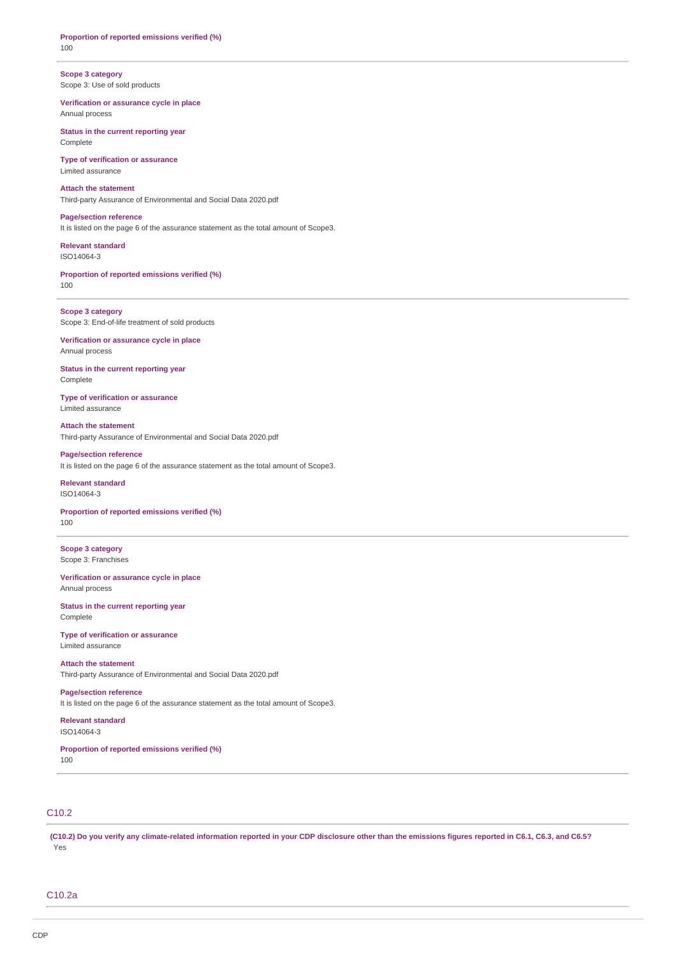**Proportion of reported emissions verified (%)** 100

**Scope 3 category** Scope 3: Use of sold products

**Verification or assurance cycle in place** Annual process

**Status in the current reporting year** Complete

**Type of verification or assurance** Limited assurance

**Attach the statement** Third-party Assurance of Environmental and Social Data 2020.pdf

**Page/section reference**

It is listed on the page 6 of the assurance statement as the total amount of Scope3.

**Relevant standard** ISO14064-3

**Proportion of reported emissions verified (%)** 100

**Scope 3 category** Scope 3: End-of-life treatment of sold products

**Verification or assurance cycle in place** Annual process

**Status in the current reporting year** Complete

**Type of verification or assurance** Limited assurance

**Attach the statement** Third-party Assurance of Environmental and Social Data 2020.pdf

**Page/section reference** It is listed on the page 6 of the assurance statement as the total amount of Scope3.

**Relevant standard** ISO14064-3

**Proportion of reported emissions verified (%)** 100

**Scope 3 category** Scope 3: Franchises

**Verification or assurance cycle in place** Annual process

**Status in the current reporting year** Complete

**Type of verification or assurance** Limited assurance

**Attach the statement** Third-party Assurance of Environmental and Social Data 2020.pdf

**Page/section reference** It is listed on the page 6 of the assurance statement as the total amount of Scope3.

**Relevant standard** ISO14064-3

**Proportion of reported emissions verified (%)** 100

C10.2

**(C10.2) Do you verify any climate-related information reported in your CDP disclosure other than the emissions figures reported in C6.1, C6.3, and C6.5?** Yes

C10.2a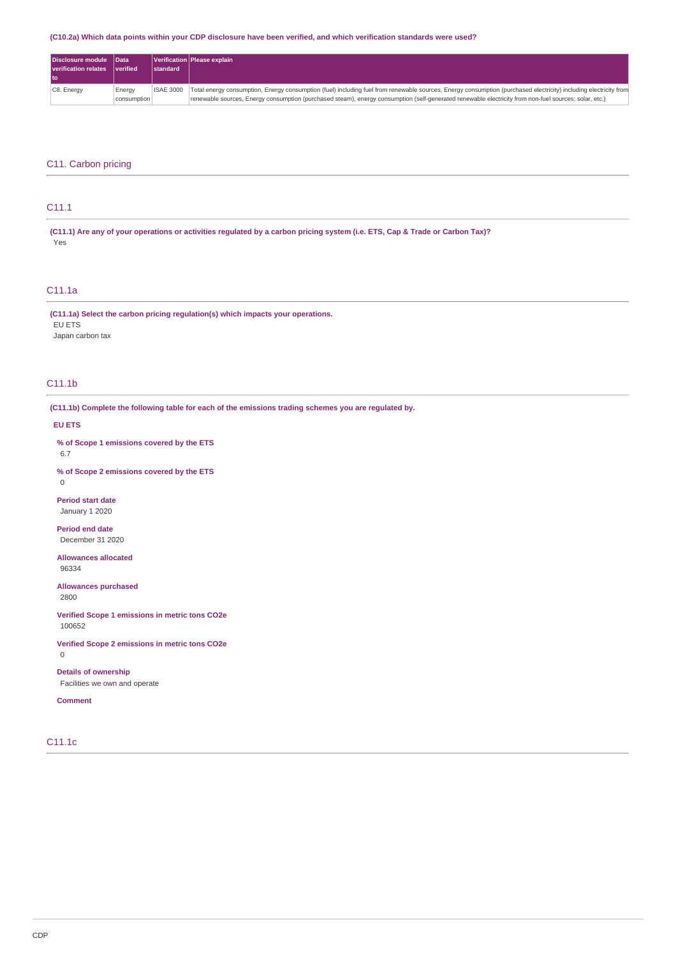### **(C10.2a) Which data points within your CDP disclosure have been verified, and which verification standards were used?**

| Disclosure module Data<br><b>verification relates</b> | <i>verified</i> | <b>Istandard</b> | Verification   Please explain                                                                                                                                    |
|-------------------------------------------------------|-----------------|------------------|------------------------------------------------------------------------------------------------------------------------------------------------------------------|
| l to                                                  |                 |                  |                                                                                                                                                                  |
| C8. Energy                                            | Energy          | <b>ISAE 3000</b> | Total energy consumption, Energy consumption (fuel) including fuel from renewable sources, Energy consumption (purchased electricity) including electricity from |
|                                                       | consumption     |                  | renewable sources, Energy consumption (purchased steam), energy consumption (self-generated renewable electricity from non-fuel sources; solar, etc.)            |

### C11. Carbon pricing

# C11.1

**(C11.1) Are any of your operations or activities regulated by a carbon pricing system (i.e. ETS, Cap & Trade or Carbon Tax)?** Yes

### C11.1a

**(C11.1a) Select the carbon pricing regulation(s) which impacts your operations.** EU ETS Japan carbon tax

# C11.1b

**(C11.1b) Complete the following table for each of the emissions trading schemes you are regulated by.**

#### **EU ETS**

**% of Scope 1 emissions covered by the ETS** 6.7

**% of Scope 2 emissions covered by the ETS**  $\Omega$ 

**Period start date** January 1 2020

**Period end date** December 31 2020

**Allowances allocated** 96334

**Allowances purchased** 2800

**Verified Scope 1 emissions in metric tons CO2e** 100652

**Verified Scope 2 emissions in metric tons CO2e** 0

**Details of ownership** Facilities we own and operate

**Comment**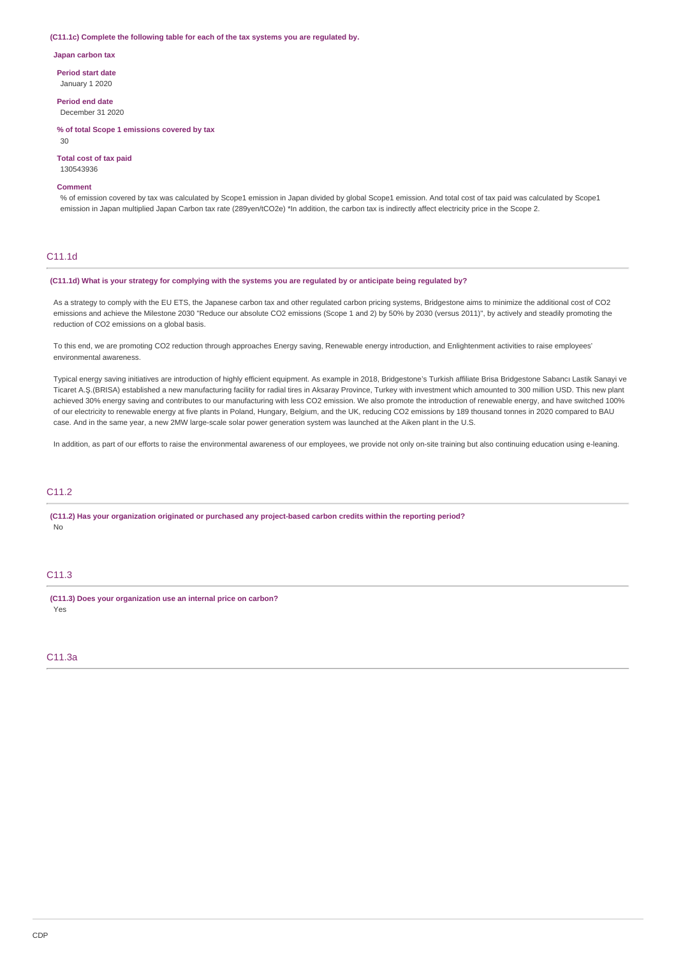#### **(C11.1c) Complete the following table for each of the tax systems you are regulated by.**

**Japan carbon tax**

**Period start date** January 1 2020

**Period end date**

December 31 2020

**% of total Scope 1 emissions covered by tax** 30

#### **Total cost of tax paid** 130543936

# **Comment**

% of emission covered by tax was calculated by Scope1 emission in Japan divided by global Scope1 emission. And total cost of tax paid was calculated by Scope1 emission in Japan multiplied Japan Carbon tax rate (289yen/tCO2e) \*In addition, the carbon tax is indirectly affect electricity price in the Scope 2.

# C11.1d

#### **(C11.1d) What is your strategy for complying with the systems you are regulated by or anticipate being regulated by?**

As a strategy to comply with the EU ETS, the Japanese carbon tax and other regulated carbon pricing systems, Bridgestone aims to minimize the additional cost of CO2 emissions and achieve the Milestone 2030 "Reduce our absolute CO2 emissions (Scope 1 and 2) by 50% by 2030 (versus 2011)", by actively and steadily promoting the reduction of CO2 emissions on a global basis.

To this end, we are promoting CO2 reduction through approaches Energy saving, Renewable energy introduction, and Enlightenment activities to raise employees' environmental awareness.

Typical energy saving initiatives are introduction of highly efficient equipment. As example in 2018, Bridgestone's Turkish affiliate Brisa Bridgestone Sabancı Lastik Sanayi ve Ticaret A.Ş.(BRISA) established a new manufacturing facility for radial tires in Aksaray Province, Turkey with investment which amounted to 300 million USD. This new plant achieved 30% energy saving and contributes to our manufacturing with less CO2 emission. We also promote the introduction of renewable energy, and have switched 100% of our electricity to renewable energy at five plants in Poland, Hungary, Belgium, and the UK, reducing CO2 emissions by 189 thousand tonnes in 2020 compared to BAU case. And in the same year, a new 2MW large-scale solar power generation system was launched at the Aiken plant in the U.S.

In addition, as part of our efforts to raise the environmental awareness of our employees, we provide not only on-site training but also continuing education using e-leaning.

# C11.2

**(C11.2) Has your organization originated or purchased any project-based carbon credits within the reporting period?** No

### C11.3

**(C11.3) Does your organization use an internal price on carbon?** Yes

# C11.3a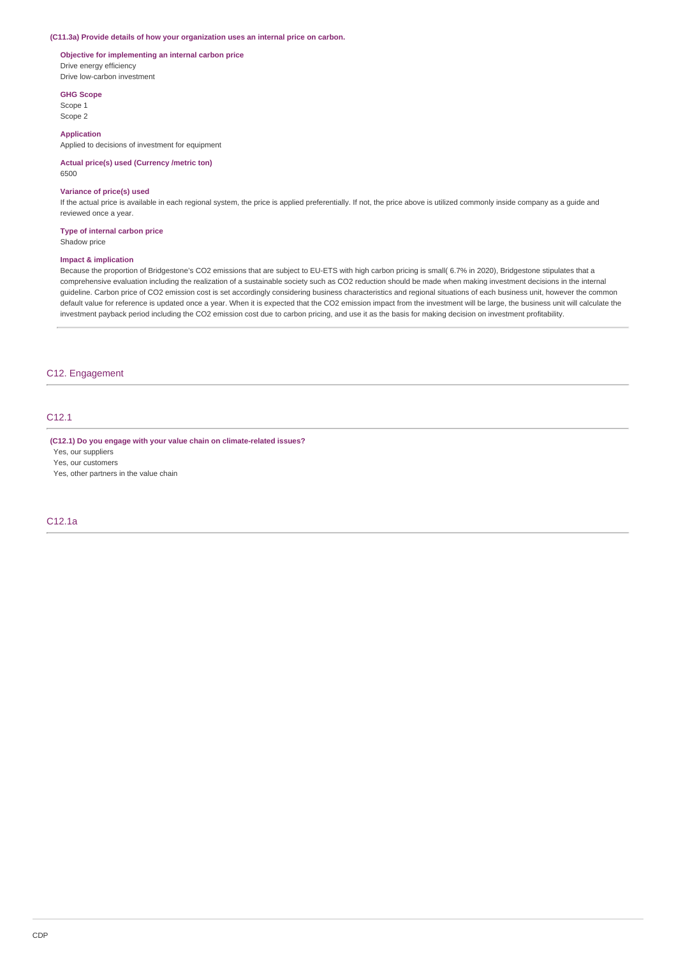#### **(C11.3a) Provide details of how your organization uses an internal price on carbon.**

### **Objective for implementing an internal carbon price** Drive energy efficiency Drive low-carbon investment

**GHG Scope**

Scope 1 Scope 2

### **Application**

Applied to decisions of investment for equipment

#### **Actual price(s) used (Currency /metric ton)** 6500

### **Variance of price(s) used**

If the actual price is available in each regional system, the price is applied preferentially. If not, the price above is utilized commonly inside company as a guide and reviewed once a year.

#### **Type of internal carbon price**

Shadow price

#### **Impact & implication**

Because the proportion of Bridgestone's CO2 emissions that are subject to EU-ETS with high carbon pricing is small( 6.7% in 2020), Bridgestone stipulates that a comprehensive evaluation including the realization of a sustainable society such as CO2 reduction should be made when making investment decisions in the internal guideline. Carbon price of CO2 emission cost is set accordingly considering business characteristics and regional situations of each business unit, however the common default value for reference is updated once a year. When it is expected that the CO2 emission impact from the investment will be large, the business unit will calculate the investment payback period including the CO2 emission cost due to carbon pricing, and use it as the basis for making decision on investment profitability.

### C12. Engagement

# C12.1

**(C12.1) Do you engage with your value chain on climate-related issues?**

Yes, our suppliers

Yes, our customers

Yes, other partners in the value chain

# C12.1a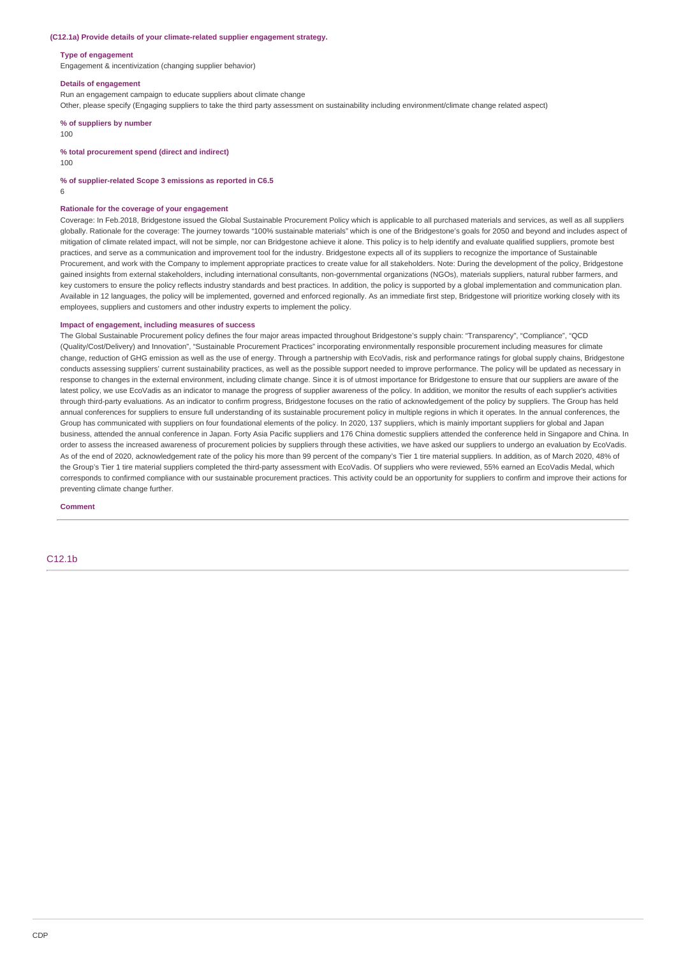#### **(C12.1a) Provide details of your climate-related supplier engagement strategy.**

#### **Type of engagement**

Engagement & incentivization (changing supplier behavior)

#### **Details of engagement**

Run an engagement campaign to educate suppliers about climate change

Other, please specify (Engaging suppliers to take the third party assessment on sustainability including environment/climate change related aspect)

**% of suppliers by number**

100

### **% total procurement spend (direct and indirect)**

100

#### **% of supplier-related Scope 3 emissions as reported in C6.5**

6

#### **Rationale for the coverage of your engagement**

Coverage: In Feb.2018, Bridgestone issued the Global Sustainable Procurement Policy which is applicable to all purchased materials and services, as well as all suppliers globally. Rationale for the coverage: The journey towards "100% sustainable materials" which is one of the Bridgestone's goals for 2050 and beyond and includes aspect of mitigation of climate related impact, will not be simple, nor can Bridgestone achieve it alone. This policy is to help identify and evaluate qualified suppliers, promote best practices, and serve as a communication and improvement tool for the industry. Bridgestone expects all of its suppliers to recognize the importance of Sustainable Procurement, and work with the Company to implement appropriate practices to create value for all stakeholders. Note: During the development of the policy, Bridgestone gained insights from external stakeholders, including international consultants, non-governmental organizations (NGOs), materials suppliers, natural rubber farmers, and key customers to ensure the policy reflects industry standards and best practices. In addition, the policy is supported by a global implementation and communication plan. Available in 12 languages, the policy will be implemented, governed and enforced regionally. As an immediate first step, Bridgestone will prioritize working closely with its employees, suppliers and customers and other industry experts to implement the policy.

#### **Impact of engagement, including measures of success**

The Global Sustainable Procurement policy defines the four major areas impacted throughout Bridgestone's supply chain: "Transparency", "Compliance", "QCD (Quality/Cost/Delivery) and Innovation", "Sustainable Procurement Practices" incorporating environmentally responsible procurement including measures for climate change, reduction of GHG emission as well as the use of energy. Through a partnership with EcoVadis, risk and performance ratings for global supply chains, Bridgestone conducts assessing suppliers' current sustainability practices, as well as the possible support needed to improve performance. The policy will be updated as necessary in response to changes in the external environment, including climate change. Since it is of utmost importance for Bridgestone to ensure that our suppliers are aware of the latest policy, we use EcoVadis as an indicator to manage the progress of supplier awareness of the policy. In addition, we monitor the results of each supplier's activities through third-party evaluations. As an indicator to confirm progress, Bridgestone focuses on the ratio of acknowledgement of the policy by suppliers. The Group has held annual conferences for suppliers to ensure full understanding of its sustainable procurement policy in multiple regions in which it operates. In the annual conferences, the Group has communicated with suppliers on four foundational elements of the policy. In 2020, 137 suppliers, which is mainly important suppliers for global and Japan business, attended the annual conference in Japan. Forty Asia Pacific suppliers and 176 China domestic suppliers attended the conference held in Singapore and China. In order to assess the increased awareness of procurement policies by suppliers through these activities, we have asked our suppliers to undergo an evaluation by EcoVadis. As of the end of 2020, acknowledgement rate of the policy his more than 99 percent of the company's Tier 1 tire material suppliers. In addition, as of March 2020, 48% of the Group's Tier 1 tire material suppliers completed the third-party assessment with EcoVadis. Of suppliers who were reviewed, 55% earned an EcoVadis Medal, which corresponds to confirmed compliance with our sustainable procurement practices. This activity could be an opportunity for suppliers to confirm and improve their actions for preventing climate change further.

**Comment**

C12.1b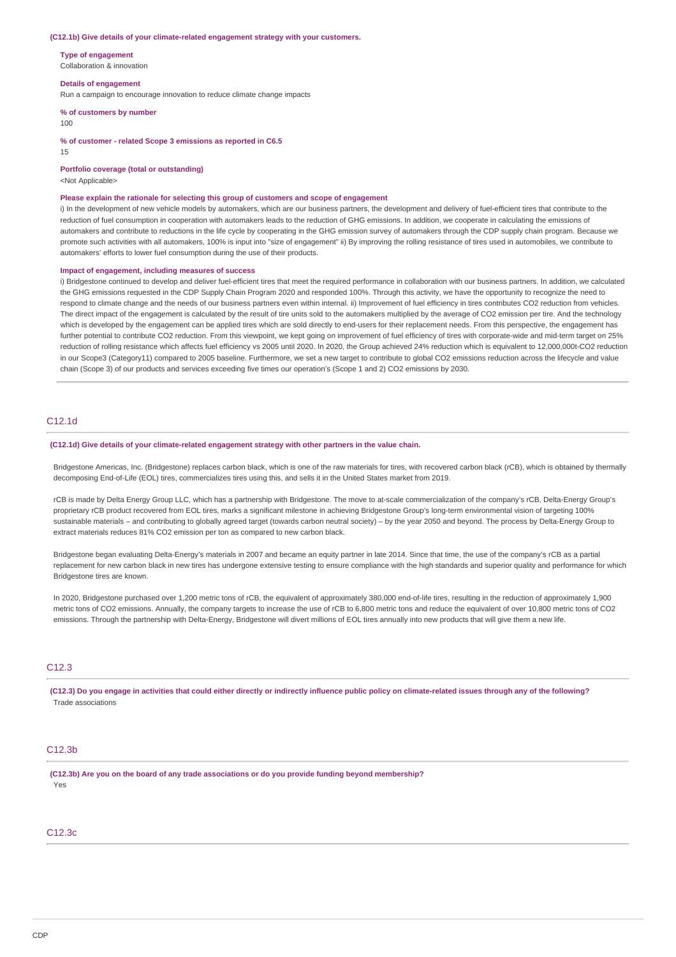#### **(C12.1b) Give details of your climate-related engagement strategy with your customers.**

**Type of engagement** Collaboration & innovation

**Details of engagement**

Run a campaign to encourage innovation to reduce climate change impacts

**% of customers by number**

100

**% of customer - related Scope 3 emissions as reported in C6.5**

15

**Portfolio coverage (total or outstanding)**

<Not Applicable>

#### **Please explain the rationale for selecting this group of customers and scope of engagement**

i) In the development of new vehicle models by automakers, which are our business partners, the development and delivery of fuel-efficient tires that contribute to the reduction of fuel consumption in cooperation with automakers leads to the reduction of GHG emissions. In addition, we cooperate in calculating the emissions of automakers and contribute to reductions in the life cycle by cooperating in the GHG emission survey of automakers through the CDP supply chain program. Because we promote such activities with all automakers, 100% is input into "size of engagement" ii) By improving the rolling resistance of tires used in automobiles, we contribute to automakers' efforts to lower fuel consumption during the use of their products.

### **Impact of engagement, including measures of success**

i) Bridgestone continued to develop and deliver fuel-efficient tires that meet the required performance in collaboration with our business partners. In addition, we calculated the GHG emissions requested in the CDP Supply Chain Program 2020 and responded 100%. Through this activity, we have the opportunity to recognize the need to respond to climate change and the needs of our business partners even within internal. ii) Improvement of fuel efficiency in tires contributes CO2 reduction from vehicles. The direct impact of the engagement is calculated by the result of tire units sold to the automakers multiplied by the average of CO2 emission per tire. And the technology which is developed by the engagement can be applied tires which are sold directly to end-users for their replacement needs. From this perspective, the engagement has further potential to contribute CO2 reduction. From this viewpoint, we kept going on improvement of fuel efficiency of tires with corporate-wide and mid-term target on 25% reduction of rolling resistance which affects fuel efficiency vs 2005 until 2020. In 2020, the Group achieved 24% reduction which is equivalent to 12,000,000t-CO2 reduction in our Scope3 (Category11) compared to 2005 baseline. Furthermore, we set a new target to contribute to global CO2 emissions reduction across the lifecycle and value chain (Scope 3) of our products and services exceeding five times our operation's (Scope 1 and 2) CO2 emissions by 2030.

# C12.1d

#### **(C12.1d) Give details of your climate-related engagement strategy with other partners in the value chain.**

Bridgestone Americas, Inc. (Bridgestone) replaces carbon black, which is one of the raw materials for tires, with recovered carbon black (rCB), which is obtained by thermally decomposing End-of-Life (EOL) tires, commercializes tires using this, and sells it in the United States market from 2019.

rCB is made by Delta Energy Group LLC, which has a partnership with Bridgestone. The move to at-scale commercialization of the company's rCB, Delta-Energy Group's proprietary rCB product recovered from EOL tires, marks a significant milestone in achieving Bridgestone Group's long-term environmental vision of targeting 100% sustainable materials – and contributing to globally agreed target (towards carbon neutral society) – by the year 2050 and beyond. The process by Delta-Energy Group to extract materials reduces 81% CO2 emission per ton as compared to new carbon black.

Bridgestone began evaluating Delta-Energy's materials in 2007 and became an equity partner in late 2014. Since that time, the use of the company's rCB as a partial replacement for new carbon black in new tires has undergone extensive testing to ensure compliance with the high standards and superior quality and performance for which Bridgestone tires are known.

In 2020, Bridgestone purchased over 1,200 metric tons of rCB, the equivalent of approximately 380,000 end-of-life tires, resulting in the reduction of approximately 1,900 metric tons of CO2 emissions. Annually, the company targets to increase the use of rCB to 6,800 metric tons and reduce the equivalent of over 10,800 metric tons of CO2 emissions. Through the partnership with Delta-Energy, Bridgestone will divert millions of EOL tires annually into new products that will give them a new life.

# C12.3

**(C12.3) Do you engage in activities that could either directly or indirectly influence public policy on climate-related issues through any of the following?** Trade associations

### C12.3b

**(C12.3b) Are you on the board of any trade associations or do you provide funding beyond membership?** Yes

### C12.3c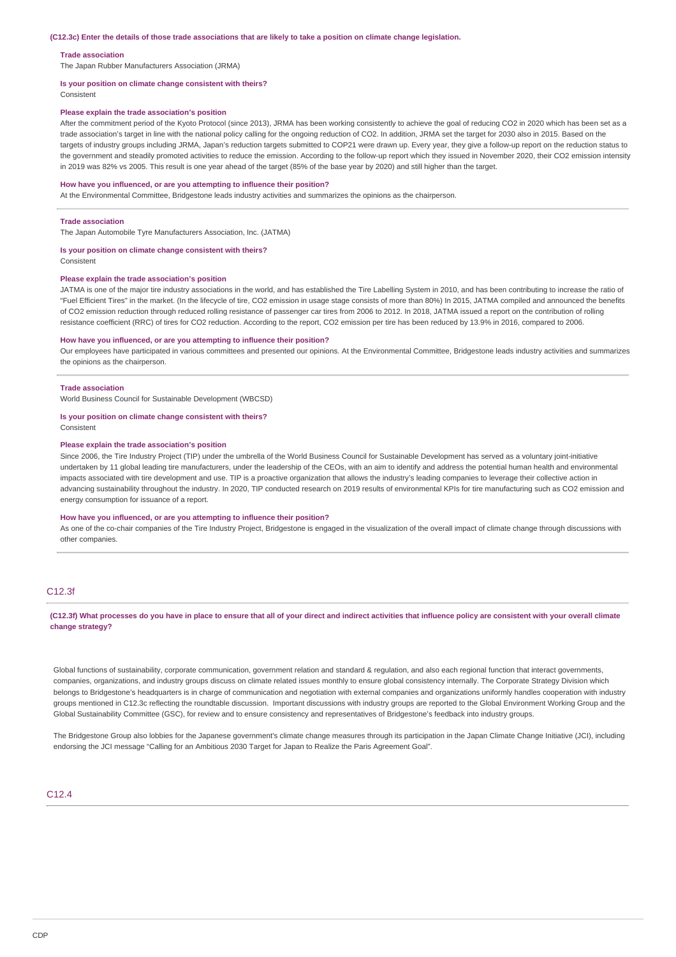#### **(C12.3c) Enter the details of those trade associations that are likely to take a position on climate change legislation.**

#### **Trade association**

The Japan Rubber Manufacturers Association (JRMA)

#### **Is your position on climate change consistent with theirs?**

Consistent

#### **Please explain the trade association's position**

After the commitment period of the Kyoto Protocol (since 2013), JRMA has been working consistently to achieve the goal of reducing CO2 in 2020 which has been set as a trade association's target in line with the national policy calling for the ongoing reduction of CO2. In addition, JRMA set the target for 2030 also in 2015. Based on the targets of industry groups including JRMA, Japan's reduction targets submitted to COP21 were drawn up. Every year, they give a follow-up report on the reduction status to the government and steadily promoted activities to reduce the emission. According to the follow-up report which they issued in November 2020, their CO2 emission intensity in 2019 was 82% vs 2005. This result is one year ahead of the target (85% of the base year by 2020) and still higher than the target.

#### **How have you influenced, or are you attempting to influence their position?**

At the Environmental Committee, Bridgestone leads industry activities and summarizes the opinions as the chairperson.

#### **Trade association**

The Japan Automobile Tyre Manufacturers Association, Inc. (JATMA)

# **Is your position on climate change consistent with theirs?**

Consistent

#### **Please explain the trade association's position**

JATMA is one of the major tire industry associations in the world, and has established the Tire Labelling System in 2010, and has been contributing to increase the ratio of "Fuel Efficient Tires" in the market. (In the lifecycle of tire, CO2 emission in usage stage consists of more than 80%) In 2015, JATMA compiled and announced the benefits of CO2 emission reduction through reduced rolling resistance of passenger car tires from 2006 to 2012. In 2018, JATMA issued a report on the contribution of rolling resistance coefficient (RRC) of tires for CO2 reduction. According to the report, CO2 emission per tire has been reduced by 13.9% in 2016, compared to 2006.

#### **How have you influenced, or are you attempting to influence their position?**

Our employees have participated in various committees and presented our opinions. At the Environmental Committee, Bridgestone leads industry activities and summarizes the opinions as the chairperson.

#### **Trade association**

World Business Council for Sustainable Development (WBCSD)

#### **Is your position on climate change consistent with theirs?**

Consistent

#### **Please explain the trade association's position**

Since 2006, the Tire Industry Project (TIP) under the umbrella of the World Business Council for Sustainable Development has served as a voluntary joint-initiative undertaken by 11 global leading tire manufacturers, under the leadership of the CEOs, with an aim to identify and address the potential human health and environmental impacts associated with tire development and use. TIP is a proactive organization that allows the industry's leading companies to leverage their collective action in advancing sustainability throughout the industry. In 2020, TIP conducted research on 2019 results of environmental KPIs for tire manufacturing such as CO2 emission and energy consumption for issuance of a report.

#### **How have you influenced, or are you attempting to influence their position?**

As one of the co-chair companies of the Tire Industry Project, Bridgestone is engaged in the visualization of the overall impact of climate change through discussions with other companies.

# C12.3f

### **(C12.3f) What processes do you have in place to ensure that all of your direct and indirect activities that influence policy are consistent with your overall climate change strategy?**

Global functions of sustainability, corporate communication, government relation and standard & regulation, and also each regional function that interact governments, companies, organizations, and industry groups discuss on climate related issues monthly to ensure global consistency internally. The Corporate Strategy Division which belongs to Bridgestone's headquarters is in charge of communication and negotiation with external companies and organizations uniformly handles cooperation with industry groups mentioned in C12.3c reflecting the roundtable discussion. Important discussions with industry groups are reported to the Global Environment Working Group and the Global Sustainability Committee (GSC), for review and to ensure consistency and representatives of Bridgestone's feedback into industry groups.

The Bridgestone Group also lobbies for the Japanese government's climate change measures through its participation in the Japan Climate Change Initiative (JCI), including endorsing the JCI message "Calling for an Ambitious 2030 Target for Japan to Realize the Paris Agreement Goal".

#### $C.12.4$